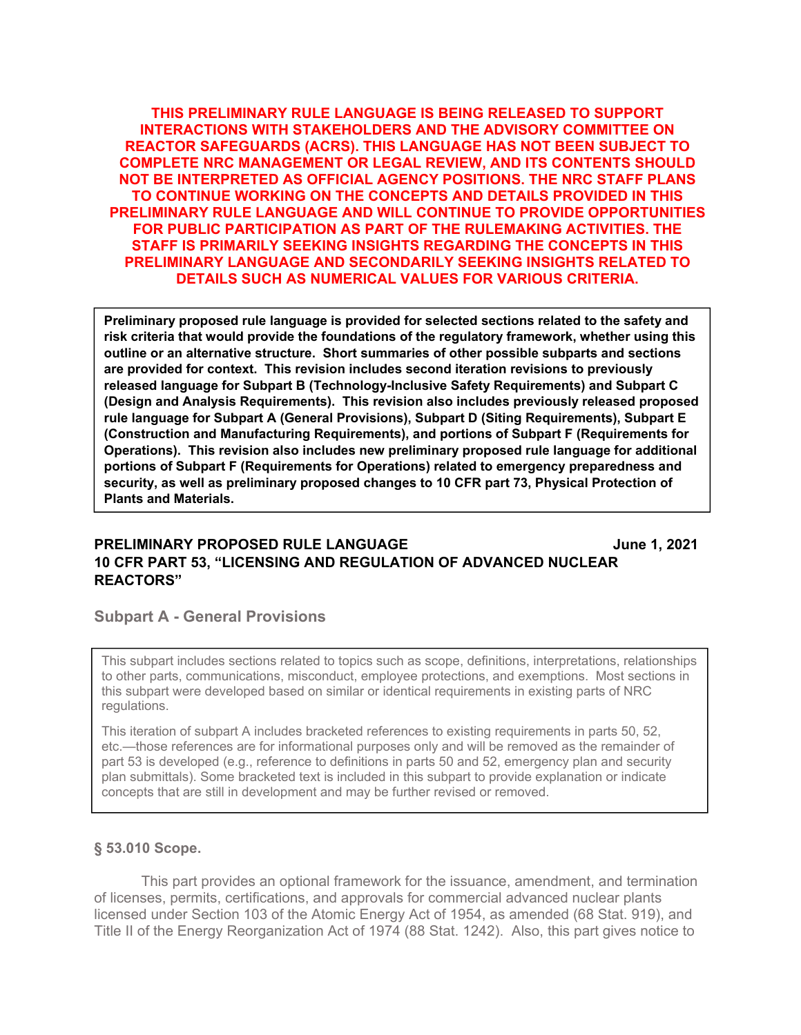**THIS PRELIMINARY RULE LANGUAGE IS BEING RELEASED TO SUPPORT INTERACTIONS WITH STAKEHOLDERS AND THE ADVISORY COMMITTEE ON REACTOR SAFEGUARDS (ACRS). THIS LANGUAGE HAS NOT BEEN SUBJECT TO COMPLETE NRC MANAGEMENT OR LEGAL REVIEW, AND ITS CONTENTS SHOULD NOT BE INTERPRETED AS OFFICIAL AGENCY POSITIONS. THE NRC STAFF PLANS TO CONTINUE WORKING ON THE CONCEPTS AND DETAILS PROVIDED IN THIS PRELIMINARY RULE LANGUAGE AND WILL CONTINUE TO PROVIDE OPPORTUNITIES FOR PUBLIC PARTICIPATION AS PART OF THE RULEMAKING ACTIVITIES. THE STAFF IS PRIMARILY SEEKING INSIGHTS REGARDING THE CONCEPTS IN THIS PRELIMINARY LANGUAGE AND SECONDARILY SEEKING INSIGHTS RELATED TO DETAILS SUCH AS NUMERICAL VALUES FOR VARIOUS CRITERIA.**

**Preliminary proposed rule language is provided for selected sections related to the safety and risk criteria that would provide the foundations of the regulatory framework, whether using this outline or an alternative structure. Short summaries of other possible subparts and sections are provided for context. This revision includes second iteration revisions to previously released language for Subpart B (Technology-Inclusive Safety Requirements) and Subpart C (Design and Analysis Requirements). This revision also includes previously released proposed rule language for Subpart A (General Provisions), Subpart D (Siting Requirements), Subpart E (Construction and Manufacturing Requirements), and portions of Subpart F (Requirements for Operations). This revision also includes new preliminary proposed rule language for additional portions of Subpart F (Requirements for Operations) related to emergency preparedness and security, as well as preliminary proposed changes to 10 CFR part 73, Physical Protection of Plants and Materials.** 

## **PRELIMINARY PROPOSED RULE LANGUAGE THE SEX CONSUMING A SEX LOCAL STATE STATE 10 CFR PART 53, "LICENSING AND REGULATION OF ADVANCED NUCLEAR REACTORS"**

## **Subpart A - General Provisions**

This subpart includes sections related to topics such as scope, definitions, interpretations, relationships to other parts, communications, misconduct, employee protections, and exemptions. Most sections in this subpart were developed based on similar or identical requirements in existing parts of NRC regulations.

This iteration of subpart A includes bracketed references to existing requirements in parts 50, 52, etc.—those references are for informational purposes only and will be removed as the remainder of part 53 is developed (e.g., reference to definitions in parts 50 and 52, emergency plan and security plan submittals). Some bracketed text is included in this subpart to provide explanation or indicate concepts that are still in development and may be further revised or removed.

### **§ 53.010 Scope.**

This part provides an optional framework for the issuance, amendment, and termination of licenses, permits, certifications, and approvals for commercial advanced nuclear plants licensed under Section 103 of the Atomic Energy Act of 1954, as amended (68 Stat. 919), and Title II of the Energy Reorganization Act of 1974 (88 Stat. 1242). Also, this part gives notice to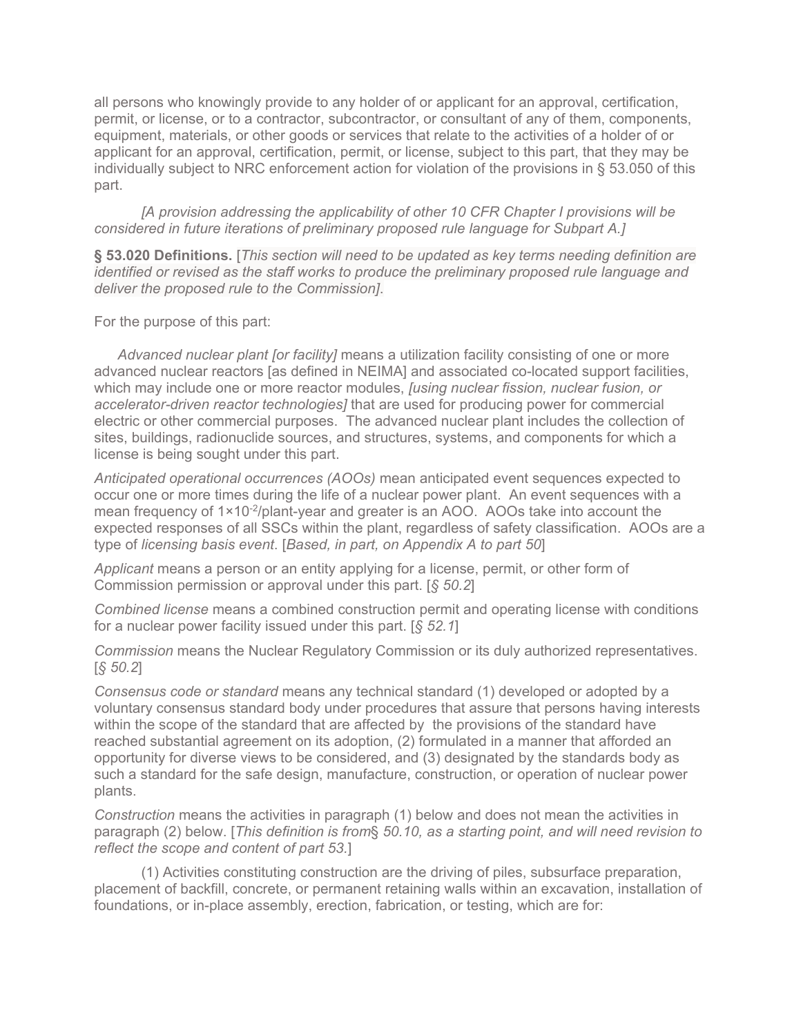all persons who knowingly provide to any holder of or applicant for an approval, certification, permit, or license, or to a contractor, subcontractor, or consultant of any of them, components, equipment, materials, or other goods or services that relate to the activities of a holder of or applicant for an approval, certification, permit, or license, subject to this part, that they may be individually subject to NRC enforcement action for violation of the provisions in § 53.050 of this part.

*[A provision addressing the applicability of other 10 CFR Chapter I provisions will be considered in future iterations of preliminary proposed rule language for Subpart A.]*

**§ 53.020 Definitions.** [*This section will need to be updated as key terms needing definition are identified or revised as the staff works to produce the preliminary proposed rule language and deliver the proposed rule to the Commission]*.

For the purpose of this part:

*Advanced nuclear plant [or facility]* means a utilization facility consisting of one or more advanced nuclear reactors [as defined in NEIMA] and associated co-located support facilities, which may include one or more reactor modules, *[using nuclear fission, nuclear fusion, or accelerator-driven reactor technologies]* that are used for producing power for commercial electric or other commercial purposes. The advanced nuclear plant includes the collection of sites, buildings, radionuclide sources, and structures, systems, and components for which a license is being sought under this part.

*Anticipated operational occurrences (AOOs)* mean anticipated event sequences expected to occur one or more times during the life of a nuclear power plant. An event sequences with a mean frequency of  $1 \times 10^{-2}$ /plant-year and greater is an AOO. AOOs take into account the expected responses of all SSCs within the plant, regardless of safety classification. AOOs are a type of *licensing basis event*. [*Based, in part, on Appendix A to part 50*]

*Applicant* means a person or an entity applying for a license, permit, or other form of Commission permission or approval under this part. [*§ 50.2*]

*Combined license* means a combined construction permit and operating license with conditions for a nuclear power facility issued under this part. [*§ 52.1*]

*Commission* means the Nuclear Regulatory Commission or its duly authorized representatives. [*§ 50.2*]

*Consensus code or standard* means any technical standard (1) developed or adopted by a voluntary consensus standard body under procedures that assure that persons having interests within the scope of the standard that are affected by the provisions of the standard have reached substantial agreement on its adoption, (2) formulated in a manner that afforded an opportunity for diverse views to be considered, and (3) designated by the standards body as such a standard for the safe design, manufacture, construction, or operation of nuclear power plants.

*Construction* means the activities in paragraph (1) below and does not mean the activities in paragraph (2) below. [*This definition is from*§ *50.10, as a starting point, and will need revision to reflect the scope and content of part 53.*]

(1) Activities constituting construction are the driving of piles, subsurface preparation, placement of backfill, concrete, or permanent retaining walls within an excavation, installation of foundations, or in-place assembly, erection, fabrication, or testing, which are for: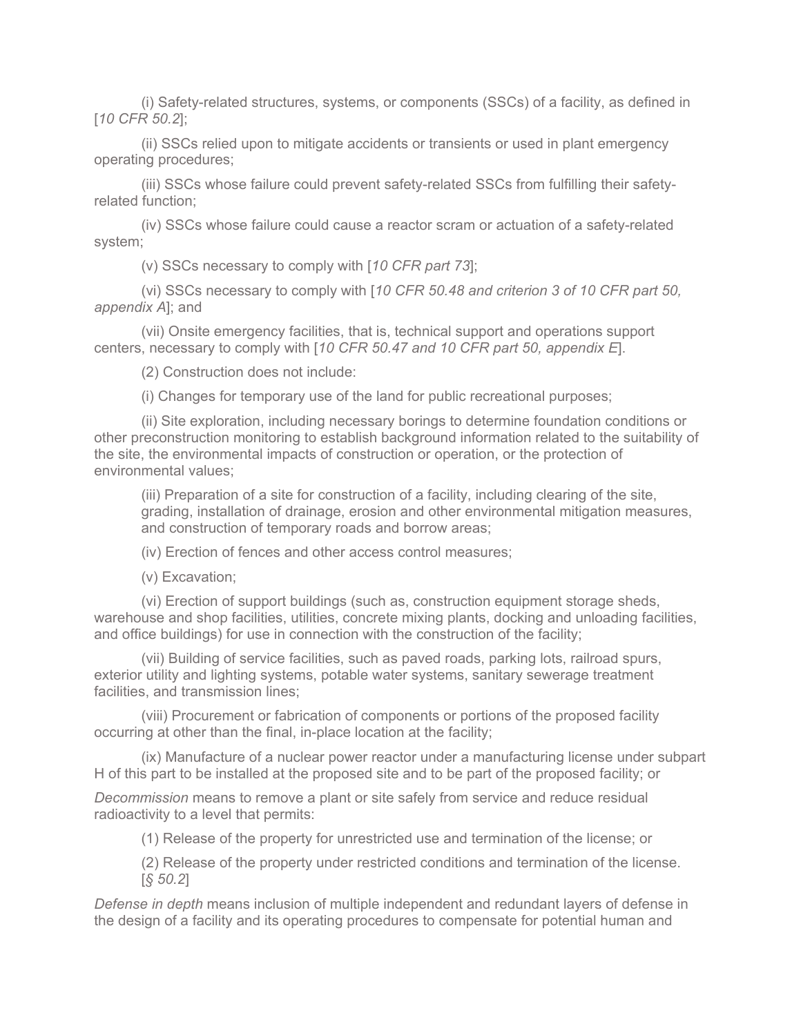(i) Safety-related structures, systems, or components (SSCs) of a facility, as defined in [*10 CFR 50.2*];

(ii) SSCs relied upon to mitigate accidents or transients or used in plant emergency operating procedures;

(iii) SSCs whose failure could prevent safety-related SSCs from fulfilling their safetyrelated function;

(iv) SSCs whose failure could cause a reactor scram or actuation of a safety-related system;

(v) SSCs necessary to comply with [*10 CFR part 73*];

(vi) SSCs necessary to comply with [*10 CFR 50.48 and criterion 3 of 10 CFR part 50, appendix A*]; and

(vii) Onsite emergency facilities, that is, technical support and operations support centers, necessary to comply with [*10 CFR 50.47 and 10 CFR part 50, appendix E*].

(2) Construction does not include:

(i) Changes for temporary use of the land for public recreational purposes;

(ii) Site exploration, including necessary borings to determine foundation conditions or other preconstruction monitoring to establish background information related to the suitability of the site, the environmental impacts of construction or operation, or the protection of environmental values;

(iii) Preparation of a site for construction of a facility, including clearing of the site, grading, installation of drainage, erosion and other environmental mitigation measures, and construction of temporary roads and borrow areas;

(iv) Erection of fences and other access control measures;

(v) Excavation;

(vi) Erection of support buildings (such as, construction equipment storage sheds, warehouse and shop facilities, utilities, concrete mixing plants, docking and unloading facilities, and office buildings) for use in connection with the construction of the facility;

(vii) Building of service facilities, such as paved roads, parking lots, railroad spurs, exterior utility and lighting systems, potable water systems, sanitary sewerage treatment facilities, and transmission lines;

(viii) Procurement or fabrication of components or portions of the proposed facility occurring at other than the final, in-place location at the facility;

(ix) Manufacture of a nuclear power reactor under a manufacturing license under subpart H of this part to be installed at the proposed site and to be part of the proposed facility; or

*Decommission* means to remove a plant or site safely from service and reduce residual radioactivity to a level that permits:

(1) Release of the property for unrestricted use and termination of the license; or

(2) Release of the property under restricted conditions and termination of the license. [*§ 50.2*]

*Defense in depth* means inclusion of multiple independent and redundant layers of defense in the design of a facility and its operating procedures to compensate for potential human and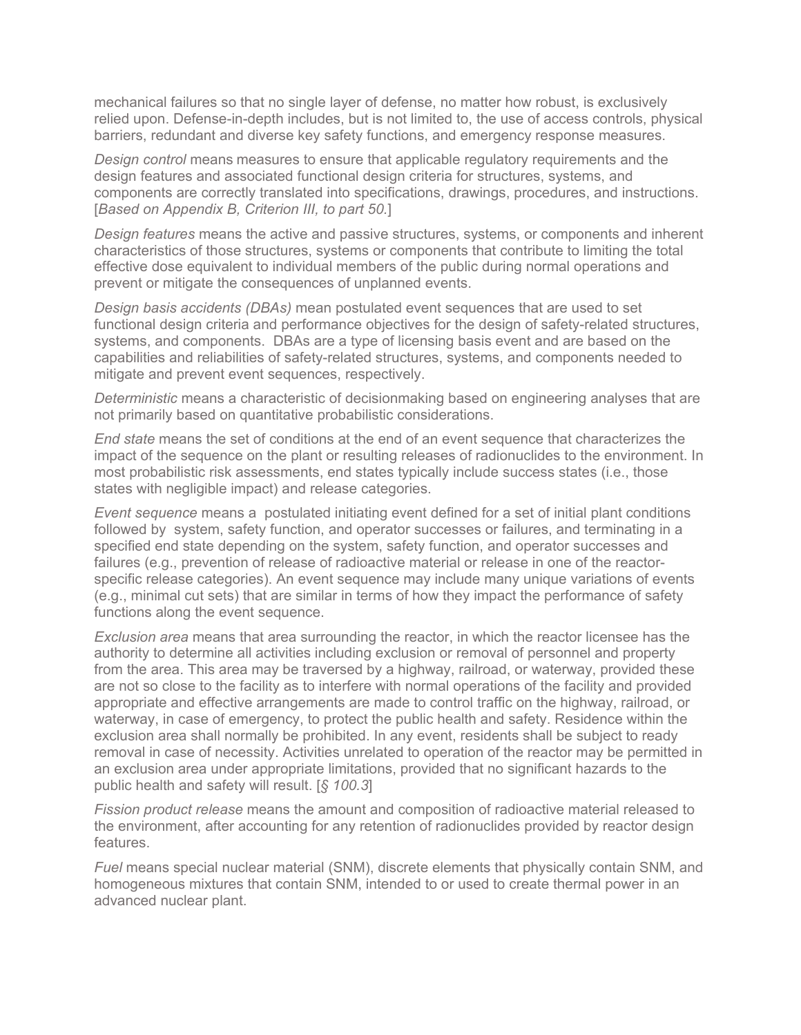mechanical failures so that no single layer of defense, no matter how robust, is exclusively relied upon. Defense-in-depth includes, but is not limited to, the use of access controls, physical barriers, redundant and diverse key safety functions, and emergency response measures.

*Design control* means measures to ensure that applicable regulatory requirements and the design features and associated functional design criteria for structures, systems, and components are correctly translated into specifications, drawings, procedures, and instructions. [*Based on Appendix B, Criterion III, to part 50.*]

*Design features* means the active and passive structures, systems, or components and inherent characteristics of those structures, systems or components that contribute to limiting the total effective dose equivalent to individual members of the public during normal operations and prevent or mitigate the consequences of unplanned events.

*Design basis accidents (DBAs)* mean postulated event sequences that are used to set functional design criteria and performance objectives for the design of safety-related structures, systems, and components. DBAs are a type of licensing basis event and are based on the capabilities and reliabilities of safety-related structures, systems, and components needed to mitigate and prevent event sequences, respectively.

*Deterministic* means a characteristic of decisionmaking based on engineering analyses that are not primarily based on quantitative probabilistic considerations.

*End state* means the set of conditions at the end of an event sequence that characterizes the impact of the sequence on the plant or resulting releases of radionuclides to the environment. In most probabilistic risk assessments, end states typically include success states (i.e., those states with negligible impact) and release categories.

*Event sequence* means a postulated initiating event defined for a set of initial plant conditions followed by system, safety function, and operator successes or failures, and terminating in a specified end state depending on the system, safety function, and operator successes and failures (e.g., prevention of release of radioactive material or release in one of the reactorspecific release categories). An event sequence may include many unique variations of events (e.g., minimal cut sets) that are similar in terms of how they impact the performance of safety functions along the event sequence.

*Exclusion area* means that area surrounding the reactor, in which the reactor licensee has the authority to determine all activities including exclusion or removal of personnel and property from the area. This area may be traversed by a highway, railroad, or waterway, provided these are not so close to the facility as to interfere with normal operations of the facility and provided appropriate and effective arrangements are made to control traffic on the highway, railroad, or waterway, in case of emergency, to protect the public health and safety. Residence within the exclusion area shall normally be prohibited. In any event, residents shall be subject to ready removal in case of necessity. Activities unrelated to operation of the reactor may be permitted in an exclusion area under appropriate limitations, provided that no significant hazards to the public health and safety will result. [*§ 100.3*]

*Fission product release* means the amount and composition of radioactive material released to the environment, after accounting for any retention of radionuclides provided by reactor design features.

*Fuel* means special nuclear material (SNM), discrete elements that physically contain SNM, and homogeneous mixtures that contain SNM, intended to or used to create thermal power in an advanced nuclear plant.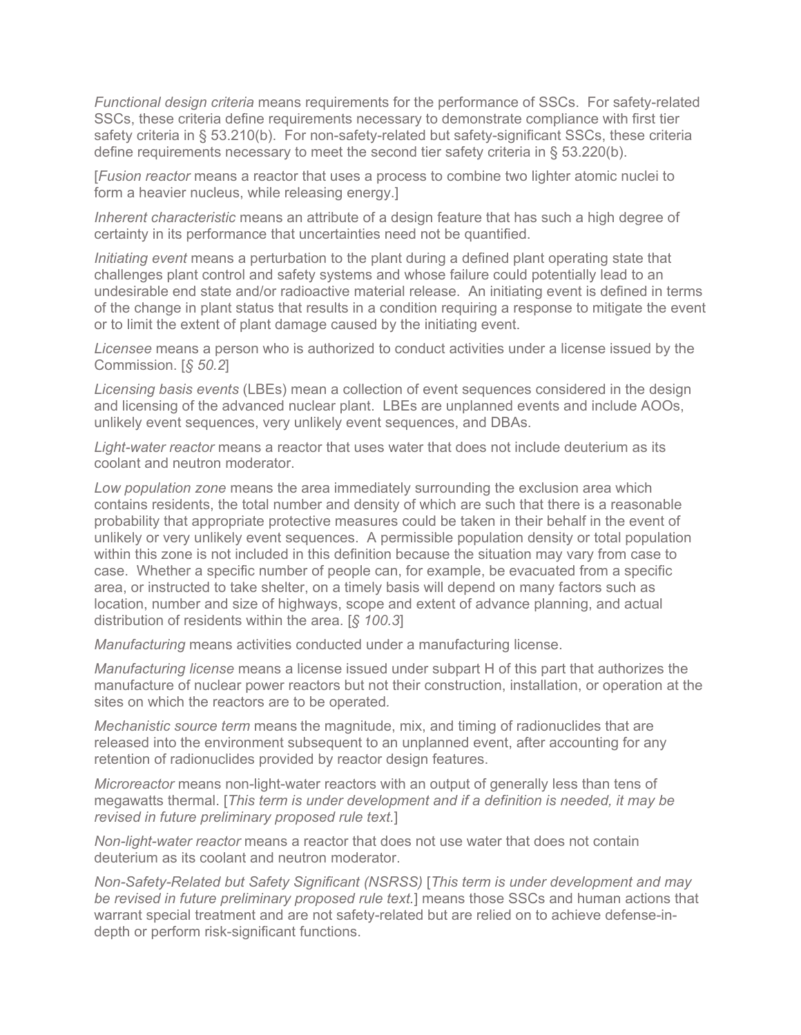*Functional design criteria* means requirements for the performance of SSCs. For safety-related SSCs, these criteria define requirements necessary to demonstrate compliance with first tier safety criteria in § 53.210(b). For non-safety-related but safety-significant SSCs, these criteria define requirements necessary to meet the second tier safety criteria in § 53.220(b).

[*Fusion reactor* means a reactor that uses a process to combine two lighter atomic nuclei to form a heavier nucleus, while releasing energy.]

*Inherent characteristic* means an attribute of a design feature that has such a high degree of certainty in its performance that uncertainties need not be quantified.

*Initiating event* means a perturbation to the plant during a defined plant operating state that challenges plant control and safety systems and whose failure could potentially lead to an undesirable end state and/or radioactive material release. An initiating event is defined in terms of the change in plant status that results in a condition requiring a response to mitigate the event or to limit the extent of plant damage caused by the initiating event.

*Licensee* means a person who is authorized to conduct activities under a license issued by the Commission. [*§ 50.2*]

*Licensing basis events* (LBEs) mean a collection of event sequences considered in the design and licensing of the advanced nuclear plant. LBEs are unplanned events and include AOOs, unlikely event sequences, very unlikely event sequences, and DBAs.

*Light-water reactor* means a reactor that uses water that does not include deuterium as its coolant and neutron moderator.

*Low population zone* means the area immediately surrounding the exclusion area which contains residents, the total number and density of which are such that there is a reasonable probability that appropriate protective measures could be taken in their behalf in the event of unlikely or very unlikely event sequences. A permissible population density or total population within this zone is not included in this definition because the situation may vary from case to case. Whether a specific number of people can, for example, be evacuated from a specific area, or instructed to take shelter, on a timely basis will depend on many factors such as location, number and size of highways, scope and extent of advance planning, and actual distribution of residents within the area. [*§ 100.3*]

*Manufacturing* means activities conducted under a manufacturing license.

*Manufacturing license* means a license issued under subpart H of this part that authorizes the manufacture of nuclear power reactors but not their construction, installation, or operation at the sites on which the reactors are to be operated*.* 

*Mechanistic source term* means the magnitude, mix, and timing of radionuclides that are released into the environment subsequent to an unplanned event, after accounting for any retention of radionuclides provided by reactor design features.

*Microreactor* means non-light-water reactors with an output of generally less than tens of megawatts thermal. [*This term is under development and if a definition is needed, it may be revised in future preliminary proposed rule text.*]

*Non-light-water reactor* means a reactor that does not use water that does not contain deuterium as its coolant and neutron moderator.

*Non-Safety-Related but Safety Significant (NSRSS)* [*This term is under development and may be revised in future preliminary proposed rule text.*] means those SSCs and human actions that warrant special treatment and are not safety-related but are relied on to achieve defense-indepth or perform risk-significant functions.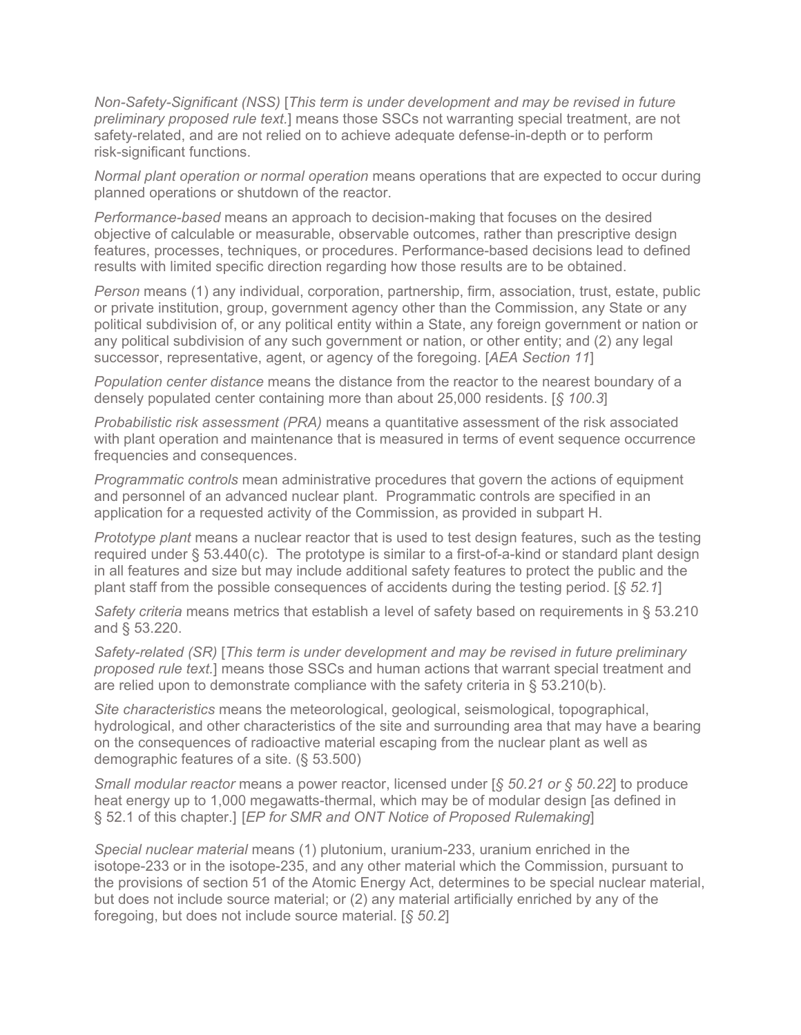*Non-Safety-Significant (NSS)* [*This term is under development and may be revised in future preliminary proposed rule text.*] means those SSCs not warranting special treatment, are not safety-related, and are not relied on to achieve adequate defense-in-depth or to perform risk-significant functions.

*Normal plant operation or normal operation* means operations that are expected to occur during planned operations or shutdown of the reactor.

*Performance-based* means an approach to decision-making that focuses on the desired objective of calculable or measurable, observable outcomes, rather than prescriptive design features, processes, techniques, or procedures. Performance-based decisions lead to defined results with limited specific direction regarding how those results are to be obtained.

*Person* means (1) any individual, corporation, partnership, firm, association, trust, estate, public or private institution, group, government agency other than the Commission, any State or any political subdivision of, or any political entity within a State, any foreign government or nation or any political subdivision of any such government or nation, or other entity; and (2) any legal successor, representative, agent, or agency of the foregoing. [*AEA Section 11*]

*Population center distance* means the distance from the reactor to the nearest boundary of a densely populated center containing more than about 25,000 residents. [*§ 100.3*]

*Probabilistic risk assessment (PRA)* means a quantitative assessment of the risk associated with plant operation and maintenance that is measured in terms of event sequence occurrence frequencies and consequences.

*Programmatic controls* mean administrative procedures that govern the actions of equipment and personnel of an advanced nuclear plant. Programmatic controls are specified in an application for a requested activity of the Commission, as provided in subpart H.

*Prototype plant* means a nuclear reactor that is used to test design features, such as the testing required under § 53.440(c). The prototype is similar to a first-of-a-kind or standard plant design in all features and size but may include additional safety features to protect the public and the plant staff from the possible consequences of accidents during the testing period. [*§ 52.1*]

*Safety criteria* means metrics that establish a level of safety based on requirements in § 53.210 and § 53.220.

*Safety-related (SR)* [*This term is under development and may be revised in future preliminary proposed rule text.*] means those SSCs and human actions that warrant special treatment and are relied upon to demonstrate compliance with the safety criteria in  $\S$  53.210(b).

*Site characteristics* means the meteorological, geological, seismological, topographical, hydrological, and other characteristics of the site and surrounding area that may have a bearing on the consequences of radioactive material escaping from the nuclear plant as well as demographic features of a site. (§ 53.500)

*Small modular reactor* means a power reactor, licensed under [*§ 50.21 or § 50.22*] to produce heat energy up to 1,000 megawatts-thermal, which may be of modular design [as defined in § 52.1 of this chapter.] [*EP for SMR and ONT Notice of Proposed Rulemaking*]

*Special nuclear material* means (1) plutonium, uranium-233, uranium enriched in the isotope-233 or in the isotope-235, and any other material which the Commission, pursuant to the provisions of section 51 of the Atomic Energy Act, determines to be special nuclear material, but does not include source material; or (2) any material artificially enriched by any of the foregoing, but does not include source material. [*§ 50.2*]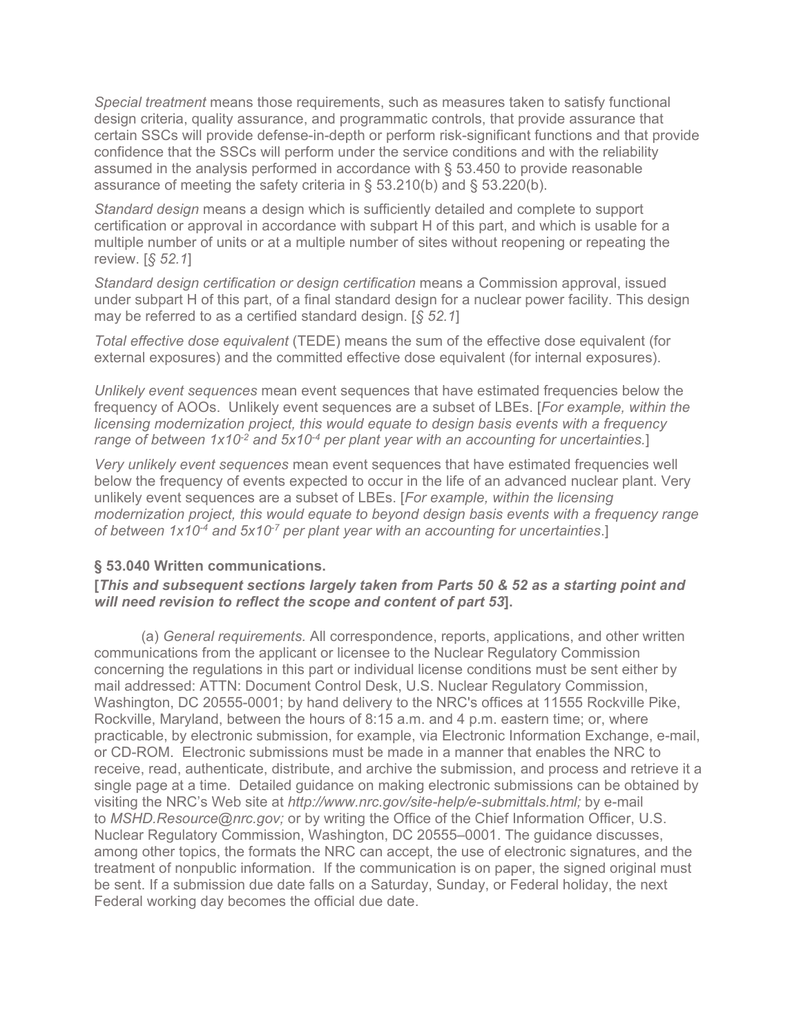*Special treatment* means those requirements, such as measures taken to satisfy functional design criteria, quality assurance, and programmatic controls, that provide assurance that certain SSCs will provide defense-in-depth or perform risk-significant functions and that provide confidence that the SSCs will perform under the service conditions and with the reliability assumed in the analysis performed in accordance with § 53.450 to provide reasonable assurance of meeting the safety criteria in § 53.210(b) and § 53.220(b).

*Standard design* means a design which is sufficiently detailed and complete to support certification or approval in accordance with subpart H of this part, and which is usable for a multiple number of units or at a multiple number of sites without reopening or repeating the review. [*§ 52.1*]

*Standard design certification or design certification* means a Commission approval, issued under subpart H of this part, of a final standard design for a nuclear power facility. This design may be referred to as a certified standard design. [*§ 52.1*]

*Total effective dose equivalent* (TEDE) means the sum of the effective dose equivalent (for external exposures) and the committed effective dose equivalent (for internal exposures).

*Unlikely event sequences* mean event sequences that have estimated frequencies below the frequency of AOOs. Unlikely event sequences are a subset of LBEs. [*For example, within the licensing modernization project, this would equate to design basis events with a frequency range of between 1x10-2 and 5x10-4 per plant year with an accounting for uncertainties.*]

*Very unlikely event sequences* mean event sequences that have estimated frequencies well below the frequency of events expected to occur in the life of an advanced nuclear plant. Very unlikely event sequences are a subset of LBEs. [*For example, within the licensing modernization project, this would equate to beyond design basis events with a frequency range of between 1x10-4 and 5x10-7 per plant year with an accounting for uncertainties*.]

### **§ 53.040 Written communications.**

### **[***This and subsequent sections largely taken from Parts 50 & 52 as a starting point and will need revision to reflect the scope and content of part 53***].**

(a) *General requirements.* All correspondence, reports, applications, and other written communications from the applicant or licensee to the Nuclear Regulatory Commission concerning the regulations in this part or individual license conditions must be sent either by mail addressed: ATTN: Document Control Desk, U.S. Nuclear Regulatory Commission, Washington, DC 20555-0001; by hand delivery to the NRC's offices at 11555 Rockville Pike, Rockville, Maryland, between the hours of 8:15 a.m. and 4 p.m. eastern time; or, where practicable, by electronic submission, for example, via Electronic Information Exchange, e-mail, or CD-ROM. Electronic submissions must be made in a manner that enables the NRC to receive, read, authenticate, distribute, and archive the submission, and process and retrieve it a single page at a time. Detailed guidance on making electronic submissions can be obtained by visiting the NRC's Web site at *http://www.nrc.gov/site-help/e-submittals.html;* by e-mail to *MSHD.Resource@nrc.gov;* or by writing the Office of the Chief Information Officer, U.S. Nuclear Regulatory Commission, Washington, DC 20555–0001. The guidance discusses, among other topics, the formats the NRC can accept, the use of electronic signatures, and the treatment of nonpublic information. If the communication is on paper, the signed original must be sent. If a submission due date falls on a Saturday, Sunday, or Federal holiday, the next Federal working day becomes the official due date.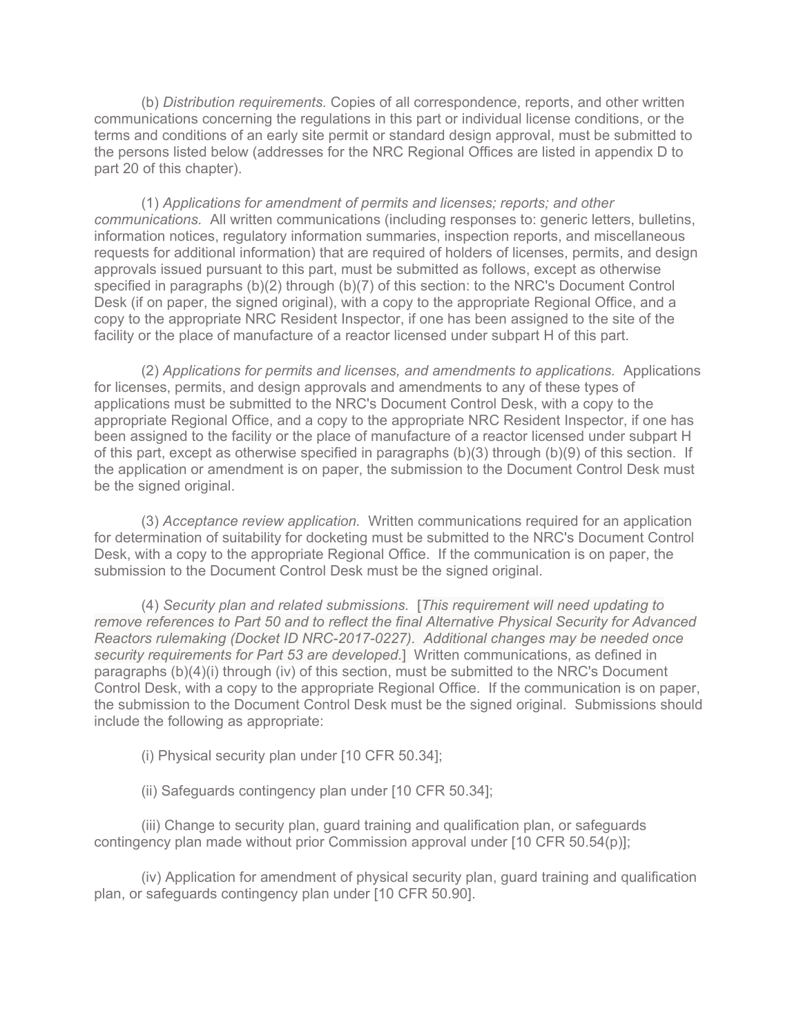(b) *Distribution requirements.* Copies of all correspondence, reports, and other written communications concerning the regulations in this part or individual license conditions, or the terms and conditions of an early site permit or standard design approval, must be submitted to the persons listed below (addresses for the NRC Regional Offices are listed in appendix D to part 20 of this chapter).

(1) *Applications for amendment of permits and licenses; reports; and other communications.* All written communications (including responses to: generic letters, bulletins, information notices, regulatory information summaries, inspection reports, and miscellaneous requests for additional information) that are required of holders of licenses, permits, and design approvals issued pursuant to this part, must be submitted as follows, except as otherwise specified in paragraphs (b)(2) through (b)(7) of this section: to the NRC's Document Control Desk (if on paper, the signed original), with a copy to the appropriate Regional Office, and a copy to the appropriate NRC Resident Inspector, if one has been assigned to the site of the facility or the place of manufacture of a reactor licensed under subpart H of this part.

(2) *Applications for permits and licenses, and amendments to applications.* Applications for licenses, permits, and design approvals and amendments to any of these types of applications must be submitted to the NRC's Document Control Desk, with a copy to the appropriate Regional Office, and a copy to the appropriate NRC Resident Inspector, if one has been assigned to the facility or the place of manufacture of a reactor licensed under subpart H of this part, except as otherwise specified in paragraphs (b)(3) through (b)(9) of this section. If the application or amendment is on paper, the submission to the Document Control Desk must be the signed original.

(3) *Acceptance review application.* Written communications required for an application for determination of suitability for docketing must be submitted to the NRC's Document Control Desk, with a copy to the appropriate Regional Office. If the communication is on paper, the submission to the Document Control Desk must be the signed original.

(4) *Security plan and related submissions.* [*This requirement will need updating to remove references to Part 50 and to reflect the final Alternative Physical Security for Advanced Reactors rulemaking (Docket ID NRC-2017-0227). Additional changes may be needed once security requirements for Part 53 are developed.*] Written communications, as defined in paragraphs (b)(4)(i) through (iv) of this section, must be submitted to the NRC's Document Control Desk, with a copy to the appropriate Regional Office. If the communication is on paper, the submission to the Document Control Desk must be the signed original. Submissions should include the following as appropriate:

(i) Physical security plan under [10 CFR 50.34];

(ii) Safeguards contingency plan under [10 CFR 50.34];

(iii) Change to security plan, guard training and qualification plan, or safeguards contingency plan made without prior Commission approval under [10 CFR 50.54(p)];

(iv) Application for amendment of physical security plan, guard training and qualification plan, or safeguards contingency plan under [10 CFR 50.90].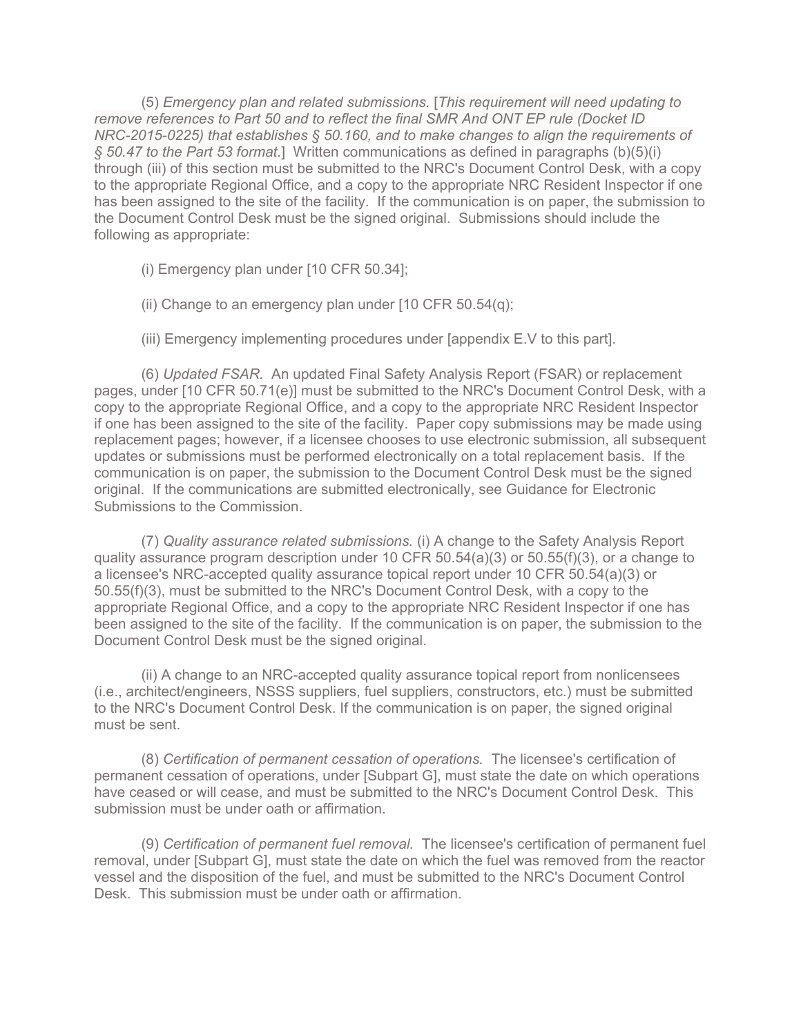(5) *Emergency plan and related submissions.* [*This requirement will need updating to remove references to Part 50 and to reflect the final SMR And ONT EP rule (Docket ID NRC-2015-0225) that establishes § 50.160, and to make changes to align the requirements of § 50.47 to the Part 53 format.*] Written communications as defined in paragraphs (b)(5)(i) through (iii) of this section must be submitted to the NRC's Document Control Desk, with a copy to the appropriate Regional Office, and a copy to the appropriate NRC Resident Inspector if one has been assigned to the site of the facility. If the communication is on paper, the submission to the Document Control Desk must be the signed original. Submissions should include the following as appropriate:

(i) Emergency plan under [10 CFR 50.34];

(ii) Change to an emergency plan under  $[10$  CFR 50.54(q);

(iii) Emergency implementing procedures under [appendix E.V to this part].

(6) *Updated FSAR.* An updated Final Safety Analysis Report (FSAR) or replacement pages, under [10 CFR 50.71(e)] must be submitted to the NRC's Document Control Desk, with a copy to the appropriate Regional Office, and a copy to the appropriate NRC Resident Inspector if one has been assigned to the site of the facility. Paper copy submissions may be made using replacement pages; however, if a licensee chooses to use electronic submission, all subsequent updates or submissions must be performed electronically on a total replacement basis. If the communication is on paper, the submission to the Document Control Desk must be the signed original. If the communications are submitted electronically, see Guidance for Electronic Submissions to the Commission.

(7) *Quality assurance related submissions.* (i) A change to the Safety Analysis Report quality assurance program description under 10 CFR 50.54(a)(3) or 50.55(f)(3), or a change to a licensee's NRC-accepted quality assurance topical report under 10 CFR 50.54(a)(3) or 50.55(f)(3), must be submitted to the NRC's Document Control Desk, with a copy to the appropriate Regional Office, and a copy to the appropriate NRC Resident Inspector if one has been assigned to the site of the facility. If the communication is on paper, the submission to the Document Control Desk must be the signed original.

(ii) A change to an NRC-accepted quality assurance topical report from nonlicensees (i.e., architect/engineers, NSSS suppliers, fuel suppliers, constructors, etc.) must be submitted to the NRC's Document Control Desk. If the communication is on paper, the signed original must be sent.

(8) *Certification of permanent cessation of operations.* The licensee's certification of permanent cessation of operations, under [Subpart G], must state the date on which operations have ceased or will cease, and must be submitted to the NRC's Document Control Desk. This submission must be under oath or affirmation.

(9) *Certification of permanent fuel removal.* The licensee's certification of permanent fuel removal, under [Subpart G], must state the date on which the fuel was removed from the reactor vessel and the disposition of the fuel, and must be submitted to the NRC's Document Control Desk. This submission must be under oath or affirmation.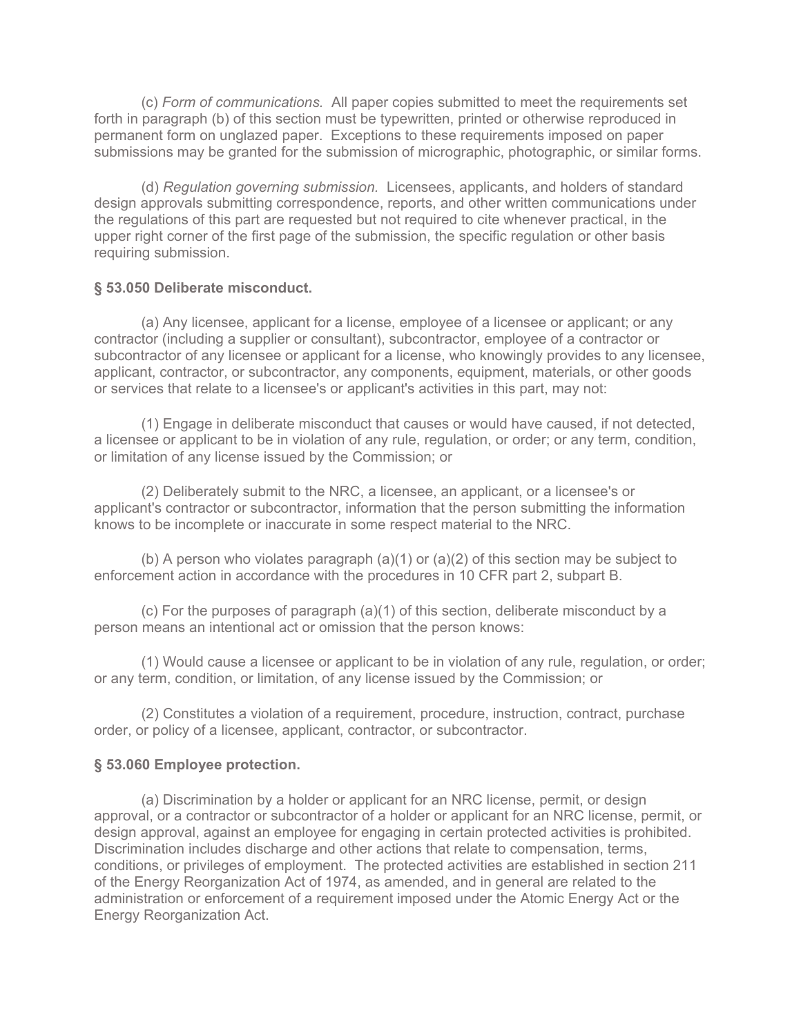(c) *Form of communications.* All paper copies submitted to meet the requirements set forth in paragraph (b) of this section must be typewritten, printed or otherwise reproduced in permanent form on unglazed paper. Exceptions to these requirements imposed on paper submissions may be granted for the submission of micrographic, photographic, or similar forms.

(d) *Regulation governing submission.* Licensees, applicants, and holders of standard design approvals submitting correspondence, reports, and other written communications under the regulations of this part are requested but not required to cite whenever practical, in the upper right corner of the first page of the submission, the specific regulation or other basis requiring submission.

### **§ 53.050 Deliberate misconduct.**

(a) Any licensee, applicant for a license, employee of a licensee or applicant; or any contractor (including a supplier or consultant), subcontractor, employee of a contractor or subcontractor of any licensee or applicant for a license, who knowingly provides to any licensee, applicant, contractor, or subcontractor, any components, equipment, materials, or other goods or services that relate to a licensee's or applicant's activities in this part, may not:

(1) Engage in deliberate misconduct that causes or would have caused, if not detected, a licensee or applicant to be in violation of any rule, regulation, or order; or any term, condition, or limitation of any license issued by the Commission; or

(2) Deliberately submit to the NRC, a licensee, an applicant, or a licensee's or applicant's contractor or subcontractor, information that the person submitting the information knows to be incomplete or inaccurate in some respect material to the NRC.

(b) A person who violates paragraph (a)(1) or (a)(2) of this section may be subject to enforcement action in accordance with the procedures in 10 CFR part 2, subpart B.

(c) For the purposes of paragraph (a)(1) of this section, deliberate misconduct by a person means an intentional act or omission that the person knows:

(1) Would cause a licensee or applicant to be in violation of any rule, regulation, or order; or any term, condition, or limitation, of any license issued by the Commission; or

(2) Constitutes a violation of a requirement, procedure, instruction, contract, purchase order, or policy of a licensee, applicant, contractor, or subcontractor.

### **§ 53.060 Employee protection.**

(a) Discrimination by a holder or applicant for an NRC license, permit, or design approval, or a contractor or subcontractor of a holder or applicant for an NRC license, permit, or design approval, against an employee for engaging in certain protected activities is prohibited. Discrimination includes discharge and other actions that relate to compensation, terms, conditions, or privileges of employment. The protected activities are established in section 211 of the Energy Reorganization Act of 1974, as amended, and in general are related to the administration or enforcement of a requirement imposed under the Atomic Energy Act or the Energy Reorganization Act.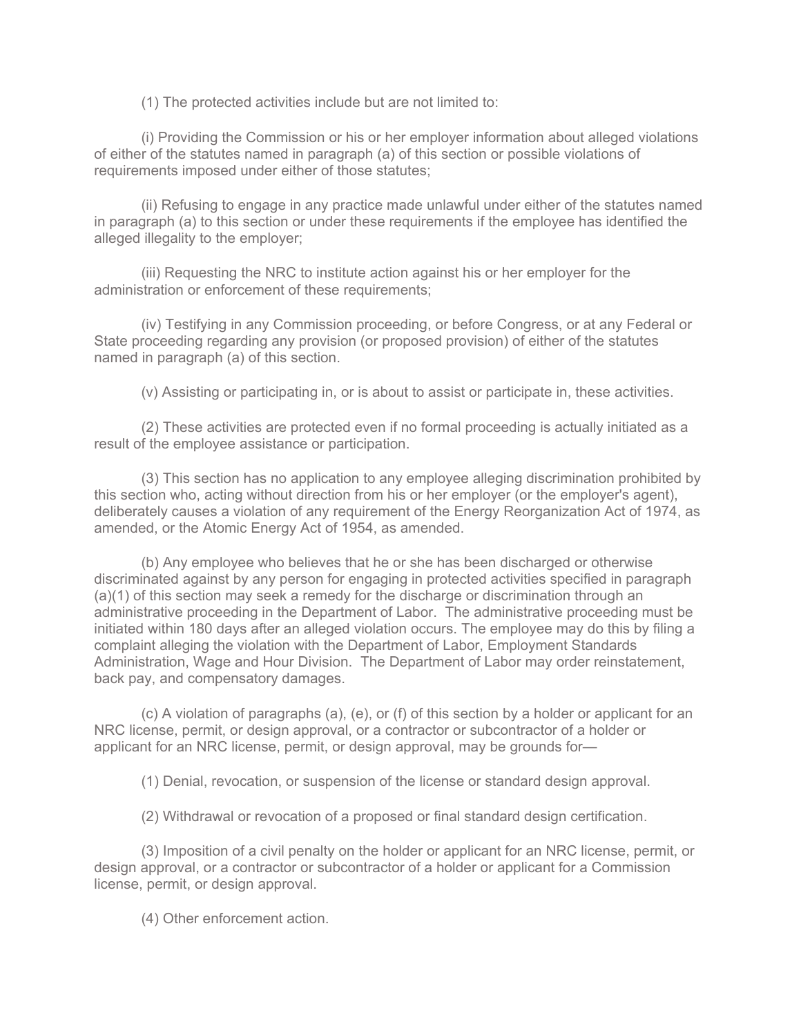(1) The protected activities include but are not limited to:

(i) Providing the Commission or his or her employer information about alleged violations of either of the statutes named in paragraph (a) of this section or possible violations of requirements imposed under either of those statutes;

(ii) Refusing to engage in any practice made unlawful under either of the statutes named in paragraph (a) to this section or under these requirements if the employee has identified the alleged illegality to the employer;

(iii) Requesting the NRC to institute action against his or her employer for the administration or enforcement of these requirements;

(iv) Testifying in any Commission proceeding, or before Congress, or at any Federal or State proceeding regarding any provision (or proposed provision) of either of the statutes named in paragraph (a) of this section.

(v) Assisting or participating in, or is about to assist or participate in, these activities.

(2) These activities are protected even if no formal proceeding is actually initiated as a result of the employee assistance or participation.

(3) This section has no application to any employee alleging discrimination prohibited by this section who, acting without direction from his or her employer (or the employer's agent), deliberately causes a violation of any requirement of the Energy Reorganization Act of 1974, as amended, or the Atomic Energy Act of 1954, as amended.

(b) Any employee who believes that he or she has been discharged or otherwise discriminated against by any person for engaging in protected activities specified in paragraph (a)(1) of this section may seek a remedy for the discharge or discrimination through an administrative proceeding in the Department of Labor. The administrative proceeding must be initiated within 180 days after an alleged violation occurs. The employee may do this by filing a complaint alleging the violation with the Department of Labor, Employment Standards Administration, Wage and Hour Division. The Department of Labor may order reinstatement, back pay, and compensatory damages.

(c) A violation of paragraphs (a), (e), or (f) of this section by a holder or applicant for an NRC license, permit, or design approval, or a contractor or subcontractor of a holder or applicant for an NRC license, permit, or design approval, may be grounds for—

(1) Denial, revocation, or suspension of the license or standard design approval.

(2) Withdrawal or revocation of a proposed or final standard design certification.

(3) Imposition of a civil penalty on the holder or applicant for an NRC license, permit, or design approval, or a contractor or subcontractor of a holder or applicant for a Commission license, permit, or design approval.

(4) Other enforcement action.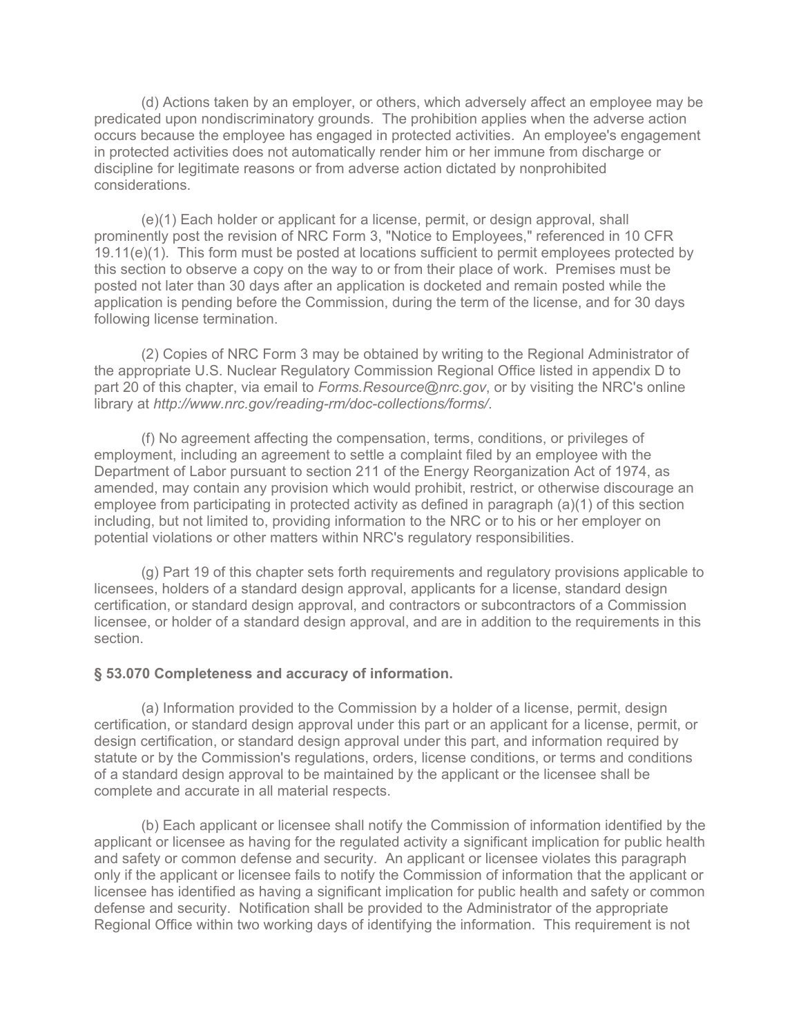(d) Actions taken by an employer, or others, which adversely affect an employee may be predicated upon nondiscriminatory grounds. The prohibition applies when the adverse action occurs because the employee has engaged in protected activities. An employee's engagement in protected activities does not automatically render him or her immune from discharge or discipline for legitimate reasons or from adverse action dictated by nonprohibited considerations.

(e)(1) Each holder or applicant for a license, permit, or design approval, shall prominently post the revision of NRC Form 3, "Notice to Employees," referenced in 10 CFR 19.11(e)(1). This form must be posted at locations sufficient to permit employees protected by this section to observe a copy on the way to or from their place of work. Premises must be posted not later than 30 days after an application is docketed and remain posted while the application is pending before the Commission, during the term of the license, and for 30 days following license termination.

(2) Copies of NRC Form 3 may be obtained by writing to the Regional Administrator of the appropriate U.S. Nuclear Regulatory Commission Regional Office listed in appendix D to part 20 of this chapter, via email to *Forms.Resource@nrc.gov*, or by visiting the NRC's online library at *http://www.nrc.gov/reading-rm/doc-collections/forms/*.

(f) No agreement affecting the compensation, terms, conditions, or privileges of employment, including an agreement to settle a complaint filed by an employee with the Department of Labor pursuant to section 211 of the Energy Reorganization Act of 1974, as amended, may contain any provision which would prohibit, restrict, or otherwise discourage an employee from participating in protected activity as defined in paragraph (a)(1) of this section including, but not limited to, providing information to the NRC or to his or her employer on potential violations or other matters within NRC's regulatory responsibilities.

(g) Part 19 of this chapter sets forth requirements and regulatory provisions applicable to licensees, holders of a standard design approval, applicants for a license, standard design certification, or standard design approval, and contractors or subcontractors of a Commission licensee, or holder of a standard design approval, and are in addition to the requirements in this section.

### **§ 53.070 Completeness and accuracy of information.**

(a) Information provided to the Commission by a holder of a license, permit, design certification, or standard design approval under this part or an applicant for a license, permit, or design certification, or standard design approval under this part, and information required by statute or by the Commission's regulations, orders, license conditions, or terms and conditions of a standard design approval to be maintained by the applicant or the licensee shall be complete and accurate in all material respects.

(b) Each applicant or licensee shall notify the Commission of information identified by the applicant or licensee as having for the regulated activity a significant implication for public health and safety or common defense and security. An applicant or licensee violates this paragraph only if the applicant or licensee fails to notify the Commission of information that the applicant or licensee has identified as having a significant implication for public health and safety or common defense and security. Notification shall be provided to the Administrator of the appropriate Regional Office within two working days of identifying the information. This requirement is not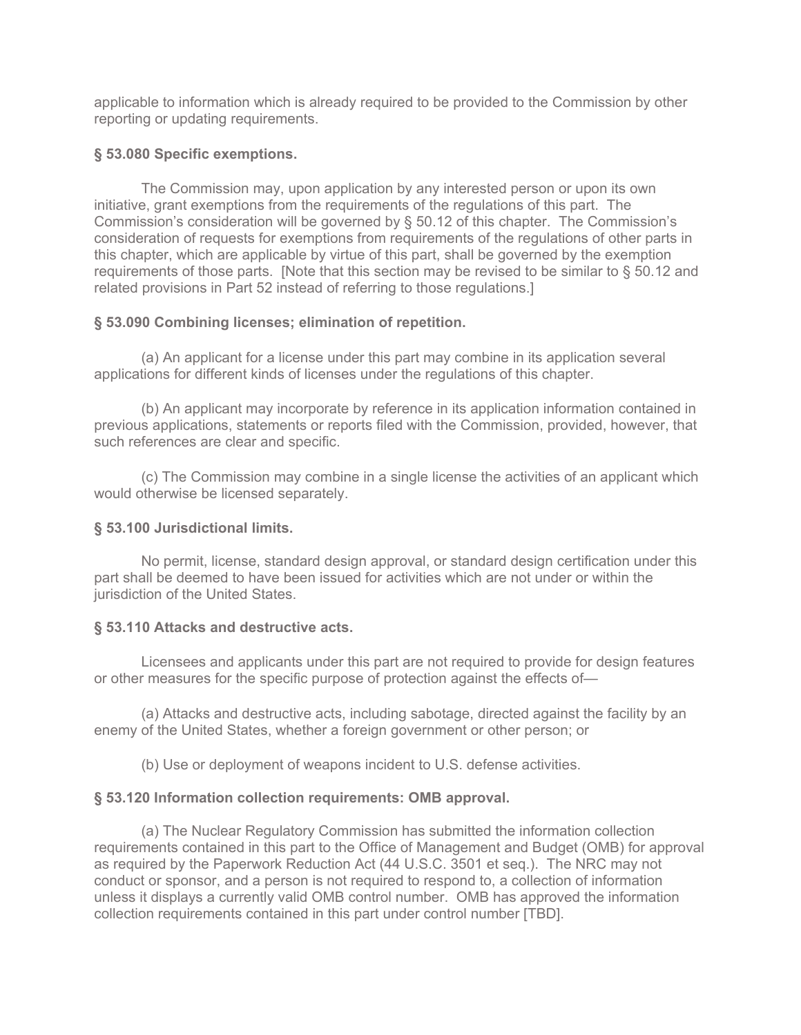applicable to information which is already required to be provided to the Commission by other reporting or updating requirements.

## **§ 53.080 Specific exemptions.**

The Commission may, upon application by any interested person or upon its own initiative, grant exemptions from the requirements of the regulations of this part. The Commission's consideration will be governed by § 50.12 of this chapter. The Commission's consideration of requests for exemptions from requirements of the regulations of other parts in this chapter, which are applicable by virtue of this part, shall be governed by the exemption requirements of those parts. [Note that this section may be revised to be similar to § 50.12 and related provisions in Part 52 instead of referring to those regulations.]

# **§ 53.090 Combining licenses; elimination of repetition.**

(a) An applicant for a license under this part may combine in its application several applications for different kinds of licenses under the regulations of this chapter.

(b) An applicant may incorporate by reference in its application information contained in previous applications, statements or reports filed with the Commission, provided, however, that such references are clear and specific.

(c) The Commission may combine in a single license the activities of an applicant which would otherwise be licensed separately.

## **§ 53.100 Jurisdictional limits.**

No permit, license, standard design approval, or standard design certification under this part shall be deemed to have been issued for activities which are not under or within the jurisdiction of the United States.

## **§ 53.110 Attacks and destructive acts.**

Licensees and applicants under this part are not required to provide for design features or other measures for the specific purpose of protection against the effects of—

(a) Attacks and destructive acts, including sabotage, directed against the facility by an enemy of the United States, whether a foreign government or other person; or

(b) Use or deployment of weapons incident to U.S. defense activities.

# **§ 53.120 Information collection requirements: OMB approval.**

(a) The Nuclear Regulatory Commission has submitted the information collection requirements contained in this part to the Office of Management and Budget (OMB) for approval as required by the Paperwork Reduction Act (44 U.S.C. 3501 et seq.). The NRC may not conduct or sponsor, and a person is not required to respond to, a collection of information unless it displays a currently valid OMB control number. OMB has approved the information collection requirements contained in this part under control number [TBD].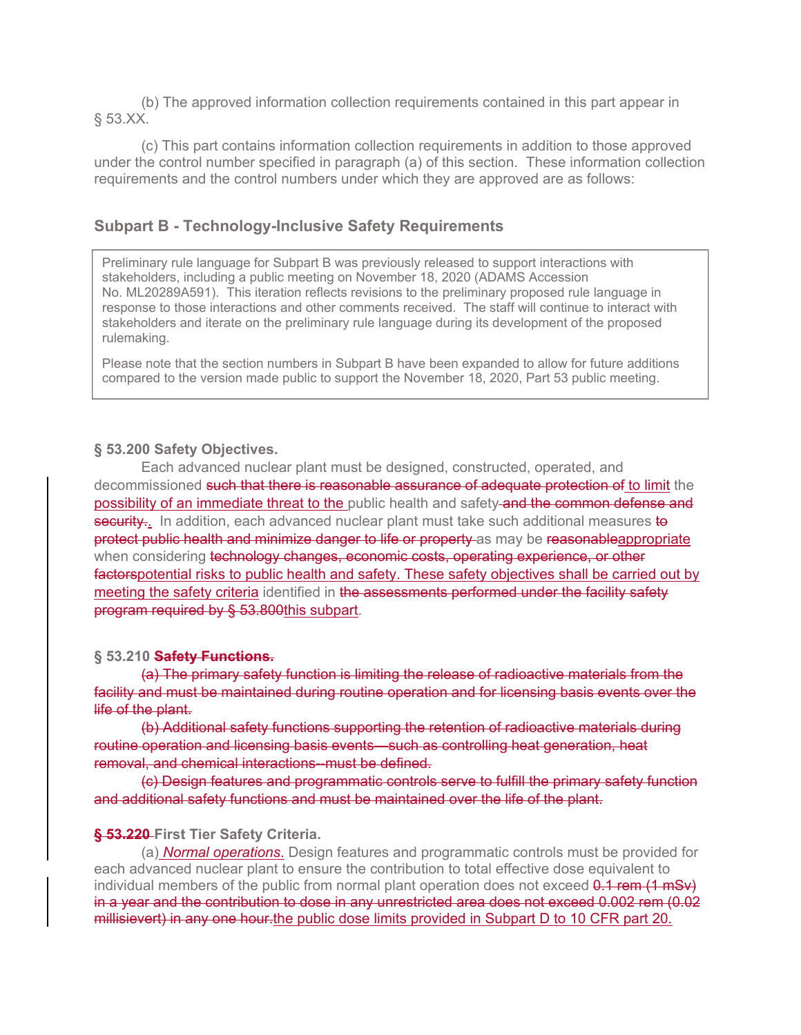(b) The approved information collection requirements contained in this part appear in § 53.XX.

(c) This part contains information collection requirements in addition to those approved under the control number specified in paragraph (a) of this section. These information collection requirements and the control numbers under which they are approved are as follows:

## **Subpart B - Technology-Inclusive Safety Requirements**

Preliminary rule language for Subpart B was previously released to support interactions with stakeholders, including a public meeting on November 18, 2020 (ADAMS Accession No. ML20289A591). This iteration reflects revisions to the preliminary proposed rule language in response to those interactions and other comments received. The staff will continue to interact with stakeholders and iterate on the preliminary rule language during its development of the proposed rulemaking.

Please note that the section numbers in Subpart B have been expanded to allow for future additions compared to the version made public to support the November 18, 2020, Part 53 public meeting.

#### **§ 53.200 Safety Objectives.**

Each advanced nuclear plant must be designed, constructed, operated, and decommissioned such that there is reasonable assurance of adequate protection of to limit the possibility of an immediate threat to the public health and safety-and the common defense and security. In addition, each advanced nuclear plant must take such additional measures to protect public health and minimize danger to life or property as may be reasonableappropriate when considering technology changes, economic costs, operating experience, or other factorspotential risks to public health and safety. These safety objectives shall be carried out by meeting the safety criteria identified in the assessments performed under the facility safety program required by § 53.800this subpart.

#### **§ 53.210 Safety Functions.**

(a) The primary safety function is limiting the release of radioactive materials from the facility and must be maintained during routine operation and for licensing basis events over the life of the plant.

(b) Additional safety functions supporting the retention of radioactive materials during routine operation and licensing basis events—such as controlling heat generation, heat removal, and chemical interactions--must be defined.

(c) Design features and programmatic controls serve to fulfill the primary safety function and additional safety functions and must be maintained over the life of the plant.

#### **§ 53.220 First Tier Safety Criteria.**

(a) *Normal operations*. Design features and programmatic controls must be provided for each advanced nuclear plant to ensure the contribution to total effective dose equivalent to individual members of the public from normal plant operation does not exceed  $0.1$  rem  $(1 \text{ mSv})$ in a year and the contribution to dose in any unrestricted area does not exceed 0.002 rem (0.02 millisievert) in any one hour-the public dose limits provided in Subpart D to 10 CFR part 20.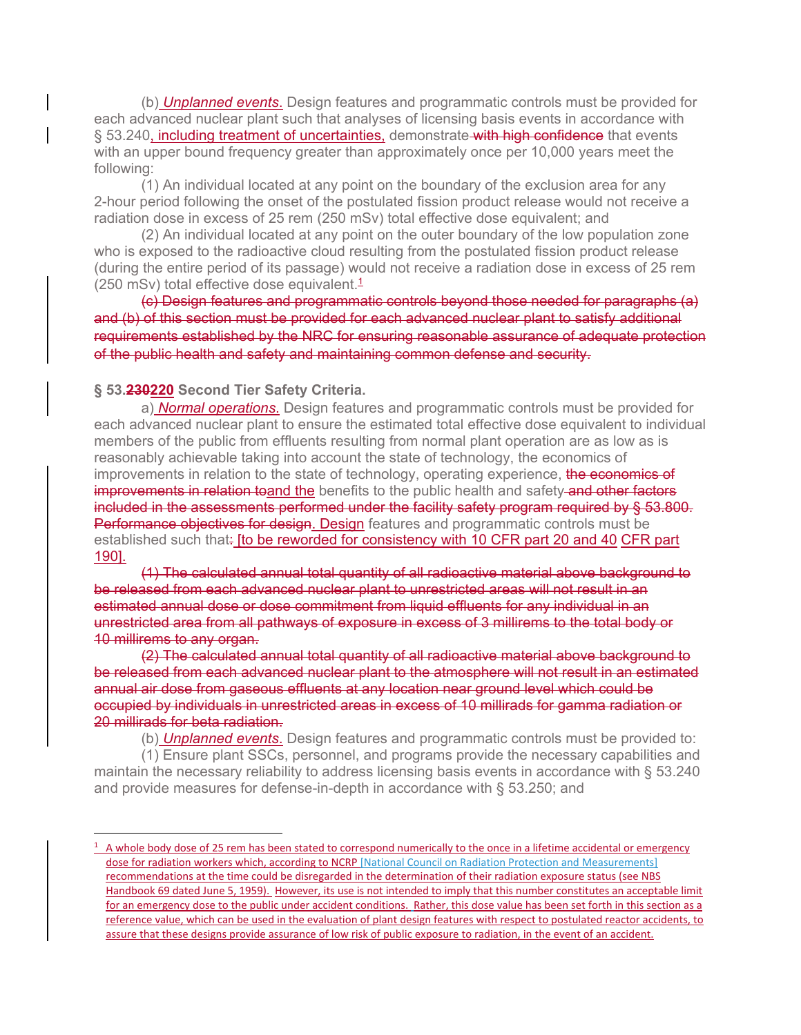(b) *Unplanned events*. Design features and programmatic controls must be provided for each advanced nuclear plant such that analyses of licensing basis events in accordance with § 53.240, including treatment of uncertainties, demonstrate with high confidence that events with an upper bound frequency greater than approximately once per 10,000 years meet the following:

(1) An individual located at any point on the boundary of the exclusion area for any 2-hour period following the onset of the postulated fission product release would not receive a radiation dose in excess of 25 rem (250 mSv) total effective dose equivalent; and

(2) An individual located at any point on the outer boundary of the low population zone who is exposed to the radioactive cloud resulting from the postulated fission product release (during the entire period of its passage) would not receive a radiation dose in excess of 25 rem (250 mSv) total effective dose equivalent. $1$ 

(c) Design features and programmatic controls beyond those needed for paragraphs (a) and (b) of this section must be provided for each advanced nuclear plant to satisfy additional requirements established by the NRC for ensuring reasonable assurance of adequate protection of the public health and safety and maintaining common defense and security.

### **§ 53.230220 Second Tier Safety Criteria.**

1

a) *Normal operations*. Design features and programmatic controls must be provided for each advanced nuclear plant to ensure the estimated total effective dose equivalent to individual members of the public from effluents resulting from normal plant operation are as low as is reasonably achievable taking into account the state of technology, the economics of improvements in relation to the state of technology, operating experience, the economics of improvements in relation toand the benefits to the public health and safety-and other factors included in the assessments performed under the facility safety program required by § 53.800. Performance objectives for design. Design features and programmatic controls must be established such that: [to be reworded for consistency with 10 CFR part 20 and 40 CFR part 190].

(1) The calculated annual total quantity of all radioactive material above background to be released from each advanced nuclear plant to unrestricted areas will not result in an estimated annual dose or dose commitment from liquid effluents for any individual in an unrestricted area from all pathways of exposure in excess of 3 millirems to the total body or 10 millirems to any organ.

(2) The calculated annual total quantity of all radioactive material above background to be released from each advanced nuclear plant to the atmosphere will not result in an estimated annual air dose from gaseous effluents at any location near ground level which could be occupied by individuals in unrestricted areas in excess of 10 millirads for gamma radiation or 20 millirads for beta radiation.

(b) *Unplanned events*. Design features and programmatic controls must be provided to:

(1) Ensure plant SSCs, personnel, and programs provide the necessary capabilities and maintain the necessary reliability to address licensing basis events in accordance with § 53.240 and provide measures for defense-in-depth in accordance with § 53.250; and

 $\frac{1}{1}$  A whole body dose of 25 rem has been stated to correspond numerically to the once in a lifetime accidental or emergency dose for radiation workers which, according to NCRP [National Council on Radiation Protection and Measurements] recommendations at the time could be disregarded in the determination of their radiation exposure status (see NBS Handbook 69 dated June 5, 1959). However, its use is not intended to imply that this number constitutes an acceptable limit for an emergency dose to the public under accident conditions. Rather, this dose value has been set forth in this section as a reference value, which can be used in the evaluation of plant design features with respect to postulated reactor accidents, to assure that these designs provide assurance of low risk of public exposure to radiation, in the event of an accident.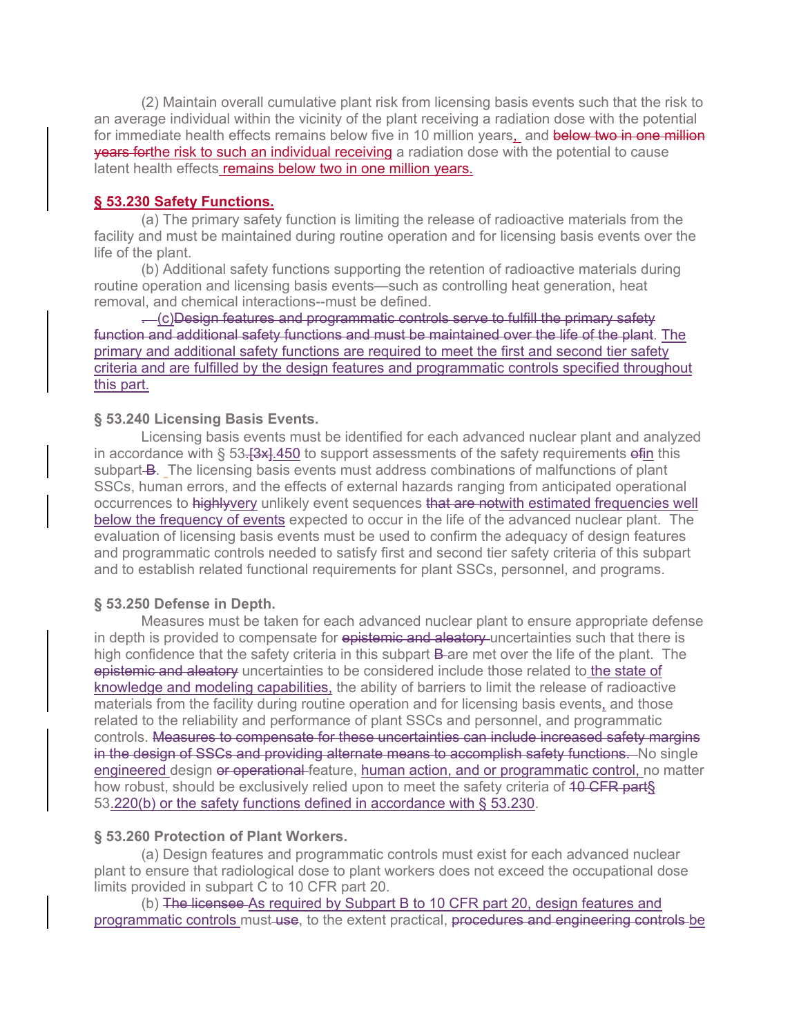(2) Maintain overall cumulative plant risk from licensing basis events such that the risk to an average individual within the vicinity of the plant receiving a radiation dose with the potential for immediate health effects remains below five in 10 million years, and below two in one million years forthe risk to such an individual receiving a radiation dose with the potential to cause latent health effects remains below two in one million years.

## **§ 53.230 Safety Functions.**

(a) The primary safety function is limiting the release of radioactive materials from the facility and must be maintained during routine operation and for licensing basis events over the life of the plant.

(b) Additional safety functions supporting the retention of radioactive materials during routine operation and licensing basis events—such as controlling heat generation, heat removal, and chemical interactions--must be defined.

. (c)Design features and programmatic controls serve to fulfill the primary safety function and additional safety functions and must be maintained over the life of the plant. The primary and additional safety functions are required to meet the first and second tier safety criteria and are fulfilled by the design features and programmatic controls specified throughout this part.

### **§ 53.240 Licensing Basis Events.**

Licensing basis events must be identified for each advanced nuclear plant and analyzed in accordance with § 53-<sup>[3x]</sup>.450 to support assessments of the safety requirements of in this subpart **B**. The licensing basis events must address combinations of malfunctions of plant SSCs, human errors, and the effects of external hazards ranging from anticipated operational occurrences to highlyvery unlikely event sequences that are notwith estimated frequencies well below the frequency of events expected to occur in the life of the advanced nuclear plant. The evaluation of licensing basis events must be used to confirm the adequacy of design features and programmatic controls needed to satisfy first and second tier safety criteria of this subpart and to establish related functional requirements for plant SSCs, personnel, and programs.

### **§ 53.250 Defense in Depth.**

Measures must be taken for each advanced nuclear plant to ensure appropriate defense in depth is provided to compensate for epistemic and aleatory uncertainties such that there is high confidence that the safety criteria in this subpart **B**-are met over the life of the plant. The epistemic and aleatory uncertainties to be considered include those related to the state of knowledge and modeling capabilities, the ability of barriers to limit the release of radioactive materials from the facility during routine operation and for licensing basis events, and those related to the reliability and performance of plant SSCs and personnel, and programmatic controls. Measures to compensate for these uncertainties can include increased safety margins in the design of SSCs and providing alternate means to accomplish safety functions. No single engineered design or operational feature, human action, and or programmatic control, no matter how robust, should be exclusively relied upon to meet the safety criteria of 40 CFR part§ 53.220(b) or the safety functions defined in accordance with § 53.230.

#### **§ 53.260 Protection of Plant Workers.**

(a) Design features and programmatic controls must exist for each advanced nuclear plant to ensure that radiological dose to plant workers does not exceed the occupational dose limits provided in subpart C to 10 CFR part 20.

(b) The licensee As required by Subpart B to 10 CFR part 20, design features and programmatic controls must use, to the extent practical, procedures and engineering controls be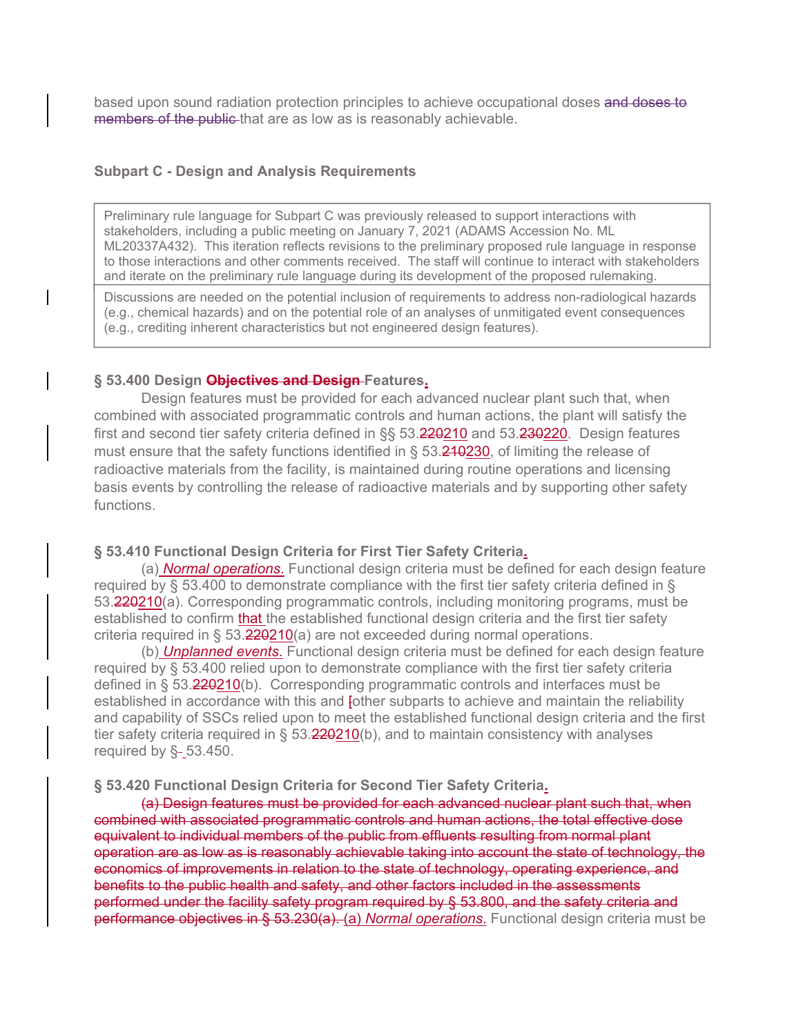based upon sound radiation protection principles to achieve occupational doses and doses to members of the public that are as low as is reasonably achievable.

### **Subpart C - Design and Analysis Requirements**

Preliminary rule language for Subpart C was previously released to support interactions with stakeholders, including a public meeting on January 7, 2021 (ADAMS Accession No. ML ML20337A432). This iteration reflects revisions to the preliminary proposed rule language in response to those interactions and other comments received. The staff will continue to interact with stakeholders and iterate on the preliminary rule language during its development of the proposed rulemaking.

Discussions are needed on the potential inclusion of requirements to address non-radiological hazards (e.g., chemical hazards) and on the potential role of an analyses of unmitigated event consequences (e.g., crediting inherent characteristics but not engineered design features).

#### **§ 53.400 Design Objectives and Design Features.**

Design features must be provided for each advanced nuclear plant such that, when combined with associated programmatic controls and human actions, the plant will satisfy the first and second tier safety criteria defined in §§ 53.220210 and 53.230220. Design features must ensure that the safety functions identified in  $\S$  53.210230, of limiting the release of radioactive materials from the facility, is maintained during routine operations and licensing basis events by controlling the release of radioactive materials and by supporting other safety functions.

#### **§ 53.410 Functional Design Criteria for First Tier Safety Criteria.**

(a) *Normal operations*. Functional design criteria must be defined for each design feature required by § 53.400 to demonstrate compliance with the first tier safety criteria defined in § 53.220210(a). Corresponding programmatic controls, including monitoring programs, must be established to confirm that the established functional design criteria and the first tier safety criteria required in  $\S 53.220210(a)$  are not exceeded during normal operations.

(b) *Unplanned events*. Functional design criteria must be defined for each design feature required by § 53.400 relied upon to demonstrate compliance with the first tier safety criteria defined in § 53.220210(b). Corresponding programmatic controls and interfaces must be established in accordance with this and [other subparts to achieve and maintain the reliability and capability of SSCs relied upon to meet the established functional design criteria and the first tier safety criteria required in  $\S 53.220210(b)$ , and to maintain consistency with analyses required by  $\S$ - 53.450.

#### **§ 53.420 Functional Design Criteria for Second Tier Safety Criteria.**

(a) Design features must be provided for each advanced nuclear plant such that, when combined with associated programmatic controls and human actions, the total effective dose equivalent to individual members of the public from effluents resulting from normal plant operation are as low as is reasonably achievable taking into account the state of technology, the economics of improvements in relation to the state of technology, operating experience, and benefits to the public health and safety, and other factors included in the assessments performed under the facility safety program required by § 53.800, and the safety criteria and performance objectives in § 53.230(a). (a) *Normal operations*. Functional design criteria must be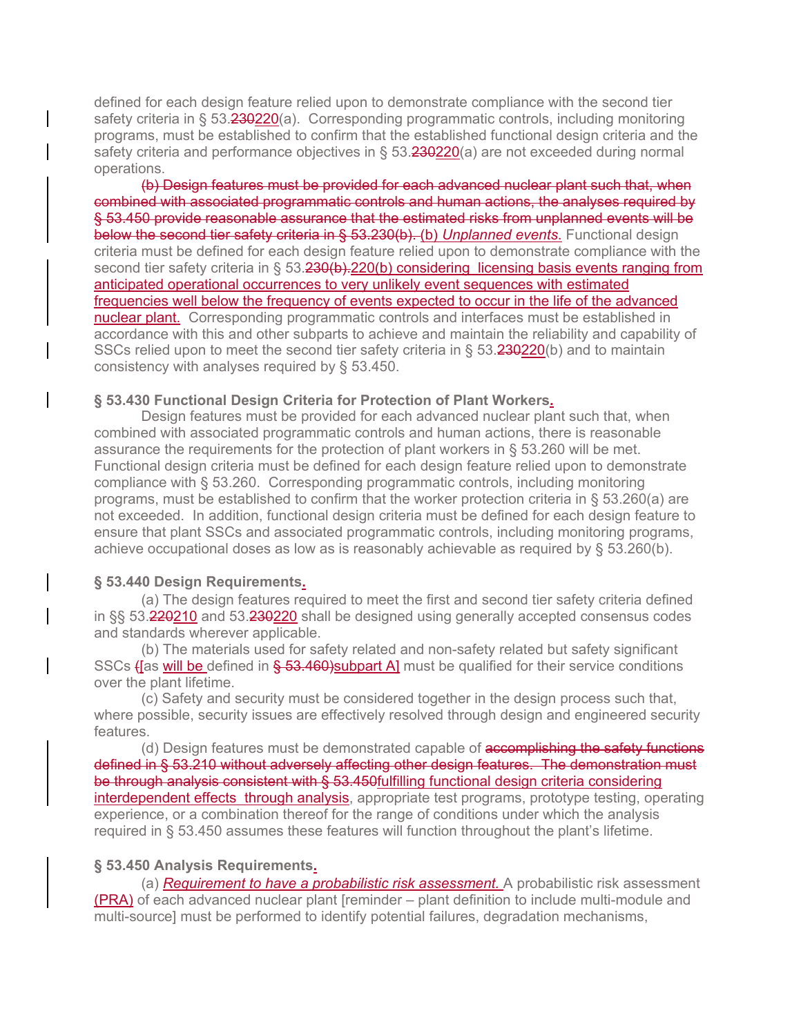defined for each design feature relied upon to demonstrate compliance with the second tier safety criteria in § 53.230220(a). Corresponding programmatic controls, including monitoring programs, must be established to confirm that the established functional design criteria and the safety criteria and performance objectives in § 53.230220(a) are not exceeded during normal operations.

(b) Design features must be provided for each advanced nuclear plant such that, when combined with associated programmatic controls and human actions, the analyses required by § 53.450 provide reasonable assurance that the estimated risks from unplanned events will be below the second tier safety criteria in § 53.230(b). (b) *Unplanned events*. Functional design criteria must be defined for each design feature relied upon to demonstrate compliance with the second tier safety criteria in § 53.230(b).220(b) considering licensing basis events ranging from anticipated operational occurrences to very unlikely event sequences with estimated frequencies well below the frequency of events expected to occur in the life of the advanced nuclear plant. Corresponding programmatic controls and interfaces must be established in accordance with this and other subparts to achieve and maintain the reliability and capability of SSCs relied upon to meet the second tier safety criteria in § 53.230220(b) and to maintain consistency with analyses required by § 53.450.

#### **§ 53.430 Functional Design Criteria for Protection of Plant Workers.**

Design features must be provided for each advanced nuclear plant such that, when combined with associated programmatic controls and human actions, there is reasonable assurance the requirements for the protection of plant workers in § 53.260 will be met. Functional design criteria must be defined for each design feature relied upon to demonstrate compliance with § 53.260. Corresponding programmatic controls, including monitoring programs, must be established to confirm that the worker protection criteria in  $\S$  53.260(a) are not exceeded. In addition, functional design criteria must be defined for each design feature to ensure that plant SSCs and associated programmatic controls, including monitoring programs, achieve occupational doses as low as is reasonably achievable as required by § 53.260(b).

#### **§ 53.440 Design Requirements.**

(a) The design features required to meet the first and second tier safety criteria defined in §§ 53.220210 and 53.230220 shall be designed using generally accepted consensus codes and standards wherever applicable.

(b) The materials used for safety related and non-safety related but safety significant SSCs ([as will be defined in § 53.460)subpart A] must be qualified for their service conditions over the plant lifetime.

(c) Safety and security must be considered together in the design process such that, where possible, security issues are effectively resolved through design and engineered security features.

(d) Design features must be demonstrated capable of **accomplishing the safety functions** defined in § 53.210 without adversely affecting other design features. The demonstration must be through analysis consistent with § 53.450fulfilling functional design criteria considering interdependent effects through analysis, appropriate test programs, prototype testing, operating experience, or a combination thereof for the range of conditions under which the analysis required in § 53.450 assumes these features will function throughout the plant's lifetime.

#### **§ 53.450 Analysis Requirements.**

(a) *Requirement to have a probabilistic risk assessment.* A probabilistic risk assessment (PRA) of each advanced nuclear plant [reminder – plant definition to include multi-module and multi-source] must be performed to identify potential failures, degradation mechanisms,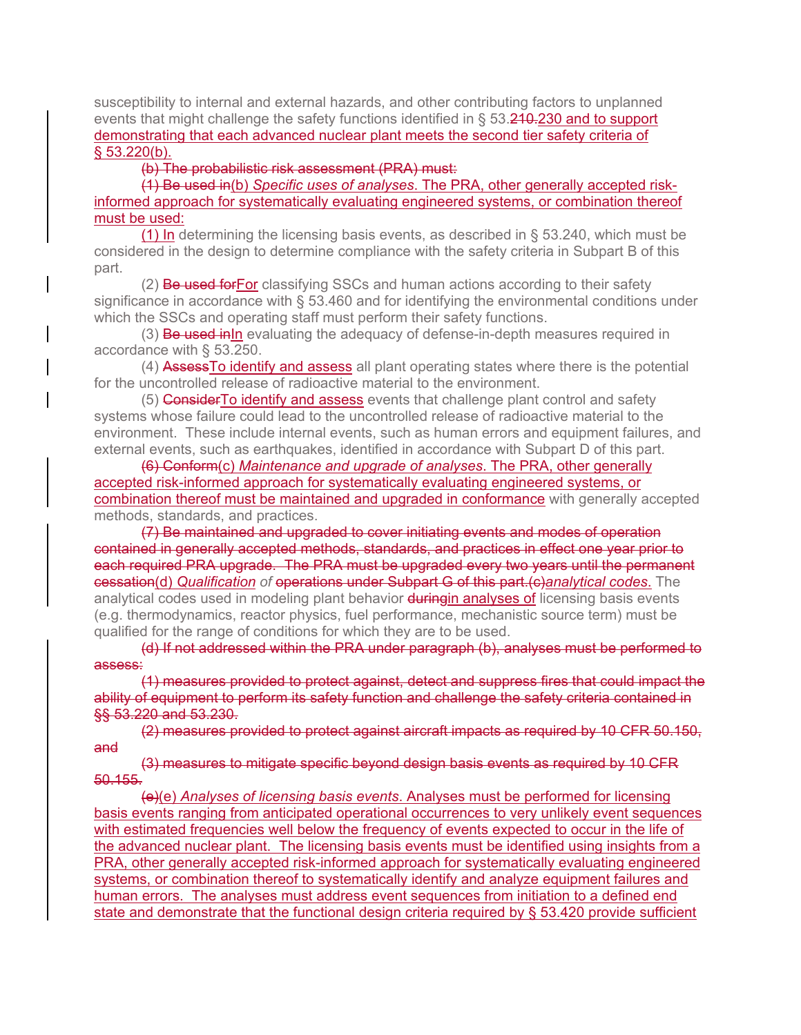susceptibility to internal and external hazards, and other contributing factors to unplanned events that might challenge the safety functions identified in § 53.210.230 and to support demonstrating that each advanced nuclear plant meets the second tier safety criteria of § 53.220(b).

(b) The probabilistic risk assessment (PRA) must:

(1) Be used in(b) *Specific uses of analyses*. The PRA, other generally accepted riskinformed approach for systematically evaluating engineered systems, or combination thereof must be used:

(1) In determining the licensing basis events, as described in  $\S$  53.240, which must be considered in the design to determine compliance with the safety criteria in Subpart B of this part.

(2) Be used for For classifying SSCs and human actions according to their safety significance in accordance with § 53.460 and for identifying the environmental conditions under which the SSCs and operating staff must perform their safety functions.

(3) **Be used inin** evaluating the adequacy of defense-in-depth measures required in accordance with § 53.250.

(4) **Assess To identify and assess** all plant operating states where there is the potential for the uncontrolled release of radioactive material to the environment.

(5) ConsiderTo identify and assess events that challenge plant control and safety systems whose failure could lead to the uncontrolled release of radioactive material to the environment. These include internal events, such as human errors and equipment failures, and external events, such as earthquakes, identified in accordance with Subpart D of this part.

(6) Conform(c) *Maintenance and upgrade of analyses*. The PRA, other generally accepted risk-informed approach for systematically evaluating engineered systems, or combination thereof must be maintained and upgraded in conformance with generally accepted methods, standards, and practices.

(7) Be maintained and upgraded to cover initiating events and modes of operation contained in generally accepted methods, standards, and practices in effect one year prior to each required PRA upgrade. The PRA must be upgraded every two years until the permanent cessation(d) *Qualification of* operations under Subpart G of this part.(c)*analytical codes*. The analytical codes used in modeling plant behavior duringin analyses of licensing basis events (e.g. thermodynamics, reactor physics, fuel performance, mechanistic source term) must be qualified for the range of conditions for which they are to be used.

(d) If not addressed within the PRA under paragraph (b), analyses must be performed to assess:

(1) measures provided to protect against, detect and suppress fires that could impact the ability of equipment to perform its safety function and challenge the safety criteria contained in §§ 53.220 and 53.230.

(2) measures provided to protect against aircraft impacts as required by 10 CFR 50.150, and

(3) measures to mitigate specific beyond design basis events as required by 10 CFR 50.155.

(e)(e) *Analyses of licensing basis events*. Analyses must be performed for licensing basis events ranging from anticipated operational occurrences to very unlikely event sequences with estimated frequencies well below the frequency of events expected to occur in the life of the advanced nuclear plant. The licensing basis events must be identified using insights from a PRA, other generally accepted risk-informed approach for systematically evaluating engineered systems, or combination thereof to systematically identify and analyze equipment failures and human errors. The analyses must address event sequences from initiation to a defined end state and demonstrate that the functional design criteria required by § 53.420 provide sufficient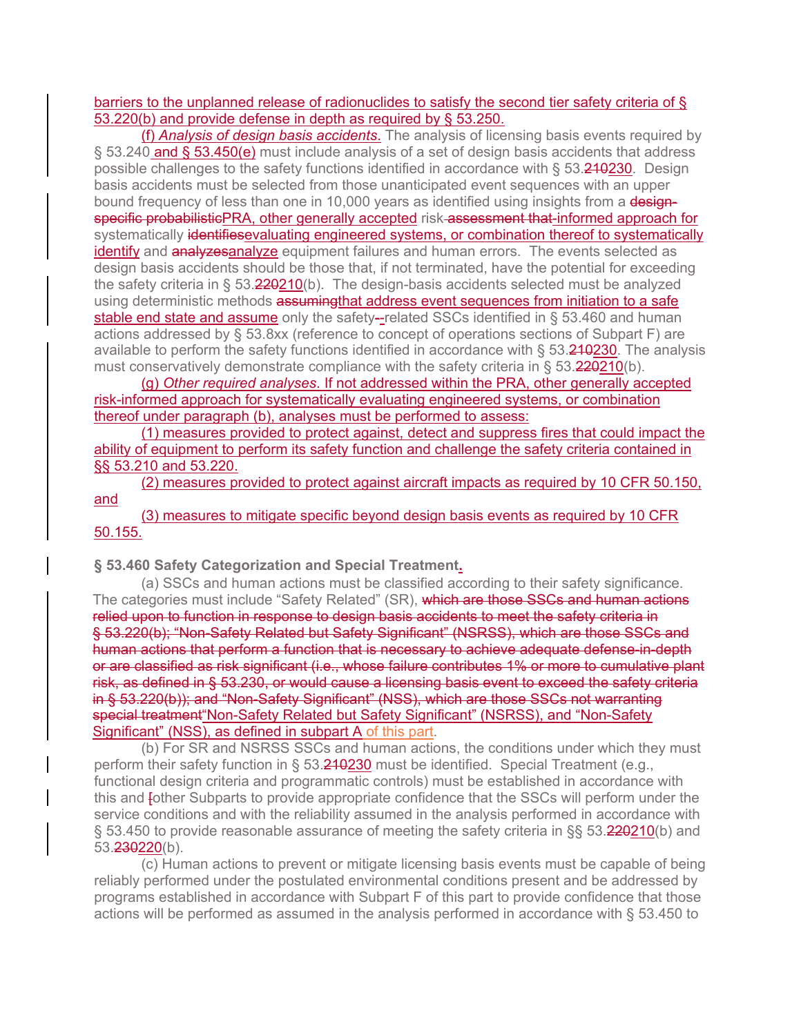### barriers to the unplanned release of radionuclides to satisfy the second tier safety criteria of § 53.220(b) and provide defense in depth as required by § 53.250.

(f) *Analysis of design basis accidents*. The analysis of licensing basis events required by § 53.240 and § 53.450(e) must include analysis of a set of design basis accidents that address possible challenges to the safety functions identified in accordance with § 53.210230. Design basis accidents must be selected from those unanticipated event sequences with an upper bound frequency of less than one in 10,000 years as identified using insights from a designspecific probabilisticPRA, other generally accepted risk assessment that-informed approach for systematically identifiesevaluating engineered systems, or combination thereof to systematically identify and **analyzesanalyze** equipment failures and human errors. The events selected as design basis accidents should be those that, if not terminated, have the potential for exceeding the safety criteria in  $\S 53.220210(b)$ . The design-basis accidents selected must be analyzed using deterministic methods assumingthat address event sequences from initiation to a safe stable end state and assume only the safety--related SSCs identified in § 53.460 and human actions addressed by § 53.8xx (reference to concept of operations sections of Subpart F) are available to perform the safety functions identified in accordance with § 53.210230. The analysis must conservatively demonstrate compliance with the safety criteria in  $\S 53.220210(b)$ .

(g) *Other required analyses*. If not addressed within the PRA, other generally accepted risk-informed approach for systematically evaluating engineered systems, or combination thereof under paragraph (b), analyses must be performed to assess:

(1) measures provided to protect against, detect and suppress fires that could impact the ability of equipment to perform its safety function and challenge the safety criteria contained in §§ 53.210 and 53.220.

(2) measures provided to protect against aircraft impacts as required by 10 CFR 50.150, and

(3) measures to mitigate specific beyond design basis events as required by 10 CFR 50.155.

### **§ 53.460 Safety Categorization and Special Treatment.**

(a) SSCs and human actions must be classified according to their safety significance. The categories must include "Safety Related" (SR), which are those SSCs and human actions relied upon to function in response to design basis accidents to meet the safety criteria in § 53.220(b); "Non-Safety Related but Safety Significant" (NSRSS), which are those SSCs and human actions that perform a function that is necessary to achieve adequate defense-in-depth or are classified as risk significant (i.e., whose failure contributes 1% or more to cumulative plant risk, as defined in § 53.230, or would cause a licensing basis event to exceed the safety criteria in § 53.220(b)); and "Non-Safety Significant" (NSS), which are those SSCs not warranting special treatment"Non-Safety Related but Safety Significant" (NSRSS), and "Non-Safety Significant" (NSS), as defined in subpart A of this part.

(b) For SR and NSRSS SSCs and human actions, the conditions under which they must perform their safety function in § 53.210230 must be identified. Special Treatment (e.g., functional design criteria and programmatic controls) must be established in accordance with this and Fother Subparts to provide appropriate confidence that the SSCs will perform under the service conditions and with the reliability assumed in the analysis performed in accordance with § 53.450 to provide reasonable assurance of meeting the safety criteria in §§ 53.220210(b) and 53.230220(b).

(c) Human actions to prevent or mitigate licensing basis events must be capable of being reliably performed under the postulated environmental conditions present and be addressed by programs established in accordance with Subpart F of this part to provide confidence that those actions will be performed as assumed in the analysis performed in accordance with § 53.450 to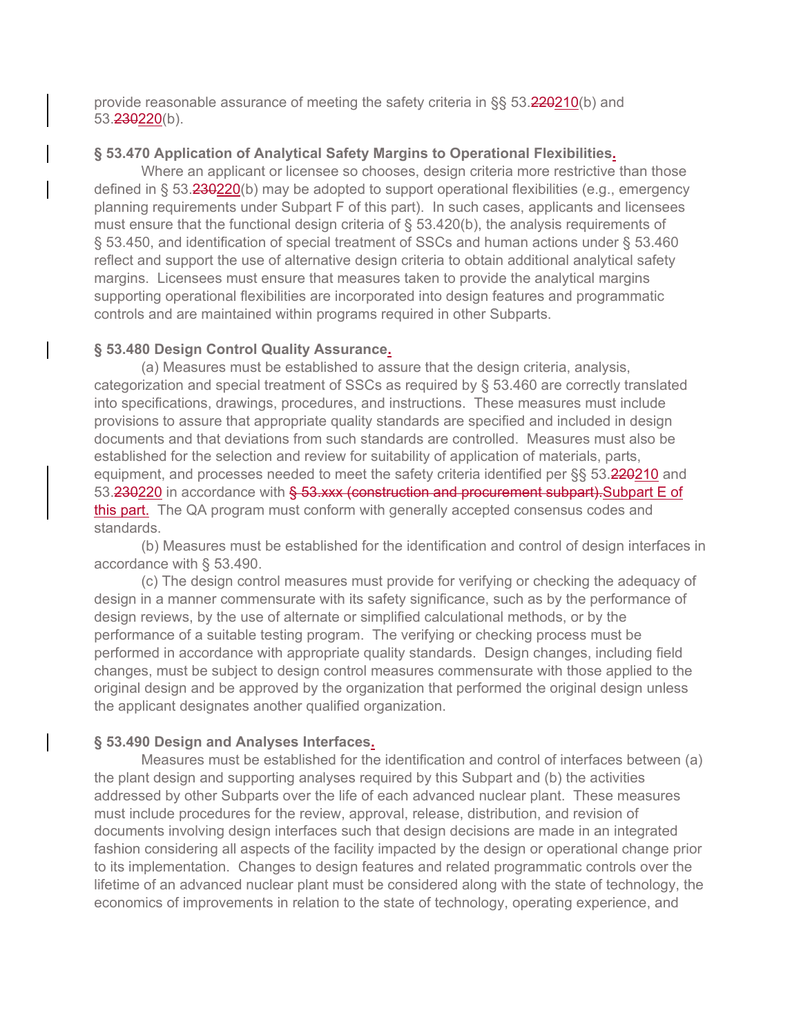provide reasonable assurance of meeting the safety criteria in §§ 53.220210(b) and 53.230220(b).

### **§ 53.470 Application of Analytical Safety Margins to Operational Flexibilities.**

Where an applicant or licensee so chooses, design criteria more restrictive than those defined in § 53.230220(b) may be adopted to support operational flexibilities (e.g., emergency planning requirements under Subpart F of this part). In such cases, applicants and licensees must ensure that the functional design criteria of  $\S$  53.420(b), the analysis requirements of § 53.450, and identification of special treatment of SSCs and human actions under § 53.460 reflect and support the use of alternative design criteria to obtain additional analytical safety margins. Licensees must ensure that measures taken to provide the analytical margins supporting operational flexibilities are incorporated into design features and programmatic controls and are maintained within programs required in other Subparts.

### **§ 53.480 Design Control Quality Assurance.**

(a) Measures must be established to assure that the design criteria, analysis, categorization and special treatment of SSCs as required by § 53.460 are correctly translated into specifications, drawings, procedures, and instructions. These measures must include provisions to assure that appropriate quality standards are specified and included in design documents and that deviations from such standards are controlled. Measures must also be established for the selection and review for suitability of application of materials, parts, equipment, and processes needed to meet the safety criteria identified per §§ 53.220210 and 53.230220 in accordance with § 53.xxx (construction and procurement subpart). Subpart E of this part. The QA program must conform with generally accepted consensus codes and standards.

(b) Measures must be established for the identification and control of design interfaces in accordance with § 53.490.

(c) The design control measures must provide for verifying or checking the adequacy of design in a manner commensurate with its safety significance, such as by the performance of design reviews, by the use of alternate or simplified calculational methods, or by the performance of a suitable testing program. The verifying or checking process must be performed in accordance with appropriate quality standards. Design changes, including field changes, must be subject to design control measures commensurate with those applied to the original design and be approved by the organization that performed the original design unless the applicant designates another qualified organization.

## **§ 53.490 Design and Analyses Interfaces.**

Measures must be established for the identification and control of interfaces between (a) the plant design and supporting analyses required by this Subpart and (b) the activities addressed by other Subparts over the life of each advanced nuclear plant. These measures must include procedures for the review, approval, release, distribution, and revision of documents involving design interfaces such that design decisions are made in an integrated fashion considering all aspects of the facility impacted by the design or operational change prior to its implementation. Changes to design features and related programmatic controls over the lifetime of an advanced nuclear plant must be considered along with the state of technology, the economics of improvements in relation to the state of technology, operating experience, and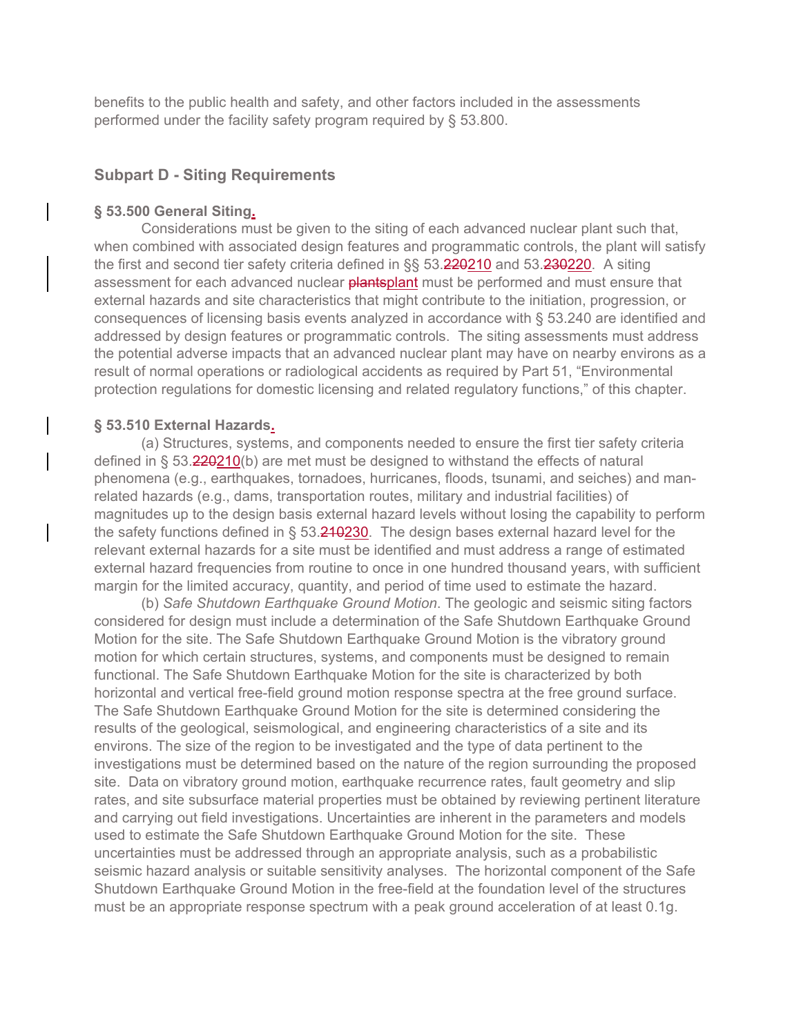benefits to the public health and safety, and other factors included in the assessments performed under the facility safety program required by § 53.800.

## **Subpart D - Siting Requirements**

### **§ 53.500 General Siting.**

Considerations must be given to the siting of each advanced nuclear plant such that, when combined with associated design features and programmatic controls, the plant will satisfy the first and second tier safety criteria defined in §§ 53.220210 and 53.230220. A siting assessment for each advanced nuclear **plantsplant** must be performed and must ensure that external hazards and site characteristics that might contribute to the initiation, progression, or consequences of licensing basis events analyzed in accordance with § 53.240 are identified and addressed by design features or programmatic controls. The siting assessments must address the potential adverse impacts that an advanced nuclear plant may have on nearby environs as a result of normal operations or radiological accidents as required by Part 51, "Environmental protection regulations for domestic licensing and related regulatory functions," of this chapter.

### **§ 53.510 External Hazards.**

(a) Structures, systems, and components needed to ensure the first tier safety criteria defined in  $\S$  53.220210(b) are met must be designed to withstand the effects of natural phenomena (e.g., earthquakes, tornadoes, hurricanes, floods, tsunami, and seiches) and manrelated hazards (e.g., dams, transportation routes, military and industrial facilities) of magnitudes up to the design basis external hazard levels without losing the capability to perform the safety functions defined in § 53.240230. The design bases external hazard level for the relevant external hazards for a site must be identified and must address a range of estimated external hazard frequencies from routine to once in one hundred thousand years, with sufficient margin for the limited accuracy, quantity, and period of time used to estimate the hazard.

(b) *Safe Shutdown Earthquake Ground Motion*. The geologic and seismic siting factors considered for design must include a determination of the Safe Shutdown Earthquake Ground Motion for the site. The Safe Shutdown Earthquake Ground Motion is the vibratory ground motion for which certain structures, systems, and components must be designed to remain functional. The Safe Shutdown Earthquake Motion for the site is characterized by both horizontal and vertical free-field ground motion response spectra at the free ground surface. The Safe Shutdown Earthquake Ground Motion for the site is determined considering the results of the geological, seismological, and engineering characteristics of a site and its environs. The size of the region to be investigated and the type of data pertinent to the investigations must be determined based on the nature of the region surrounding the proposed site. Data on vibratory ground motion, earthquake recurrence rates, fault geometry and slip rates, and site subsurface material properties must be obtained by reviewing pertinent literature and carrying out field investigations. Uncertainties are inherent in the parameters and models used to estimate the Safe Shutdown Earthquake Ground Motion for the site. These uncertainties must be addressed through an appropriate analysis, such as a probabilistic seismic hazard analysis or suitable sensitivity analyses. The horizontal component of the Safe Shutdown Earthquake Ground Motion in the free-field at the foundation level of the structures must be an appropriate response spectrum with a peak ground acceleration of at least 0.1g.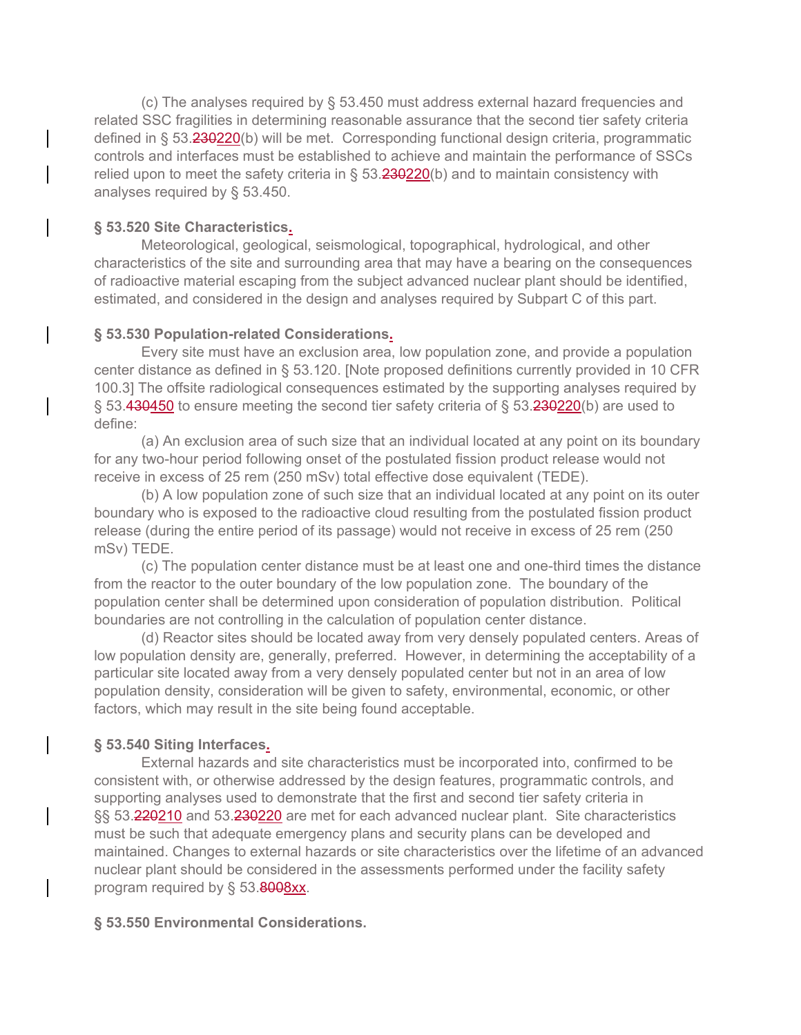(c) The analyses required by § 53.450 must address external hazard frequencies and related SSC fragilities in determining reasonable assurance that the second tier safety criteria defined in § 53.230220(b) will be met. Corresponding functional design criteria, programmatic controls and interfaces must be established to achieve and maintain the performance of SSCs relied upon to meet the safety criteria in  $\S$  53.230220(b) and to maintain consistency with analyses required by § 53.450.

### **§ 53.520 Site Characteristics.**

Meteorological, geological, seismological, topographical, hydrological, and other characteristics of the site and surrounding area that may have a bearing on the consequences of radioactive material escaping from the subject advanced nuclear plant should be identified, estimated, and considered in the design and analyses required by Subpart C of this part.

### **§ 53.530 Population-related Considerations.**

Every site must have an exclusion area, low population zone, and provide a population center distance as defined in § 53.120. [Note proposed definitions currently provided in 10 CFR 100.3] The offsite radiological consequences estimated by the supporting analyses required by § 53.430450 to ensure meeting the second tier safety criteria of § 53.230220(b) are used to define:

(a) An exclusion area of such size that an individual located at any point on its boundary for any two-hour period following onset of the postulated fission product release would not receive in excess of 25 rem (250 mSv) total effective dose equivalent (TEDE).

(b) A low population zone of such size that an individual located at any point on its outer boundary who is exposed to the radioactive cloud resulting from the postulated fission product release (during the entire period of its passage) would not receive in excess of 25 rem (250 mSv) TEDE.

(c) The population center distance must be at least one and one-third times the distance from the reactor to the outer boundary of the low population zone. The boundary of the population center shall be determined upon consideration of population distribution. Political boundaries are not controlling in the calculation of population center distance.

(d) Reactor sites should be located away from very densely populated centers. Areas of low population density are, generally, preferred. However, in determining the acceptability of a particular site located away from a very densely populated center but not in an area of low population density, consideration will be given to safety, environmental, economic, or other factors, which may result in the site being found acceptable.

### **§ 53.540 Siting Interfaces.**

External hazards and site characteristics must be incorporated into, confirmed to be consistent with, or otherwise addressed by the design features, programmatic controls, and supporting analyses used to demonstrate that the first and second tier safety criteria in §§ 53.220210 and 53.230220 are met for each advanced nuclear plant. Site characteristics must be such that adequate emergency plans and security plans can be developed and maintained. Changes to external hazards or site characteristics over the lifetime of an advanced nuclear plant should be considered in the assessments performed under the facility safety program required by § 53.8008xx.

#### **§ 53.550 Environmental Considerations.**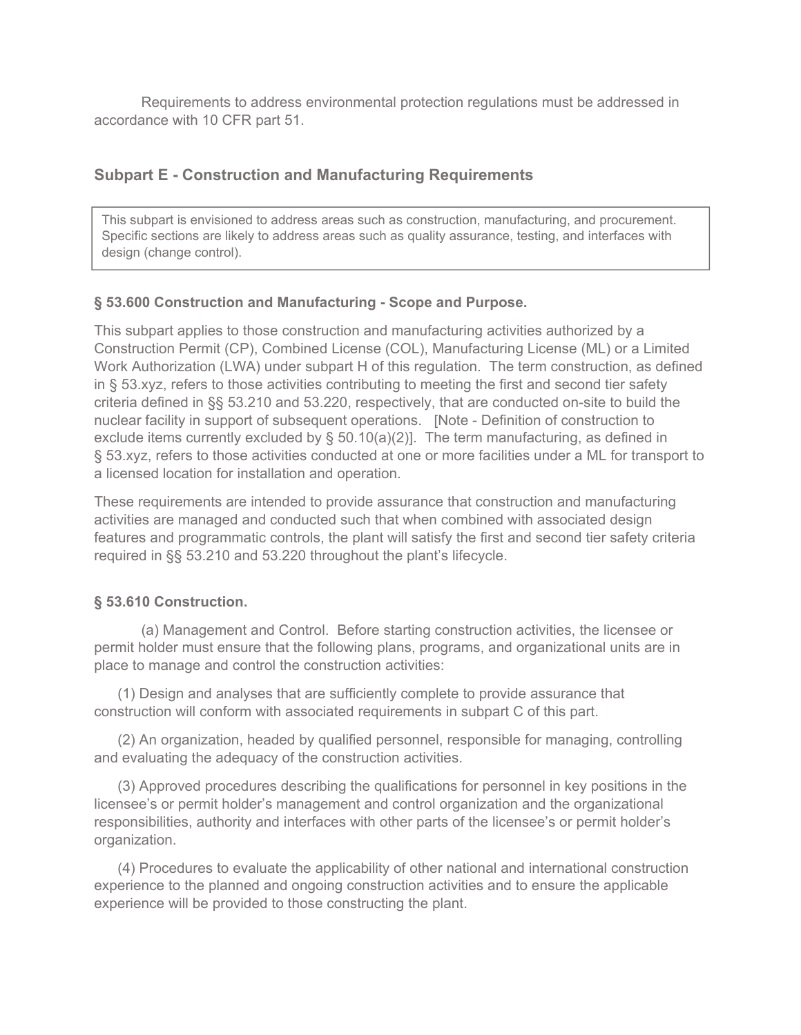Requirements to address environmental protection regulations must be addressed in accordance with 10 CFR part 51.

# **Subpart E - Construction and Manufacturing Requirements**

This subpart is envisioned to address areas such as construction, manufacturing, and procurement. Specific sections are likely to address areas such as quality assurance, testing, and interfaces with design (change control).

## **§ 53.600 Construction and Manufacturing - Scope and Purpose.**

This subpart applies to those construction and manufacturing activities authorized by a Construction Permit (CP), Combined License (COL), Manufacturing License (ML) or a Limited Work Authorization (LWA) under subpart H of this regulation. The term construction, as defined in § 53.xyz, refers to those activities contributing to meeting the first and second tier safety criteria defined in §§ 53.210 and 53.220, respectively, that are conducted on-site to build the nuclear facility in support of subsequent operations. [Note - Definition of construction to exclude items currently excluded by § 50.10(a)(2)]. The term manufacturing, as defined in § 53.xyz, refers to those activities conducted at one or more facilities under a ML for transport to a licensed location for installation and operation.

These requirements are intended to provide assurance that construction and manufacturing activities are managed and conducted such that when combined with associated design features and programmatic controls, the plant will satisfy the first and second tier safety criteria required in §§ 53.210 and 53.220 throughout the plant's lifecycle.

# **§ 53.610 Construction.**

 (a) Management and Control. Before starting construction activities, the licensee or permit holder must ensure that the following plans, programs, and organizational units are in place to manage and control the construction activities:

(1) Design and analyses that are sufficiently complete to provide assurance that construction will conform with associated requirements in subpart C of this part.

(2) An organization, headed by qualified personnel, responsible for managing, controlling and evaluating the adequacy of the construction activities.

(3) Approved procedures describing the qualifications for personnel in key positions in the licensee's or permit holder's management and control organization and the organizational responsibilities, authority and interfaces with other parts of the licensee's or permit holder's organization.

(4) Procedures to evaluate the applicability of other national and international construction experience to the planned and ongoing construction activities and to ensure the applicable experience will be provided to those constructing the plant.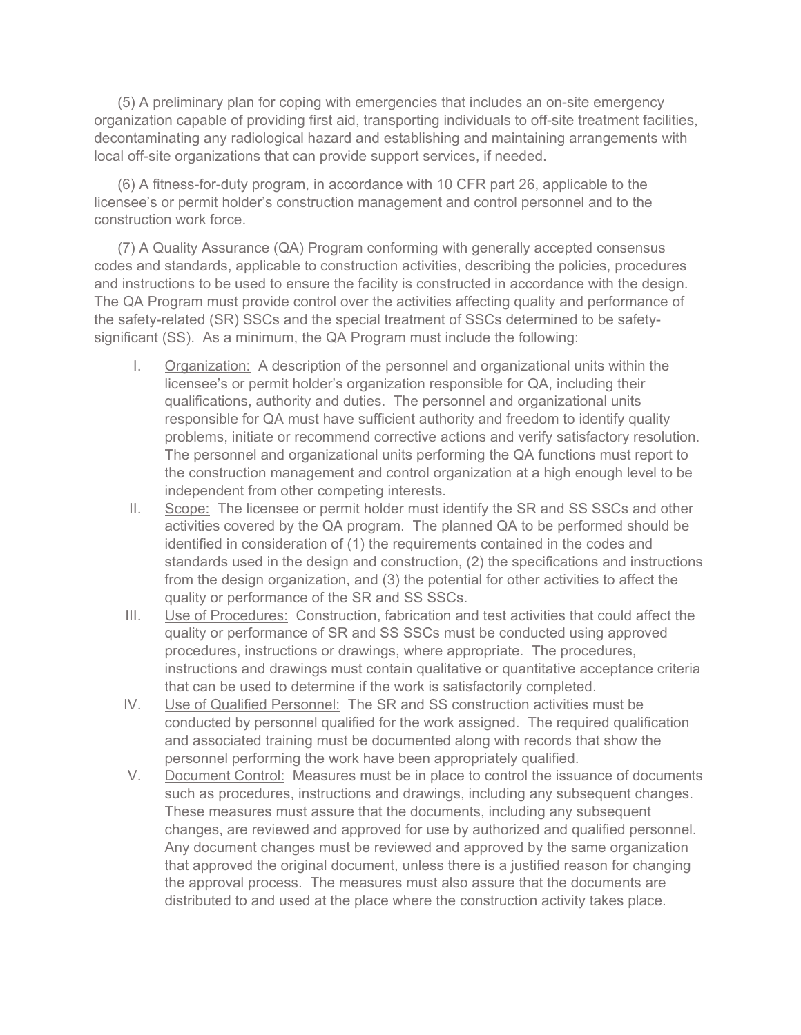(5) A preliminary plan for coping with emergencies that includes an on-site emergency organization capable of providing first aid, transporting individuals to off-site treatment facilities, decontaminating any radiological hazard and establishing and maintaining arrangements with local off-site organizations that can provide support services, if needed.

(6) A fitness-for-duty program, in accordance with 10 CFR part 26, applicable to the licensee's or permit holder's construction management and control personnel and to the construction work force.

(7) A Quality Assurance (QA) Program conforming with generally accepted consensus codes and standards, applicable to construction activities, describing the policies, procedures and instructions to be used to ensure the facility is constructed in accordance with the design. The QA Program must provide control over the activities affecting quality and performance of the safety-related (SR) SSCs and the special treatment of SSCs determined to be safetysignificant (SS). As a minimum, the QA Program must include the following:

- I. Organization: A description of the personnel and organizational units within the licensee's or permit holder's organization responsible for QA, including their qualifications, authority and duties. The personnel and organizational units responsible for QA must have sufficient authority and freedom to identify quality problems, initiate or recommend corrective actions and verify satisfactory resolution. The personnel and organizational units performing the QA functions must report to the construction management and control organization at a high enough level to be independent from other competing interests.
- II. Scope: The licensee or permit holder must identify the SR and SS SSCs and other activities covered by the QA program. The planned QA to be performed should be identified in consideration of (1) the requirements contained in the codes and standards used in the design and construction, (2) the specifications and instructions from the design organization, and (3) the potential for other activities to affect the quality or performance of the SR and SS SSCs.
- III. Use of Procedures: Construction, fabrication and test activities that could affect the quality or performance of SR and SS SSCs must be conducted using approved procedures, instructions or drawings, where appropriate. The procedures, instructions and drawings must contain qualitative or quantitative acceptance criteria that can be used to determine if the work is satisfactorily completed.
- IV. Use of Qualified Personnel: The SR and SS construction activities must be conducted by personnel qualified for the work assigned. The required qualification and associated training must be documented along with records that show the personnel performing the work have been appropriately qualified.
- V. Document Control: Measures must be in place to control the issuance of documents such as procedures, instructions and drawings, including any subsequent changes. These measures must assure that the documents, including any subsequent changes, are reviewed and approved for use by authorized and qualified personnel. Any document changes must be reviewed and approved by the same organization that approved the original document, unless there is a justified reason for changing the approval process. The measures must also assure that the documents are distributed to and used at the place where the construction activity takes place.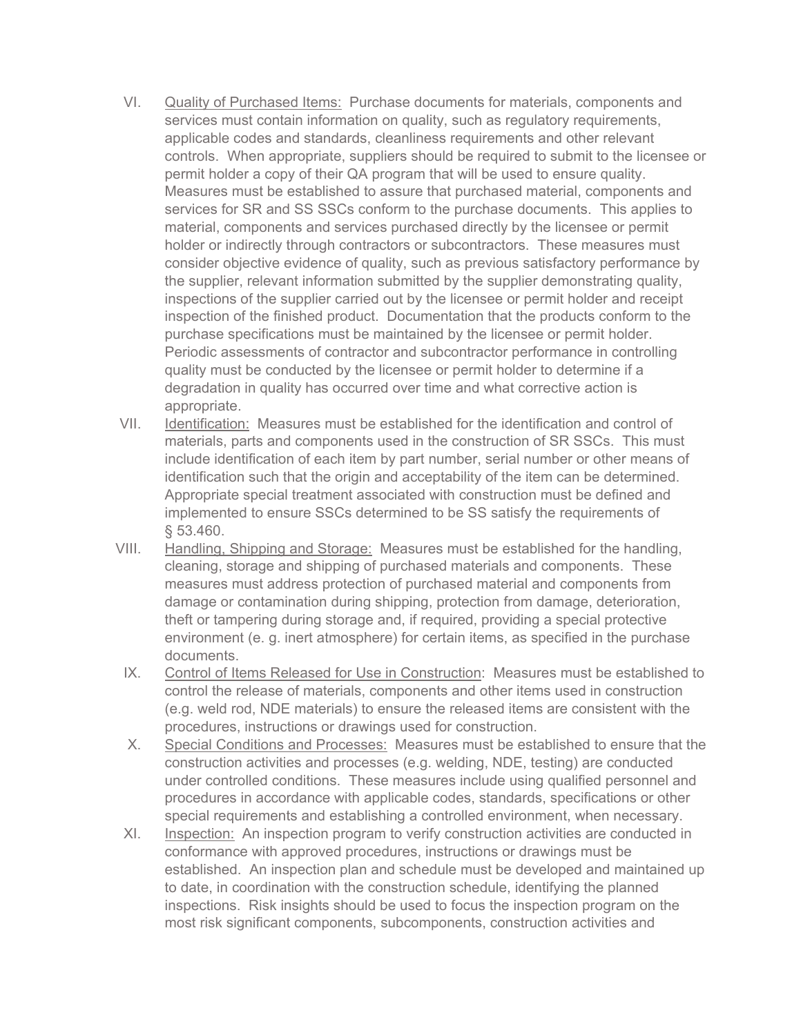- VI. Quality of Purchased Items: Purchase documents for materials, components and services must contain information on quality, such as regulatory requirements, applicable codes and standards, cleanliness requirements and other relevant controls. When appropriate, suppliers should be required to submit to the licensee or permit holder a copy of their QA program that will be used to ensure quality. Measures must be established to assure that purchased material, components and services for SR and SS SSCs conform to the purchase documents. This applies to material, components and services purchased directly by the licensee or permit holder or indirectly through contractors or subcontractors. These measures must consider objective evidence of quality, such as previous satisfactory performance by the supplier, relevant information submitted by the supplier demonstrating quality, inspections of the supplier carried out by the licensee or permit holder and receipt inspection of the finished product. Documentation that the products conform to the purchase specifications must be maintained by the licensee or permit holder. Periodic assessments of contractor and subcontractor performance in controlling quality must be conducted by the licensee or permit holder to determine if a degradation in quality has occurred over time and what corrective action is appropriate.
- VII. Identification: Measures must be established for the identification and control of materials, parts and components used in the construction of SR SSCs. This must include identification of each item by part number, serial number or other means of identification such that the origin and acceptability of the item can be determined. Appropriate special treatment associated with construction must be defined and implemented to ensure SSCs determined to be SS satisfy the requirements of § 53.460.
- VIII. Handling, Shipping and Storage: Measures must be established for the handling, cleaning, storage and shipping of purchased materials and components. These measures must address protection of purchased material and components from damage or contamination during shipping, protection from damage, deterioration, theft or tampering during storage and, if required, providing a special protective environment (e. g. inert atmosphere) for certain items, as specified in the purchase documents.
- IX. Control of Items Released for Use in Construction: Measures must be established to control the release of materials, components and other items used in construction (e.g. weld rod, NDE materials) to ensure the released items are consistent with the procedures, instructions or drawings used for construction.
- X. Special Conditions and Processes: Measures must be established to ensure that the construction activities and processes (e.g. welding, NDE, testing) are conducted under controlled conditions. These measures include using qualified personnel and procedures in accordance with applicable codes, standards, specifications or other special requirements and establishing a controlled environment, when necessary.
- XI. Inspection: An inspection program to verify construction activities are conducted in conformance with approved procedures, instructions or drawings must be established. An inspection plan and schedule must be developed and maintained up to date, in coordination with the construction schedule, identifying the planned inspections. Risk insights should be used to focus the inspection program on the most risk significant components, subcomponents, construction activities and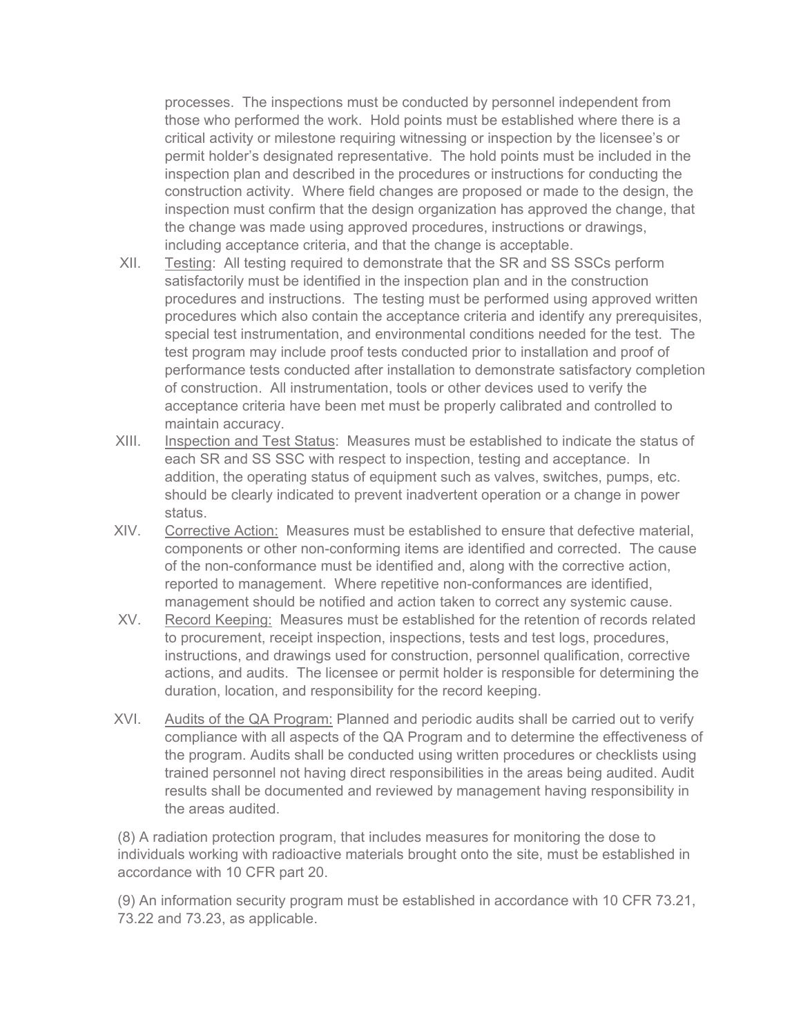processes. The inspections must be conducted by personnel independent from those who performed the work. Hold points must be established where there is a critical activity or milestone requiring witnessing or inspection by the licensee's or permit holder's designated representative. The hold points must be included in the inspection plan and described in the procedures or instructions for conducting the construction activity. Where field changes are proposed or made to the design, the inspection must confirm that the design organization has approved the change, that the change was made using approved procedures, instructions or drawings, including acceptance criteria, and that the change is acceptable.

- XII. Testing: All testing required to demonstrate that the SR and SS SSCs perform satisfactorily must be identified in the inspection plan and in the construction procedures and instructions. The testing must be performed using approved written procedures which also contain the acceptance criteria and identify any prerequisites, special test instrumentation, and environmental conditions needed for the test. The test program may include proof tests conducted prior to installation and proof of performance tests conducted after installation to demonstrate satisfactory completion of construction. All instrumentation, tools or other devices used to verify the acceptance criteria have been met must be properly calibrated and controlled to maintain accuracy.
- XIII. Inspection and Test Status: Measures must be established to indicate the status of each SR and SS SSC with respect to inspection, testing and acceptance. In addition, the operating status of equipment such as valves, switches, pumps, etc. should be clearly indicated to prevent inadvertent operation or a change in power status.
- XIV. Corrective Action: Measures must be established to ensure that defective material, components or other non-conforming items are identified and corrected. The cause of the non-conformance must be identified and, along with the corrective action, reported to management. Where repetitive non-conformances are identified, management should be notified and action taken to correct any systemic cause.
- XV. Record Keeping: Measures must be established for the retention of records related to procurement, receipt inspection, inspections, tests and test logs, procedures, instructions, and drawings used for construction, personnel qualification, corrective actions, and audits. The licensee or permit holder is responsible for determining the duration, location, and responsibility for the record keeping.
- XVI. Audits of the QA Program: Planned and periodic audits shall be carried out to verify compliance with all aspects of the QA Program and to determine the effectiveness of the program. Audits shall be conducted using written procedures or checklists using trained personnel not having direct responsibilities in the areas being audited. Audit results shall be documented and reviewed by management having responsibility in the areas audited.

(8) A radiation protection program, that includes measures for monitoring the dose to individuals working with radioactive materials brought onto the site, must be established in accordance with 10 CFR part 20.

(9) An information security program must be established in accordance with 10 CFR 73.21, 73.22 and 73.23, as applicable.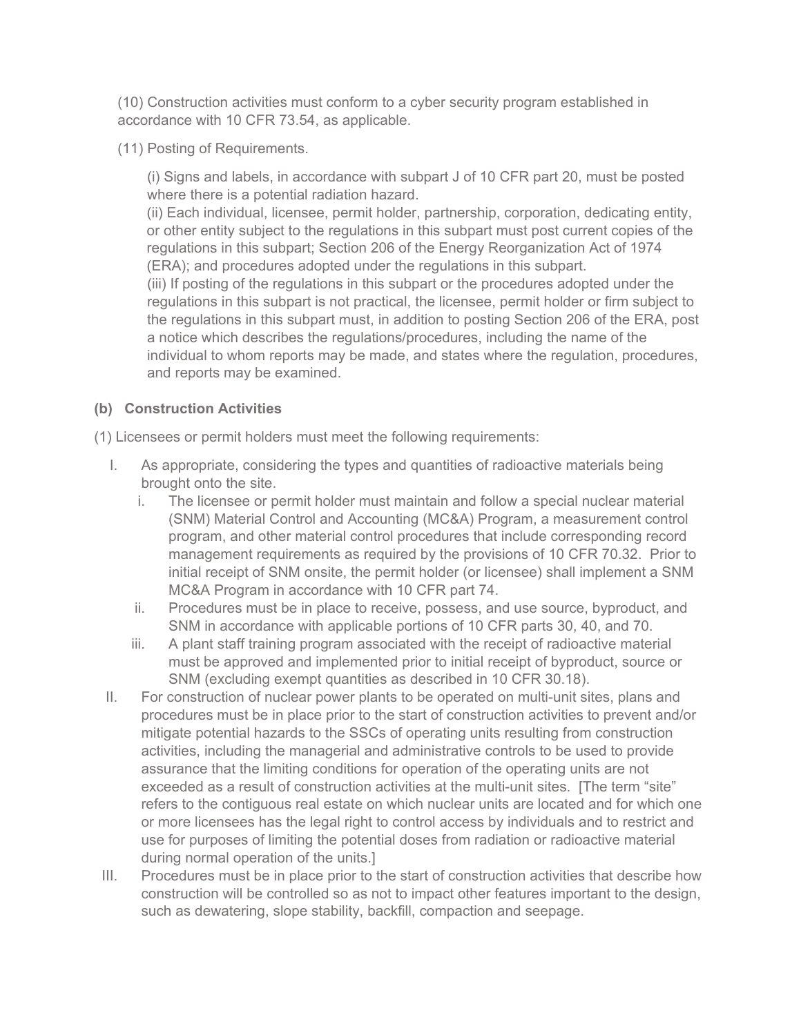(10) Construction activities must conform to a cyber security program established in accordance with 10 CFR 73.54, as applicable.

(11) Posting of Requirements.

(i) Signs and labels, in accordance with subpart J of 10 CFR part 20, must be posted where there is a potential radiation hazard.

(ii) Each individual, licensee, permit holder, partnership, corporation, dedicating entity, or other entity subject to the regulations in this subpart must post current copies of the regulations in this subpart; Section 206 of the Energy Reorganization Act of 1974 (ERA); and procedures adopted under the regulations in this subpart.

(iii) If posting of the regulations in this subpart or the procedures adopted under the regulations in this subpart is not practical, the licensee, permit holder or firm subject to the regulations in this subpart must, in addition to posting Section 206 of the ERA, post a notice which describes the regulations/procedures, including the name of the individual to whom reports may be made, and states where the regulation, procedures, and reports may be examined.

# **(b) Construction Activities**

(1) Licensees or permit holders must meet the following requirements:

- I. As appropriate, considering the types and quantities of radioactive materials being brought onto the site.
	- i. The licensee or permit holder must maintain and follow a special nuclear material (SNM) Material Control and Accounting (MC&A) Program, a measurement control program, and other material control procedures that include corresponding record management requirements as required by the provisions of 10 CFR 70.32. Prior to initial receipt of SNM onsite, the permit holder (or licensee) shall implement a SNM MC&A Program in accordance with 10 CFR part 74.
	- ii. Procedures must be in place to receive, possess, and use source, byproduct, and SNM in accordance with applicable portions of 10 CFR parts 30, 40, and 70.
	- iii. A plant staff training program associated with the receipt of radioactive material must be approved and implemented prior to initial receipt of byproduct, source or SNM (excluding exempt quantities as described in 10 CFR 30.18).
- II. For construction of nuclear power plants to be operated on multi-unit sites, plans and procedures must be in place prior to the start of construction activities to prevent and/or mitigate potential hazards to the SSCs of operating units resulting from construction activities, including the managerial and administrative controls to be used to provide assurance that the limiting conditions for operation of the operating units are not exceeded as a result of construction activities at the multi-unit sites. [The term "site" refers to the contiguous real estate on which nuclear units are located and for which one or more licensees has the legal right to control access by individuals and to restrict and use for purposes of limiting the potential doses from radiation or radioactive material during normal operation of the units.]
- III. Procedures must be in place prior to the start of construction activities that describe how construction will be controlled so as not to impact other features important to the design, such as dewatering, slope stability, backfill, compaction and seepage.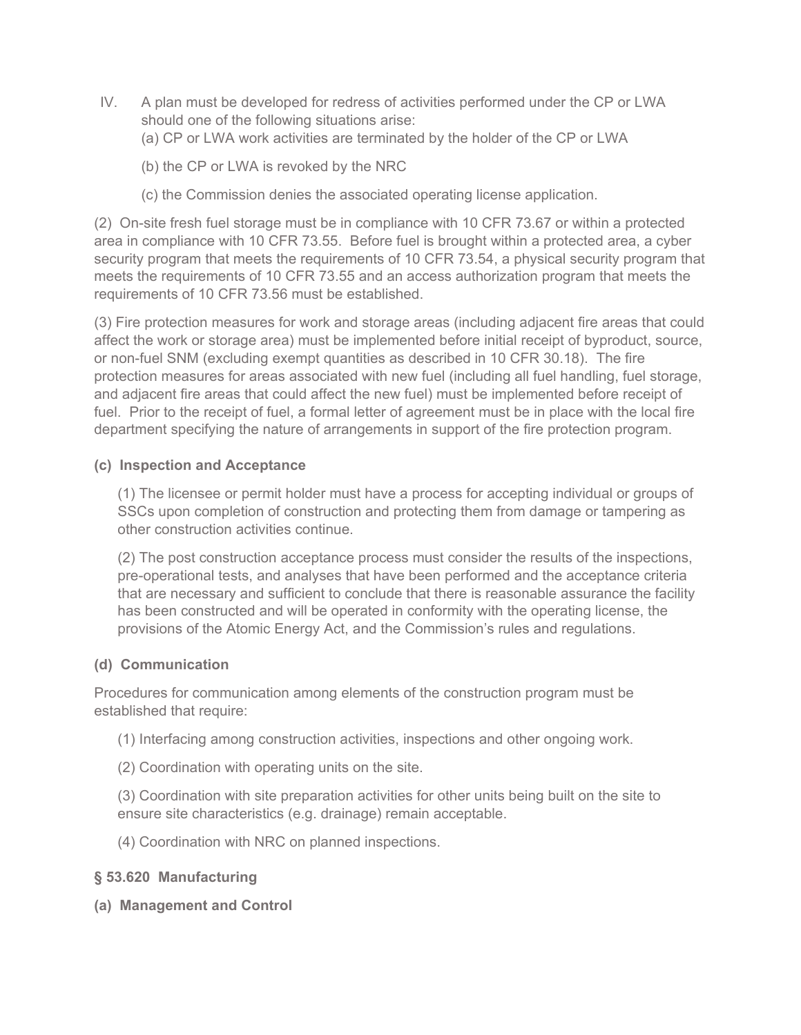- IV. A plan must be developed for redress of activities performed under the CP or LWA should one of the following situations arise:
	- (a) CP or LWA work activities are terminated by the holder of the CP or LWA
	- (b) the CP or LWA is revoked by the NRC
	- (c) the Commission denies the associated operating license application.

(2) On-site fresh fuel storage must be in compliance with 10 CFR 73.67 or within a protected area in compliance with 10 CFR 73.55. Before fuel is brought within a protected area, a cyber security program that meets the requirements of 10 CFR 73.54, a physical security program that meets the requirements of 10 CFR 73.55 and an access authorization program that meets the requirements of 10 CFR 73.56 must be established.

(3) Fire protection measures for work and storage areas (including adjacent fire areas that could affect the work or storage area) must be implemented before initial receipt of byproduct, source, or non-fuel SNM (excluding exempt quantities as described in 10 CFR 30.18). The fire protection measures for areas associated with new fuel (including all fuel handling, fuel storage, and adjacent fire areas that could affect the new fuel) must be implemented before receipt of fuel. Prior to the receipt of fuel, a formal letter of agreement must be in place with the local fire department specifying the nature of arrangements in support of the fire protection program.

## **(c) Inspection and Acceptance**

(1) The licensee or permit holder must have a process for accepting individual or groups of SSCs upon completion of construction and protecting them from damage or tampering as other construction activities continue.

(2) The post construction acceptance process must consider the results of the inspections, pre-operational tests, and analyses that have been performed and the acceptance criteria that are necessary and sufficient to conclude that there is reasonable assurance the facility has been constructed and will be operated in conformity with the operating license, the provisions of the Atomic Energy Act, and the Commission's rules and regulations.

## **(d) Communication**

Procedures for communication among elements of the construction program must be established that require:

- (1) Interfacing among construction activities, inspections and other ongoing work.
- (2) Coordination with operating units on the site.

(3) Coordination with site preparation activities for other units being built on the site to ensure site characteristics (e.g. drainage) remain acceptable.

(4) Coordination with NRC on planned inspections.

# **§ 53.620 Manufacturing**

**(a) Management and Control**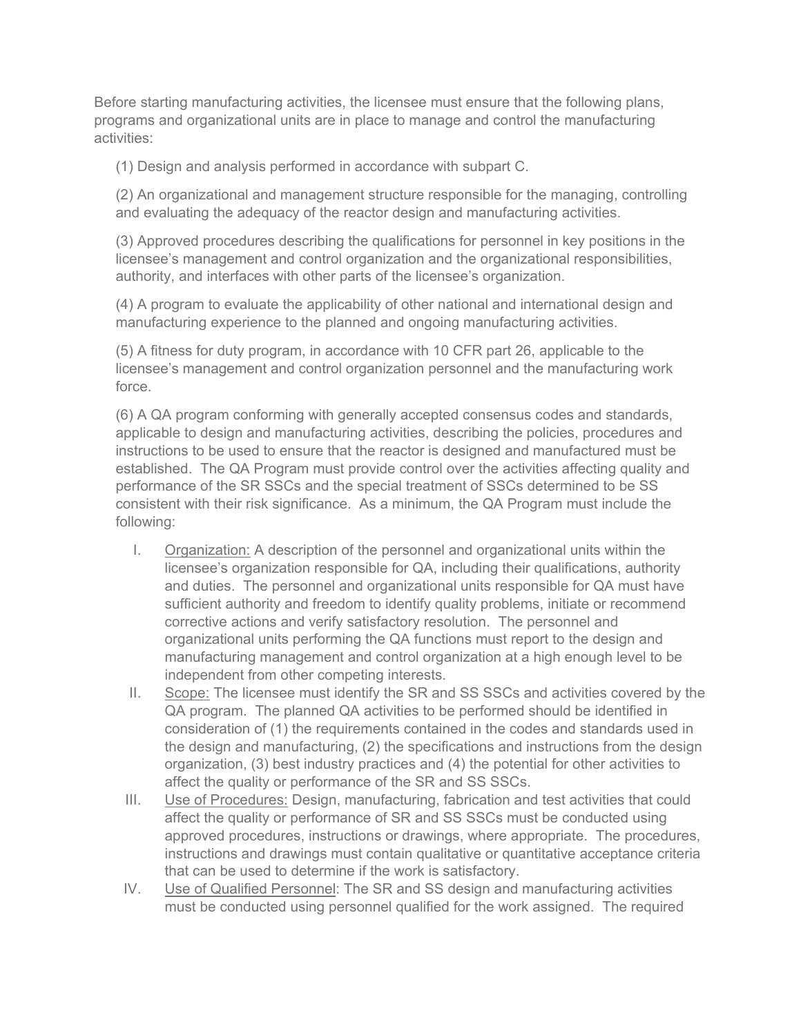Before starting manufacturing activities, the licensee must ensure that the following plans, programs and organizational units are in place to manage and control the manufacturing activities:

(1) Design and analysis performed in accordance with subpart C.

(2) An organizational and management structure responsible for the managing, controlling and evaluating the adequacy of the reactor design and manufacturing activities.

(3) Approved procedures describing the qualifications for personnel in key positions in the licensee's management and control organization and the organizational responsibilities, authority, and interfaces with other parts of the licensee's organization.

(4) A program to evaluate the applicability of other national and international design and manufacturing experience to the planned and ongoing manufacturing activities.

(5) A fitness for duty program, in accordance with 10 CFR part 26, applicable to the licensee's management and control organization personnel and the manufacturing work force.

(6) A QA program conforming with generally accepted consensus codes and standards, applicable to design and manufacturing activities, describing the policies, procedures and instructions to be used to ensure that the reactor is designed and manufactured must be established. The QA Program must provide control over the activities affecting quality and performance of the SR SSCs and the special treatment of SSCs determined to be SS consistent with their risk significance. As a minimum, the QA Program must include the following:

- I. Organization: A description of the personnel and organizational units within the licensee's organization responsible for QA, including their qualifications, authority and duties. The personnel and organizational units responsible for QA must have sufficient authority and freedom to identify quality problems, initiate or recommend corrective actions and verify satisfactory resolution. The personnel and organizational units performing the QA functions must report to the design and manufacturing management and control organization at a high enough level to be independent from other competing interests.
- II. Scope: The licensee must identify the SR and SS SSCs and activities covered by the QA program. The planned QA activities to be performed should be identified in consideration of (1) the requirements contained in the codes and standards used in the design and manufacturing, (2) the specifications and instructions from the design organization, (3) best industry practices and (4) the potential for other activities to affect the quality or performance of the SR and SS SSCs.
- III. Use of Procedures: Design, manufacturing, fabrication and test activities that could affect the quality or performance of SR and SS SSCs must be conducted using approved procedures, instructions or drawings, where appropriate. The procedures, instructions and drawings must contain qualitative or quantitative acceptance criteria that can be used to determine if the work is satisfactory.
- IV. Use of Qualified Personnel: The SR and SS design and manufacturing activities must be conducted using personnel qualified for the work assigned. The required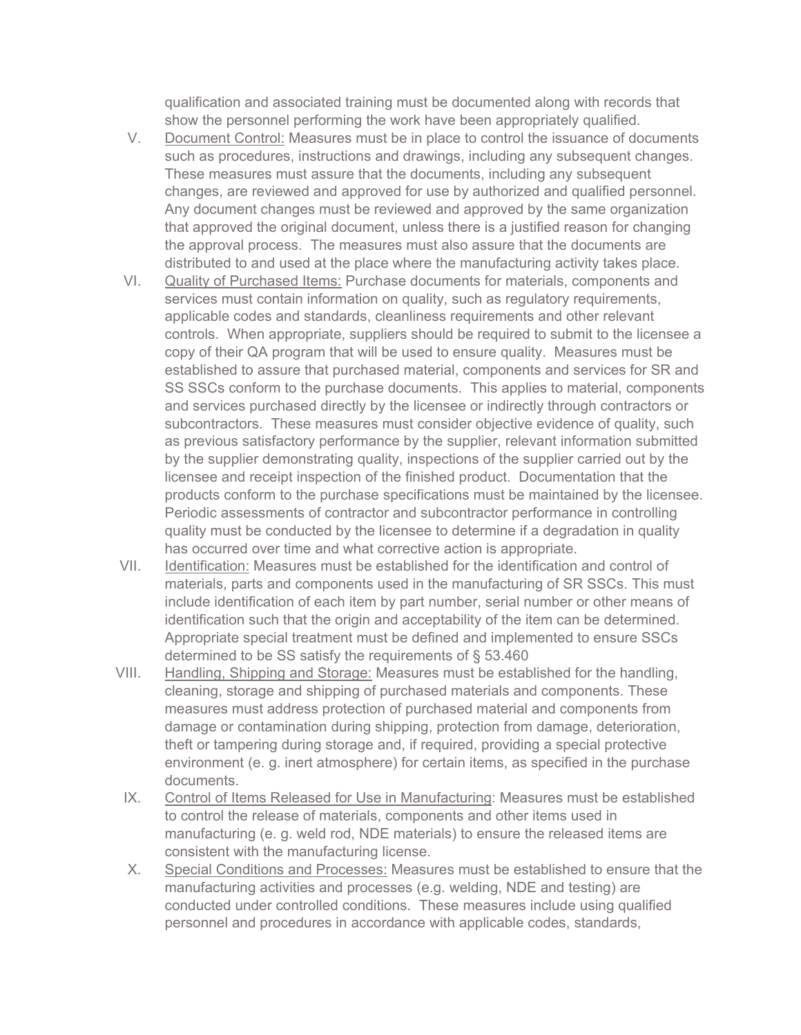qualification and associated training must be documented along with records that show the personnel performing the work have been appropriately qualified.

- V. Document Control: Measures must be in place to control the issuance of documents such as procedures, instructions and drawings, including any subsequent changes. These measures must assure that the documents, including any subsequent changes, are reviewed and approved for use by authorized and qualified personnel. Any document changes must be reviewed and approved by the same organization that approved the original document, unless there is a justified reason for changing the approval process. The measures must also assure that the documents are distributed to and used at the place where the manufacturing activity takes place.
- VI. Quality of Purchased Items: Purchase documents for materials, components and services must contain information on quality, such as regulatory requirements, applicable codes and standards, cleanliness requirements and other relevant controls. When appropriate, suppliers should be required to submit to the licensee a copy of their QA program that will be used to ensure quality. Measures must be established to assure that purchased material, components and services for SR and SS SSCs conform to the purchase documents. This applies to material, components and services purchased directly by the licensee or indirectly through contractors or subcontractors. These measures must consider objective evidence of quality, such as previous satisfactory performance by the supplier, relevant information submitted by the supplier demonstrating quality, inspections of the supplier carried out by the licensee and receipt inspection of the finished product. Documentation that the products conform to the purchase specifications must be maintained by the licensee. Periodic assessments of contractor and subcontractor performance in controlling quality must be conducted by the licensee to determine if a degradation in quality has occurred over time and what corrective action is appropriate.
- VII. Identification: Measures must be established for the identification and control of materials, parts and components used in the manufacturing of SR SSCs. This must include identification of each item by part number, serial number or other means of identification such that the origin and acceptability of the item can be determined. Appropriate special treatment must be defined and implemented to ensure SSCs determined to be SS satisfy the requirements of § 53.460
- VIII. Handling, Shipping and Storage: Measures must be established for the handling, cleaning, storage and shipping of purchased materials and components. These measures must address protection of purchased material and components from damage or contamination during shipping, protection from damage, deterioration, theft or tampering during storage and, if required, providing a special protective environment (e. g. inert atmosphere) for certain items, as specified in the purchase documents.
- IX. Control of Items Released for Use in Manufacturing: Measures must be established to control the release of materials, components and other items used in manufacturing (e. g. weld rod, NDE materials) to ensure the released items are consistent with the manufacturing license.
- X. Special Conditions and Processes: Measures must be established to ensure that the manufacturing activities and processes (e.g. welding, NDE and testing) are conducted under controlled conditions. These measures include using qualified personnel and procedures in accordance with applicable codes, standards,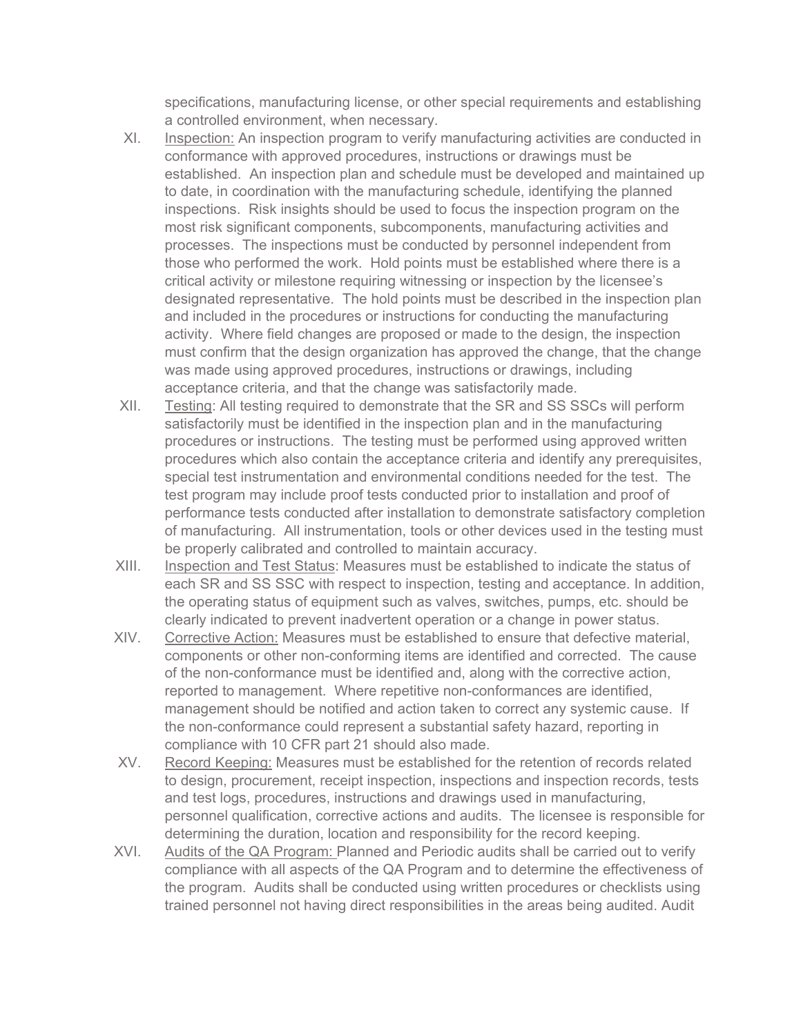specifications, manufacturing license, or other special requirements and establishing a controlled environment, when necessary.

- XI. Inspection: An inspection program to verify manufacturing activities are conducted in conformance with approved procedures, instructions or drawings must be established. An inspection plan and schedule must be developed and maintained up to date, in coordination with the manufacturing schedule, identifying the planned inspections. Risk insights should be used to focus the inspection program on the most risk significant components, subcomponents, manufacturing activities and processes. The inspections must be conducted by personnel independent from those who performed the work. Hold points must be established where there is a critical activity or milestone requiring witnessing or inspection by the licensee's designated representative. The hold points must be described in the inspection plan and included in the procedures or instructions for conducting the manufacturing activity. Where field changes are proposed or made to the design, the inspection must confirm that the design organization has approved the change, that the change was made using approved procedures, instructions or drawings, including acceptance criteria, and that the change was satisfactorily made.
- XII. Testing: All testing required to demonstrate that the SR and SS SSCs will perform satisfactorily must be identified in the inspection plan and in the manufacturing procedures or instructions. The testing must be performed using approved written procedures which also contain the acceptance criteria and identify any prerequisites, special test instrumentation and environmental conditions needed for the test. The test program may include proof tests conducted prior to installation and proof of performance tests conducted after installation to demonstrate satisfactory completion of manufacturing. All instrumentation, tools or other devices used in the testing must be properly calibrated and controlled to maintain accuracy.
- XIII. Inspection and Test Status: Measures must be established to indicate the status of each SR and SS SSC with respect to inspection, testing and acceptance. In addition, the operating status of equipment such as valves, switches, pumps, etc. should be clearly indicated to prevent inadvertent operation or a change in power status.
- XIV. Corrective Action: Measures must be established to ensure that defective material, components or other non-conforming items are identified and corrected. The cause of the non-conformance must be identified and, along with the corrective action, reported to management. Where repetitive non-conformances are identified, management should be notified and action taken to correct any systemic cause. If the non-conformance could represent a substantial safety hazard, reporting in compliance with 10 CFR part 21 should also made.
- XV. Record Keeping: Measures must be established for the retention of records related to design, procurement, receipt inspection, inspections and inspection records, tests and test logs, procedures, instructions and drawings used in manufacturing, personnel qualification, corrective actions and audits. The licensee is responsible for determining the duration, location and responsibility for the record keeping.
- XVI. Audits of the QA Program: Planned and Periodic audits shall be carried out to verify compliance with all aspects of the QA Program and to determine the effectiveness of the program. Audits shall be conducted using written procedures or checklists using trained personnel not having direct responsibilities in the areas being audited. Audit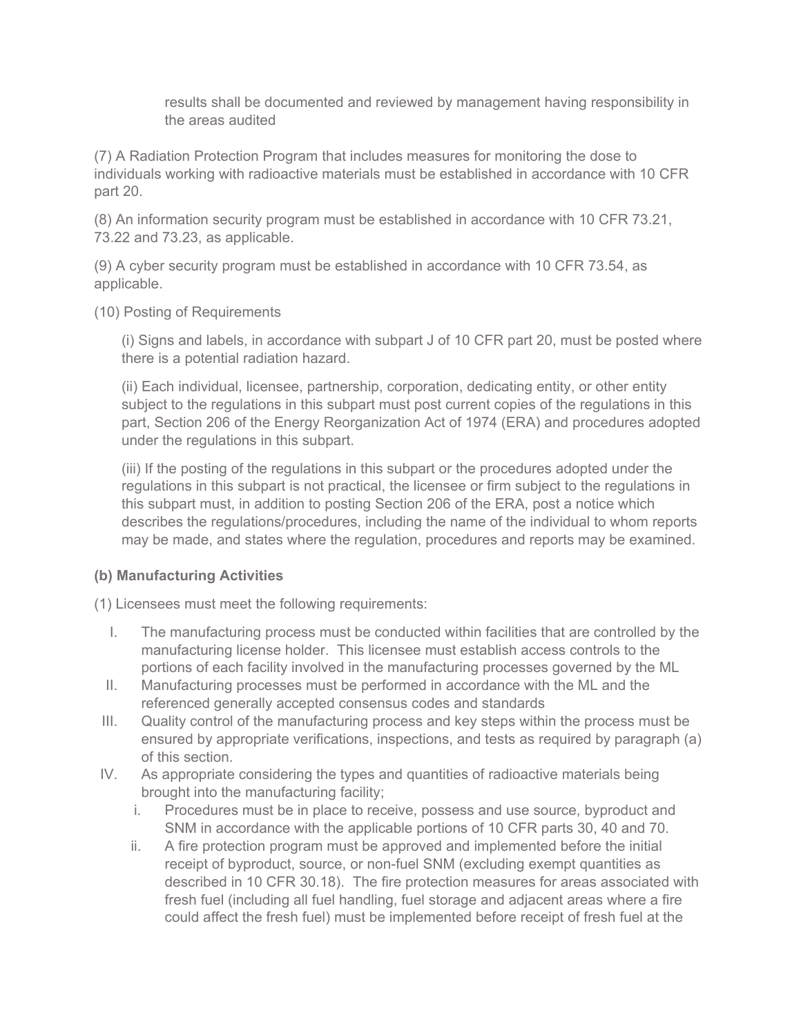results shall be documented and reviewed by management having responsibility in the areas audited

(7) A Radiation Protection Program that includes measures for monitoring the dose to individuals working with radioactive materials must be established in accordance with 10 CFR part 20.

(8) An information security program must be established in accordance with 10 CFR 73.21, 73.22 and 73.23, as applicable.

(9) A cyber security program must be established in accordance with 10 CFR 73.54, as applicable.

(10) Posting of Requirements

(i) Signs and labels, in accordance with subpart J of 10 CFR part 20, must be posted where there is a potential radiation hazard.

(ii) Each individual, licensee, partnership, corporation, dedicating entity, or other entity subject to the regulations in this subpart must post current copies of the regulations in this part, Section 206 of the Energy Reorganization Act of 1974 (ERA) and procedures adopted under the regulations in this subpart.

(iii) If the posting of the regulations in this subpart or the procedures adopted under the regulations in this subpart is not practical, the licensee or firm subject to the regulations in this subpart must, in addition to posting Section 206 of the ERA, post a notice which describes the regulations/procedures, including the name of the individual to whom reports may be made, and states where the regulation, procedures and reports may be examined.

# **(b) Manufacturing Activities**

(1) Licensees must meet the following requirements:

- I. The manufacturing process must be conducted within facilities that are controlled by the manufacturing license holder. This licensee must establish access controls to the portions of each facility involved in the manufacturing processes governed by the ML
- II. Manufacturing processes must be performed in accordance with the ML and the referenced generally accepted consensus codes and standards
- III. Quality control of the manufacturing process and key steps within the process must be ensured by appropriate verifications, inspections, and tests as required by paragraph (a) of this section.
- IV. As appropriate considering the types and quantities of radioactive materials being brought into the manufacturing facility;
	- i. Procedures must be in place to receive, possess and use source, byproduct and SNM in accordance with the applicable portions of 10 CFR parts 30, 40 and 70.
	- ii. A fire protection program must be approved and implemented before the initial receipt of byproduct, source, or non-fuel SNM (excluding exempt quantities as described in 10 CFR 30.18). The fire protection measures for areas associated with fresh fuel (including all fuel handling, fuel storage and adjacent areas where a fire could affect the fresh fuel) must be implemented before receipt of fresh fuel at the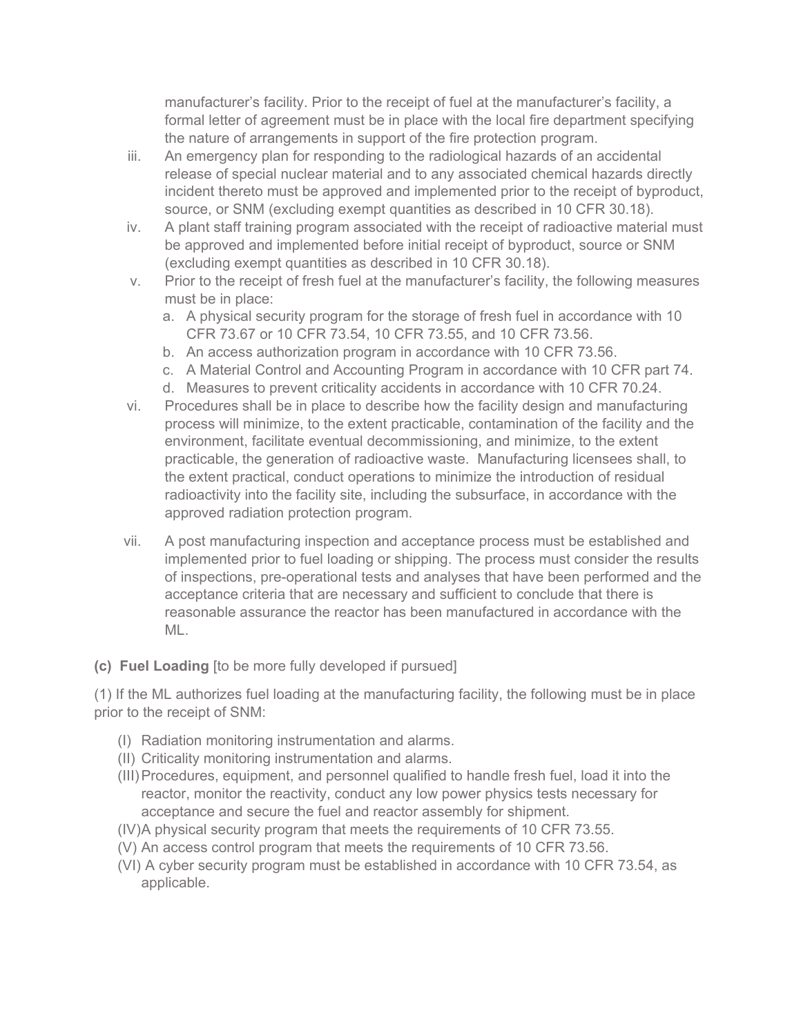manufacturer's facility. Prior to the receipt of fuel at the manufacturer's facility, a formal letter of agreement must be in place with the local fire department specifying the nature of arrangements in support of the fire protection program.

- iii. An emergency plan for responding to the radiological hazards of an accidental release of special nuclear material and to any associated chemical hazards directly incident thereto must be approved and implemented prior to the receipt of byproduct, source, or SNM (excluding exempt quantities as described in 10 CFR 30.18).
- iv. A plant staff training program associated with the receipt of radioactive material must be approved and implemented before initial receipt of byproduct, source or SNM (excluding exempt quantities as described in 10 CFR 30.18).
- v. Prior to the receipt of fresh fuel at the manufacturer's facility, the following measures must be in place:
	- a. A physical security program for the storage of fresh fuel in accordance with 10 CFR 73.67 or 10 CFR 73.54, 10 CFR 73.55, and 10 CFR 73.56.
	- b. An access authorization program in accordance with 10 CFR 73.56.
	- c. A Material Control and Accounting Program in accordance with 10 CFR part 74.
	- d. Measures to prevent criticality accidents in accordance with 10 CFR 70.24.
- vi. Procedures shall be in place to describe how the facility design and manufacturing process will minimize, to the extent practicable, contamination of the facility and the environment, facilitate eventual decommissioning, and minimize, to the extent practicable, the generation of radioactive waste. Manufacturing licensees shall, to the extent practical, conduct operations to minimize the introduction of residual radioactivity into the facility site, including the subsurface, in accordance with the approved radiation protection program.
- vii. A post manufacturing inspection and acceptance process must be established and implemented prior to fuel loading or shipping. The process must consider the results of inspections, pre-operational tests and analyses that have been performed and the acceptance criteria that are necessary and sufficient to conclude that there is reasonable assurance the reactor has been manufactured in accordance with the ML.
- **(c) Fuel Loading** [to be more fully developed if pursued]

(1) If the ML authorizes fuel loading at the manufacturing facility, the following must be in place prior to the receipt of SNM:

- (I) Radiation monitoring instrumentation and alarms.
- (II) Criticality monitoring instrumentation and alarms.
- (III) Procedures, equipment, and personnel qualified to handle fresh fuel, load it into the reactor, monitor the reactivity, conduct any low power physics tests necessary for acceptance and secure the fuel and reactor assembly for shipment.
- (IV) A physical security program that meets the requirements of 10 CFR 73.55.
- (V) An access control program that meets the requirements of 10 CFR 73.56.
- (VI)A cyber security program must be established in accordance with 10 CFR 73.54, as applicable.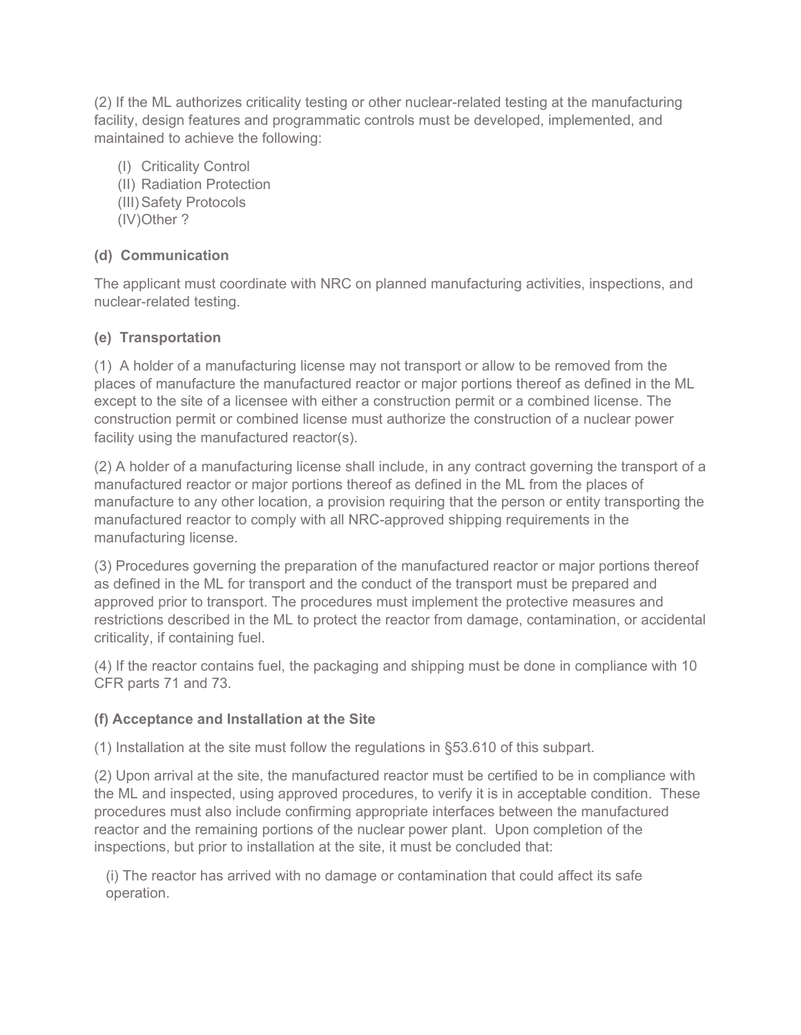(2) If the ML authorizes criticality testing or other nuclear-related testing at the manufacturing facility, design features and programmatic controls must be developed, implemented, and maintained to achieve the following:

- (I) Criticality Control
- (II) Radiation Protection
- (III) Safety Protocols
- (IV) Other ?

# **(d) Communication**

The applicant must coordinate with NRC on planned manufacturing activities, inspections, and nuclear-related testing.

# **(e) Transportation**

(1) A holder of a manufacturing license may not transport or allow to be removed from the places of manufacture the manufactured reactor or major portions thereof as defined in the ML except to the site of a licensee with either a construction permit or a combined license. The construction permit or combined license must authorize the construction of a nuclear power facility using the manufactured reactor(s).

(2) A holder of a manufacturing license shall include, in any contract governing the transport of a manufactured reactor or major portions thereof as defined in the ML from the places of manufacture to any other location, a provision requiring that the person or entity transporting the manufactured reactor to comply with all NRC-approved shipping requirements in the manufacturing license.

(3) Procedures governing the preparation of the manufactured reactor or major portions thereof as defined in the ML for transport and the conduct of the transport must be prepared and approved prior to transport. The procedures must implement the protective measures and restrictions described in the ML to protect the reactor from damage, contamination, or accidental criticality, if containing fuel.

(4) If the reactor contains fuel, the packaging and shipping must be done in compliance with 10 CFR parts 71 and 73.

# **(f) Acceptance and Installation at the Site**

(1) Installation at the site must follow the regulations in §53.610 of this subpart.

(2) Upon arrival at the site, the manufactured reactor must be certified to be in compliance with the ML and inspected, using approved procedures, to verify it is in acceptable condition. These procedures must also include confirming appropriate interfaces between the manufactured reactor and the remaining portions of the nuclear power plant. Upon completion of the inspections, but prior to installation at the site, it must be concluded that:

(i) The reactor has arrived with no damage or contamination that could affect its safe operation.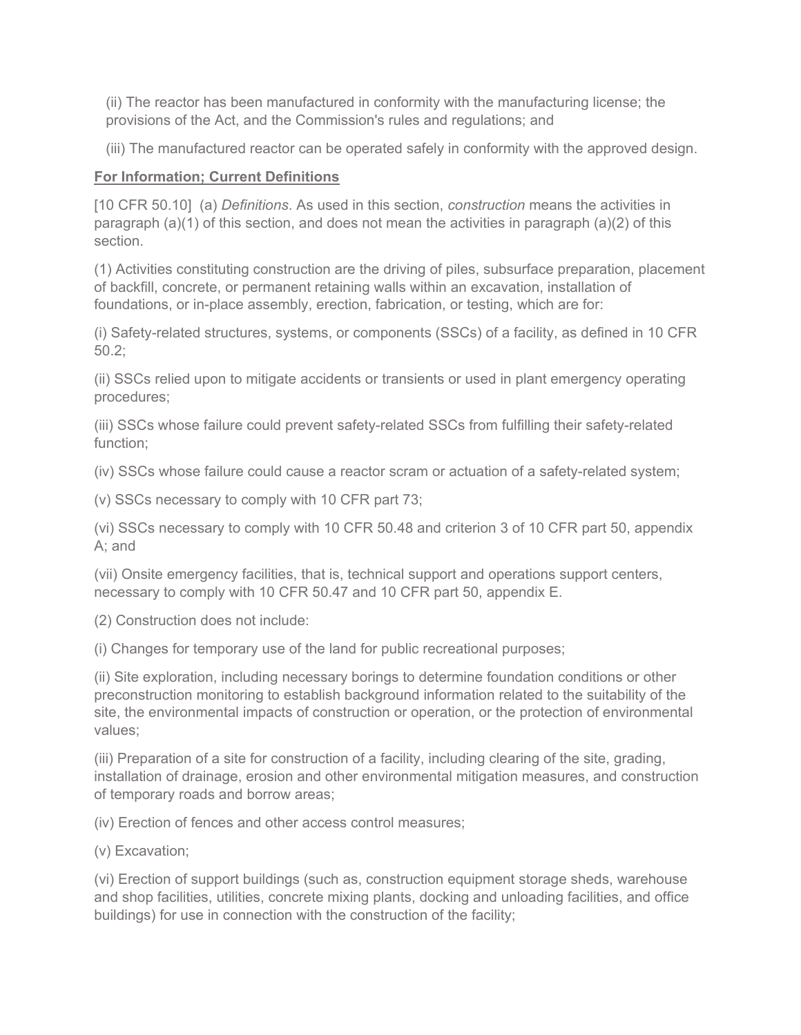(ii) The reactor has been manufactured in conformity with the manufacturing license; the provisions of the Act, and the Commission's rules and regulations; and

(iii) The manufactured reactor can be operated safely in conformity with the approved design.

# **For Information; Current Definitions**

[10 CFR 50.10] (a) *Definitions*. As used in this section, *construction* means the activities in paragraph (a)(1) of this section, and does not mean the activities in paragraph (a)(2) of this section.

(1) Activities constituting construction are the driving of piles, subsurface preparation, placement of backfill, concrete, or permanent retaining walls within an excavation, installation of foundations, or in-place assembly, erection, fabrication, or testing, which are for:

(i) Safety-related structures, systems, or components (SSCs) of a facility, as defined in 10 CFR 50.2;

(ii) SSCs relied upon to mitigate accidents or transients or used in plant emergency operating procedures;

(iii) SSCs whose failure could prevent safety-related SSCs from fulfilling their safety-related function;

(iv) SSCs whose failure could cause a reactor scram or actuation of a safety-related system;

(v) SSCs necessary to comply with 10 CFR part 73;

(vi) SSCs necessary to comply with 10 CFR 50.48 and criterion 3 of 10 CFR part 50, appendix A; and

(vii) Onsite emergency facilities, that is, technical support and operations support centers, necessary to comply with 10 CFR 50.47 and 10 CFR part 50, appendix E.

(2) Construction does not include:

(i) Changes for temporary use of the land for public recreational purposes;

(ii) Site exploration, including necessary borings to determine foundation conditions or other preconstruction monitoring to establish background information related to the suitability of the site, the environmental impacts of construction or operation, or the protection of environmental values;

(iii) Preparation of a site for construction of a facility, including clearing of the site, grading, installation of drainage, erosion and other environmental mitigation measures, and construction of temporary roads and borrow areas;

(iv) Erection of fences and other access control measures;

(v) Excavation;

(vi) Erection of support buildings (such as, construction equipment storage sheds, warehouse and shop facilities, utilities, concrete mixing plants, docking and unloading facilities, and office buildings) for use in connection with the construction of the facility;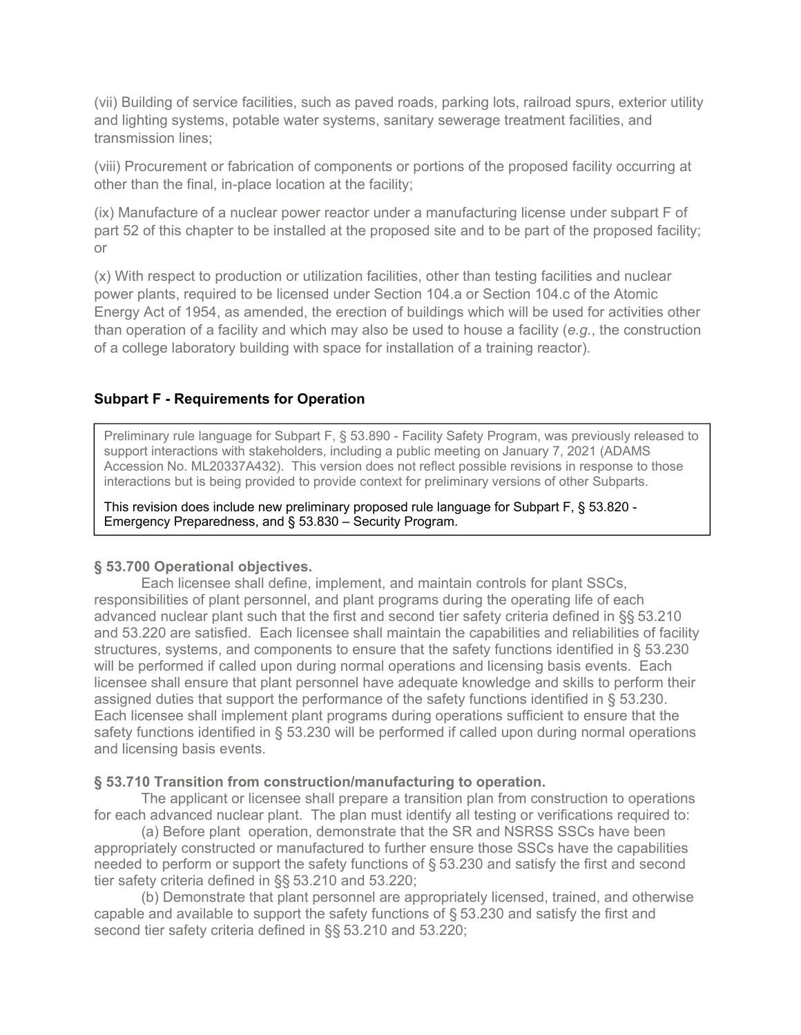(vii) Building of service facilities, such as paved roads, parking lots, railroad spurs, exterior utility and lighting systems, potable water systems, sanitary sewerage treatment facilities, and transmission lines;

(viii) Procurement or fabrication of components or portions of the proposed facility occurring at other than the final, in-place location at the facility;

(ix) Manufacture of a nuclear power reactor under a manufacturing license under subpart F of part 52 of this chapter to be installed at the proposed site and to be part of the proposed facility; or

(x) With respect to production or utilization facilities, other than testing facilities and nuclear power plants, required to be licensed under Section 104.a or Section 104.c of the Atomic Energy Act of 1954, as amended, the erection of buildings which will be used for activities other than operation of a facility and which may also be used to house a facility (*e.g.*, the construction of a college laboratory building with space for installation of a training reactor).

### **Subpart F - Requirements for Operation**

Preliminary rule language for Subpart F, § 53.890 - Facility Safety Program, was previously released to support interactions with stakeholders, including a public meeting on January 7, 2021 (ADAMS Accession No. ML20337A432). This version does not reflect possible revisions in response to those interactions but is being provided to provide context for preliminary versions of other Subparts.

This revision does include new preliminary proposed rule language for Subpart F, § 53.820 - Emergency Preparedness, and § 53.830 – Security Program.

### **§ 53.700 Operational objectives.**

Each licensee shall define, implement, and maintain controls for plant SSCs, responsibilities of plant personnel, and plant programs during the operating life of each advanced nuclear plant such that the first and second tier safety criteria defined in §§ 53.210 and 53.220 are satisfied. Each licensee shall maintain the capabilities and reliabilities of facility structures, systems, and components to ensure that the safety functions identified in § 53.230 will be performed if called upon during normal operations and licensing basis events. Each licensee shall ensure that plant personnel have adequate knowledge and skills to perform their assigned duties that support the performance of the safety functions identified in § 53.230. Each licensee shall implement plant programs during operations sufficient to ensure that the safety functions identified in § 53.230 will be performed if called upon during normal operations and licensing basis events.

#### **§ 53.710 Transition from construction/manufacturing to operation.**

The applicant or licensee shall prepare a transition plan from construction to operations for each advanced nuclear plant. The plan must identify all testing or verifications required to:

(a) Before plant operation, demonstrate that the SR and NSRSS SSCs have been appropriately constructed or manufactured to further ensure those SSCs have the capabilities needed to perform or support the safety functions of § 53.230 and satisfy the first and second tier safety criteria defined in §§ 53.210 and 53.220;

(b) Demonstrate that plant personnel are appropriately licensed, trained, and otherwise capable and available to support the safety functions of § 53.230 and satisfy the first and second tier safety criteria defined in §§ 53.210 and 53.220;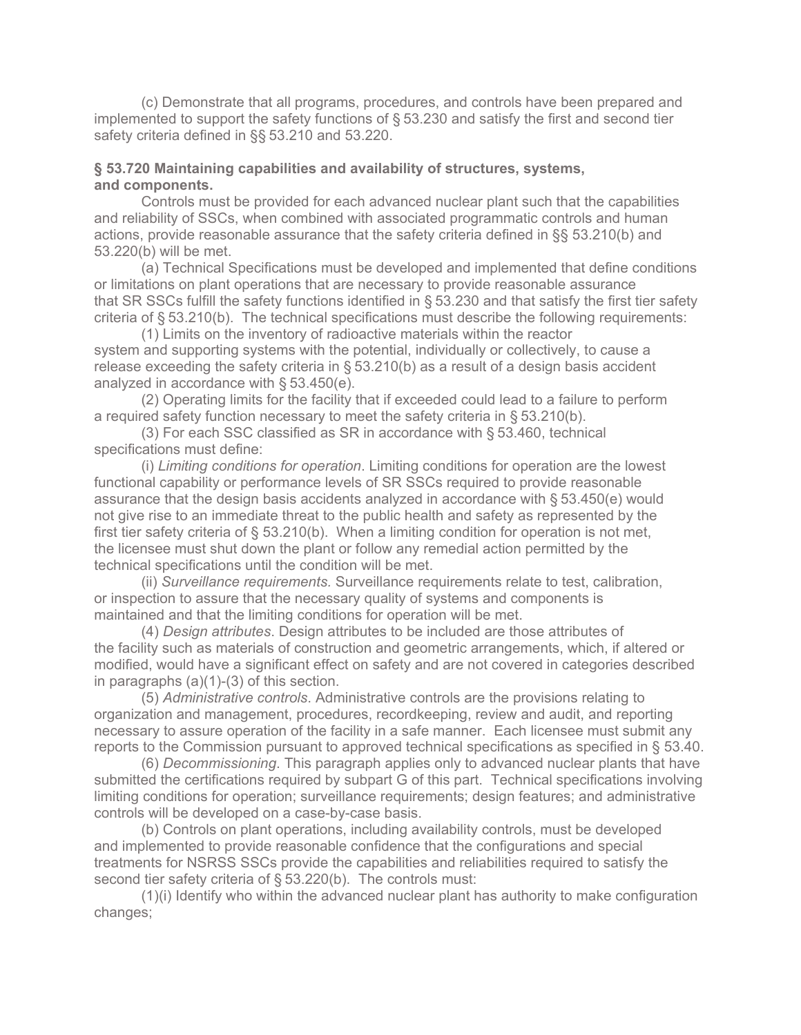(c) Demonstrate that all programs, procedures, and controls have been prepared and implemented to support the safety functions of § 53.230 and satisfy the first and second tier safety criteria defined in §§ 53.210 and 53.220.

### **§ 53.720 Maintaining capabilities and availability of structures, systems, and components.**

Controls must be provided for each advanced nuclear plant such that the capabilities and reliability of SSCs, when combined with associated programmatic controls and human actions, provide reasonable assurance that the safety criteria defined in §§ 53.210(b) and 53.220(b) will be met.

(a) Technical Specifications must be developed and implemented that define conditions or limitations on plant operations that are necessary to provide reasonable assurance that SR SSCs fulfill the safety functions identified in § 53.230 and that satisfy the first tier safety criteria of § 53.210(b). The technical specifications must describe the following requirements:

(1) Limits on the inventory of radioactive materials within the reactor system and supporting systems with the potential, individually or collectively, to cause a release exceeding the safety criteria in § 53.210(b) as a result of a design basis accident analyzed in accordance with § 53.450(e).

(2) Operating limits for the facility that if exceeded could lead to a failure to perform a required safety function necessary to meet the safety criteria in § 53.210(b).

(3) For each SSC classified as SR in accordance with § 53.460, technical specifications must define:

(i) *Limiting conditions for operation*. Limiting conditions for operation are the lowest functional capability or performance levels of SR SSCs required to provide reasonable assurance that the design basis accidents analyzed in accordance with § 53.450(e) would not give rise to an immediate threat to the public health and safety as represented by the first tier safety criteria of § 53.210(b). When a limiting condition for operation is not met, the licensee must shut down the plant or follow any remedial action permitted by the technical specifications until the condition will be met.

(ii) *Surveillance requirements.* Surveillance requirements relate to test, calibration, or inspection to assure that the necessary quality of systems and components is maintained and that the limiting conditions for operation will be met.

(4) *Design attributes*. Design attributes to be included are those attributes of the facility such as materials of construction and geometric arrangements, which, if altered or modified, would have a significant effect on safety and are not covered in categories described in paragraphs (a)(1)-(3) of this section.

(5) *Administrative controls*. Administrative controls are the provisions relating to organization and management, procedures, recordkeeping, review and audit, and reporting necessary to assure operation of the facility in a safe manner. Each licensee must submit any reports to the Commission pursuant to approved technical specifications as specified in § 53.40.

(6) *Decommissioning*. This paragraph applies only to advanced nuclear plants that have submitted the certifications required by subpart G of this part. Technical specifications involving limiting conditions for operation; surveillance requirements; design features; and administrative controls will be developed on a case-by-case basis.

(b) Controls on plant operations, including availability controls, must be developed and implemented to provide reasonable confidence that the configurations and special treatments for NSRSS SSCs provide the capabilities and reliabilities required to satisfy the second tier safety criteria of § 53.220(b). The controls must:

(1)(i) Identify who within the advanced nuclear plant has authority to make configuration changes;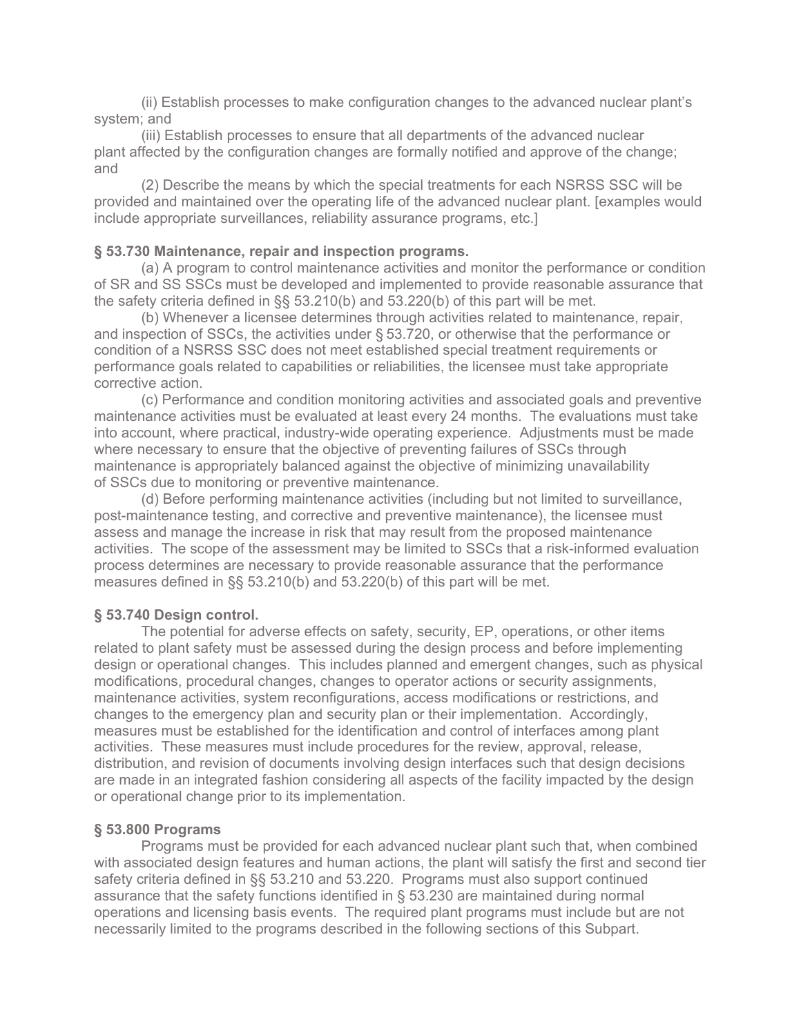(ii) Establish processes to make configuration changes to the advanced nuclear plant's system; and

(iii) Establish processes to ensure that all departments of the advanced nuclear plant affected by the configuration changes are formally notified and approve of the change; and

(2) Describe the means by which the special treatments for each NSRSS SSC will be provided and maintained over the operating life of the advanced nuclear plant. [examples would include appropriate surveillances, reliability assurance programs, etc.]

## **§ 53.730 Maintenance, repair and inspection programs.**

(a) A program to control maintenance activities and monitor the performance or condition of SR and SS SSCs must be developed and implemented to provide reasonable assurance that the safety criteria defined in §§ 53.210(b) and 53.220(b) of this part will be met.

(b) Whenever a licensee determines through activities related to maintenance, repair, and inspection of SSCs, the activities under § 53.720, or otherwise that the performance or condition of a NSRSS SSC does not meet established special treatment requirements or performance goals related to capabilities or reliabilities, the licensee must take appropriate corrective action.

(c) Performance and condition monitoring activities and associated goals and preventive maintenance activities must be evaluated at least every 24 months. The evaluations must take into account, where practical, industry-wide operating experience. Adjustments must be made where necessary to ensure that the objective of preventing failures of SSCs through maintenance is appropriately balanced against the objective of minimizing unavailability of SSCs due to monitoring or preventive maintenance.

(d) Before performing maintenance activities (including but not limited to surveillance, post-maintenance testing, and corrective and preventive maintenance), the licensee must assess and manage the increase in risk that may result from the proposed maintenance activities. The scope of the assessment may be limited to SSCs that a risk-informed evaluation process determines are necessary to provide reasonable assurance that the performance measures defined in §§ 53.210(b) and 53.220(b) of this part will be met.

### **§ 53.740 Design control.**

The potential for adverse effects on safety, security, EP, operations, or other items related to plant safety must be assessed during the design process and before implementing design or operational changes. This includes planned and emergent changes, such as physical modifications, procedural changes, changes to operator actions or security assignments, maintenance activities, system reconfigurations, access modifications or restrictions, and changes to the emergency plan and security plan or their implementation. Accordingly, measures must be established for the identification and control of interfaces among plant activities. These measures must include procedures for the review, approval, release, distribution, and revision of documents involving design interfaces such that design decisions are made in an integrated fashion considering all aspects of the facility impacted by the design or operational change prior to its implementation.

### **§ 53.800 Programs**

Programs must be provided for each advanced nuclear plant such that, when combined with associated design features and human actions, the plant will satisfy the first and second tier safety criteria defined in §§ 53.210 and 53.220. Programs must also support continued assurance that the safety functions identified in § 53.230 are maintained during normal operations and licensing basis events. The required plant programs must include but are not necessarily limited to the programs described in the following sections of this Subpart.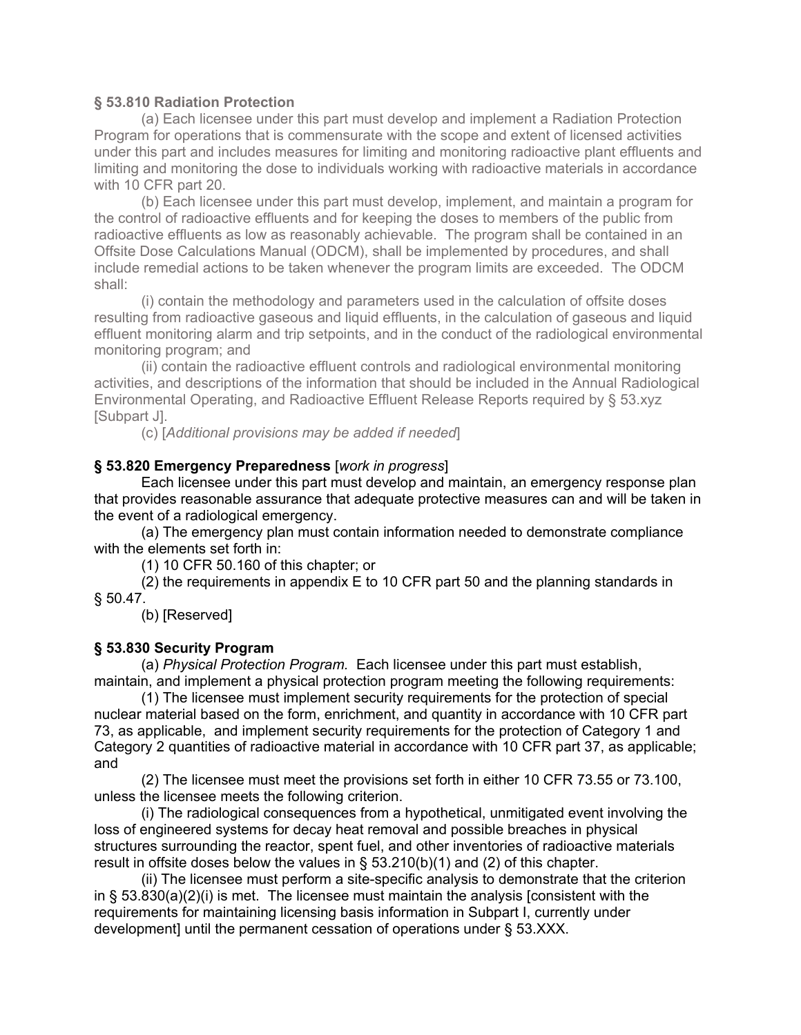### **§ 53.810 Radiation Protection**

(a) Each licensee under this part must develop and implement a Radiation Protection Program for operations that is commensurate with the scope and extent of licensed activities under this part and includes measures for limiting and monitoring radioactive plant effluents and limiting and monitoring the dose to individuals working with radioactive materials in accordance with 10 CFR part 20.

(b) Each licensee under this part must develop, implement, and maintain a program for the control of radioactive effluents and for keeping the doses to members of the public from radioactive effluents as low as reasonably achievable. The program shall be contained in an Offsite Dose Calculations Manual (ODCM), shall be implemented by procedures, and shall include remedial actions to be taken whenever the program limits are exceeded. The ODCM shall:

(i) contain the methodology and parameters used in the calculation of offsite doses resulting from radioactive gaseous and liquid effluents, in the calculation of gaseous and liquid effluent monitoring alarm and trip setpoints, and in the conduct of the radiological environmental monitoring program; and

(ii) contain the radioactive effluent controls and radiological environmental monitoring activities, and descriptions of the information that should be included in the Annual Radiological Environmental Operating, and Radioactive Effluent Release Reports required by § 53.xyz [Subpart J].

(c) [*Additional provisions may be added if needed*]

### **§ 53.820 Emergency Preparedness** [*work in progress*]

Each licensee under this part must develop and maintain, an emergency response plan that provides reasonable assurance that adequate protective measures can and will be taken in the event of a radiological emergency.

(a) The emergency plan must contain information needed to demonstrate compliance with the elements set forth in:

(1) 10 CFR 50.160 of this chapter; or

(2) the requirements in appendix E to 10 CFR part 50 and the planning standards in § 50.47.

(b) [Reserved]

#### **§ 53.830 Security Program**

(a) *Physical Protection Program.* Each licensee under this part must establish, maintain, and implement a physical protection program meeting the following requirements:

(1) The licensee must implement security requirements for the protection of special nuclear material based on the form, enrichment, and quantity in accordance with 10 CFR part 73, as applicable, and implement security requirements for the protection of Category 1 and Category 2 quantities of radioactive material in accordance with 10 CFR part 37, as applicable; and

(2) The licensee must meet the provisions set forth in either 10 CFR 73.55 or 73.100, unless the licensee meets the following criterion.

(i) The radiological consequences from a hypothetical, unmitigated event involving the loss of engineered systems for decay heat removal and possible breaches in physical structures surrounding the reactor, spent fuel, and other inventories of radioactive materials result in offsite doses below the values in  $\S$  53.210(b)(1) and (2) of this chapter.

(ii) The licensee must perform a site-specific analysis to demonstrate that the criterion in §  $53.830(a)(2)(i)$  is met. The licensee must maintain the analysis [consistent with the requirements for maintaining licensing basis information in Subpart I, currently under development] until the permanent cessation of operations under § 53.XXX.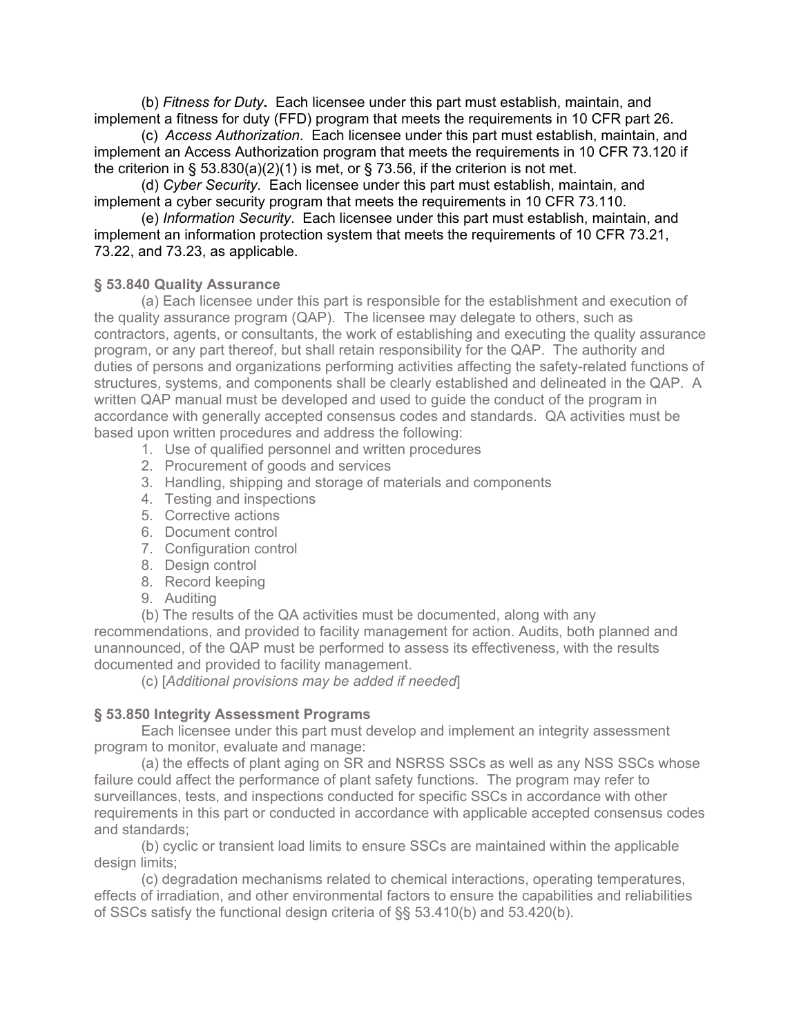(b) *Fitness for Duty***.** Each licensee under this part must establish, maintain, and implement a fitness for duty (FFD) program that meets the requirements in 10 CFR part 26.

(c) *Access Authorization*. Each licensee under this part must establish, maintain, and implement an Access Authorization program that meets the requirements in 10 CFR 73.120 if the criterion in § 53.830(a)(2)(1) is met, or § 73.56, if the criterion is not met.

(d) *Cyber Security*.Each licensee under this part must establish, maintain, and implement a cyber security program that meets the requirements in 10 CFR 73.110.

(e) *Information Security*. Each licensee under this part must establish, maintain, and implement an information protection system that meets the requirements of 10 CFR 73.21, 73.22, and 73.23, as applicable.

### **§ 53.840 Quality Assurance**

(a) Each licensee under this part is responsible for the establishment and execution of the quality assurance program (QAP). The licensee may delegate to others, such as contractors, agents, or consultants, the work of establishing and executing the quality assurance program, or any part thereof, but shall retain responsibility for the QAP. The authority and duties of persons and organizations performing activities affecting the safety-related functions of structures, systems, and components shall be clearly established and delineated in the QAP. A written QAP manual must be developed and used to guide the conduct of the program in accordance with generally accepted consensus codes and standards. QA activities must be based upon written procedures and address the following:

- 1. Use of qualified personnel and written procedures
- 2. Procurement of goods and services
- 3. Handling, shipping and storage of materials and components
- 4. Testing and inspections
- 5. Corrective actions
- 6. Document control
- 7. Configuration control
- 8. Design control
- 8. Record keeping
- 9. Auditing

(b) The results of the QA activities must be documented, along with any recommendations, and provided to facility management for action. Audits, both planned and unannounced, of the QAP must be performed to assess its effectiveness, with the results documented and provided to facility management.

(c) [*Additional provisions may be added if needed*]

## **§ 53.850 Integrity Assessment Programs**

Each licensee under this part must develop and implement an integrity assessment program to monitor, evaluate and manage:

(a) the effects of plant aging on SR and NSRSS SSCs as well as any NSS SSCs whose failure could affect the performance of plant safety functions. The program may refer to surveillances, tests, and inspections conducted for specific SSCs in accordance with other requirements in this part or conducted in accordance with applicable accepted consensus codes and standards;

(b) cyclic or transient load limits to ensure SSCs are maintained within the applicable design limits;

(c) degradation mechanisms related to chemical interactions, operating temperatures, effects of irradiation, and other environmental factors to ensure the capabilities and reliabilities of SSCs satisfy the functional design criteria of §§ 53.410(b) and 53.420(b).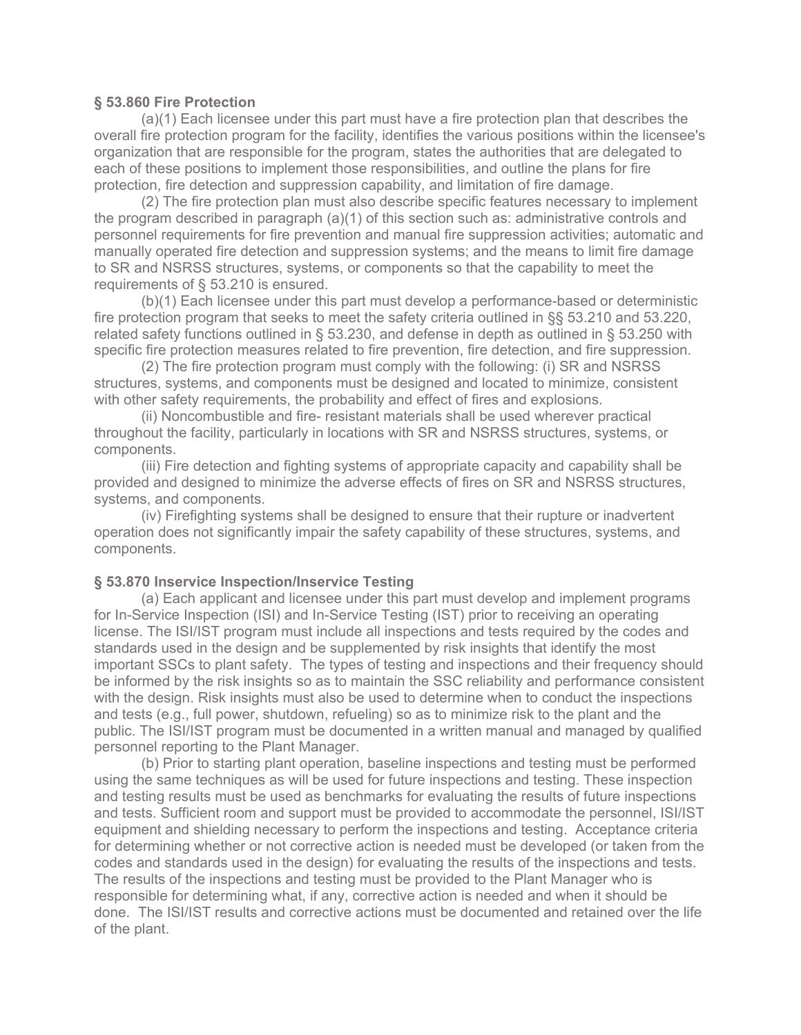#### **§ 53.860 Fire Protection**

(a)(1) Each licensee under this part must have a fire protection plan that describes the overall fire protection program for the facility, identifies the various positions within the licensee's organization that are responsible for the program, states the authorities that are delegated to each of these positions to implement those responsibilities, and outline the plans for fire protection, fire detection and suppression capability, and limitation of fire damage.

(2) The fire protection plan must also describe specific features necessary to implement the program described in paragraph (a)(1) of this section such as: administrative controls and personnel requirements for fire prevention and manual fire suppression activities; automatic and manually operated fire detection and suppression systems; and the means to limit fire damage to SR and NSRSS structures, systems, or components so that the capability to meet the requirements of § 53.210 is ensured.

(b)(1) Each licensee under this part must develop a performance-based or deterministic fire protection program that seeks to meet the safety criteria outlined in §§ 53.210 and 53.220, related safety functions outlined in § 53.230, and defense in depth as outlined in § 53.250 with specific fire protection measures related to fire prevention, fire detection, and fire suppression.

(2) The fire protection program must comply with the following: (i) SR and NSRSS structures, systems, and components must be designed and located to minimize, consistent with other safety requirements, the probability and effect of fires and explosions.

(ii) Noncombustible and fire- resistant materials shall be used wherever practical throughout the facility, particularly in locations with SR and NSRSS structures, systems, or components.

(iii) Fire detection and fighting systems of appropriate capacity and capability shall be provided and designed to minimize the adverse effects of fires on SR and NSRSS structures, systems, and components.

(iv) Firefighting systems shall be designed to ensure that their rupture or inadvertent operation does not significantly impair the safety capability of these structures, systems, and components.

### **§ 53.870 Inservice Inspection/Inservice Testing**

(a) Each applicant and licensee under this part must develop and implement programs for In-Service Inspection (ISI) and In-Service Testing (IST) prior to receiving an operating license. The ISI/IST program must include all inspections and tests required by the codes and standards used in the design and be supplemented by risk insights that identify the most important SSCs to plant safety. The types of testing and inspections and their frequency should be informed by the risk insights so as to maintain the SSC reliability and performance consistent with the design. Risk insights must also be used to determine when to conduct the inspections and tests (e.g., full power, shutdown, refueling) so as to minimize risk to the plant and the public. The ISI/IST program must be documented in a written manual and managed by qualified personnel reporting to the Plant Manager.

(b) Prior to starting plant operation, baseline inspections and testing must be performed using the same techniques as will be used for future inspections and testing. These inspection and testing results must be used as benchmarks for evaluating the results of future inspections and tests. Sufficient room and support must be provided to accommodate the personnel, ISI/IST equipment and shielding necessary to perform the inspections and testing. Acceptance criteria for determining whether or not corrective action is needed must be developed (or taken from the codes and standards used in the design) for evaluating the results of the inspections and tests. The results of the inspections and testing must be provided to the Plant Manager who is responsible for determining what, if any, corrective action is needed and when it should be done. The ISI/IST results and corrective actions must be documented and retained over the life of the plant.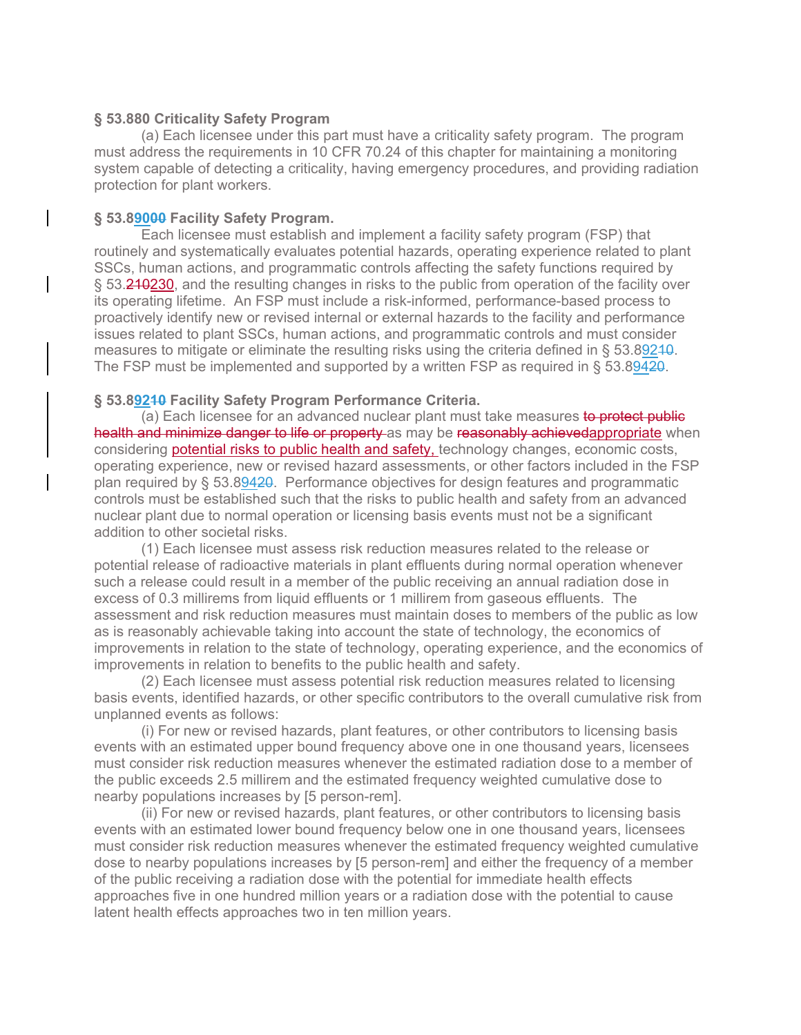#### **§ 53.880 Criticality Safety Program**

(a) Each licensee under this part must have a criticality safety program. The program must address the requirements in 10 CFR 70.24 of this chapter for maintaining a monitoring system capable of detecting a criticality, having emergency procedures, and providing radiation protection for plant workers.

### **§ 53.89000 Facility Safety Program.**

Each licensee must establish and implement a facility safety program (FSP) that routinely and systematically evaluates potential hazards, operating experience related to plant SSCs, human actions, and programmatic controls affecting the safety functions required by § 53.240230, and the resulting changes in risks to the public from operation of the facility over its operating lifetime. An FSP must include a risk-informed, performance-based process to proactively identify new or revised internal or external hazards to the facility and performance issues related to plant SSCs, human actions, and programmatic controls and must consider measures to mitigate or eliminate the resulting risks using the criteria defined in § 53.89240. The FSP must be implemented and supported by a written FSP as required in § 53.89420.

#### **§ 53.89210 Facility Safety Program Performance Criteria.**

(a) Each licensee for an advanced nuclear plant must take measures to protect public health and minimize danger to life or property as may be reasonably achievedappropriate when considering potential risks to public health and safety, technology changes, economic costs, operating experience, new or revised hazard assessments, or other factors included in the FSP plan required by § 53.89420. Performance objectives for design features and programmatic controls must be established such that the risks to public health and safety from an advanced nuclear plant due to normal operation or licensing basis events must not be a significant addition to other societal risks.

(1) Each licensee must assess risk reduction measures related to the release or potential release of radioactive materials in plant effluents during normal operation whenever such a release could result in a member of the public receiving an annual radiation dose in excess of 0.3 millirems from liquid effluents or 1 millirem from gaseous effluents. The assessment and risk reduction measures must maintain doses to members of the public as low as is reasonably achievable taking into account the state of technology, the economics of improvements in relation to the state of technology, operating experience, and the economics of improvements in relation to benefits to the public health and safety.

(2) Each licensee must assess potential risk reduction measures related to licensing basis events, identified hazards, or other specific contributors to the overall cumulative risk from unplanned events as follows:

(i) For new or revised hazards, plant features, or other contributors to licensing basis events with an estimated upper bound frequency above one in one thousand years, licensees must consider risk reduction measures whenever the estimated radiation dose to a member of the public exceeds 2.5 millirem and the estimated frequency weighted cumulative dose to nearby populations increases by [5 person-rem].

(ii) For new or revised hazards, plant features, or other contributors to licensing basis events with an estimated lower bound frequency below one in one thousand years, licensees must consider risk reduction measures whenever the estimated frequency weighted cumulative dose to nearby populations increases by [5 person-rem] and either the frequency of a member of the public receiving a radiation dose with the potential for immediate health effects approaches five in one hundred million years or a radiation dose with the potential to cause latent health effects approaches two in ten million years.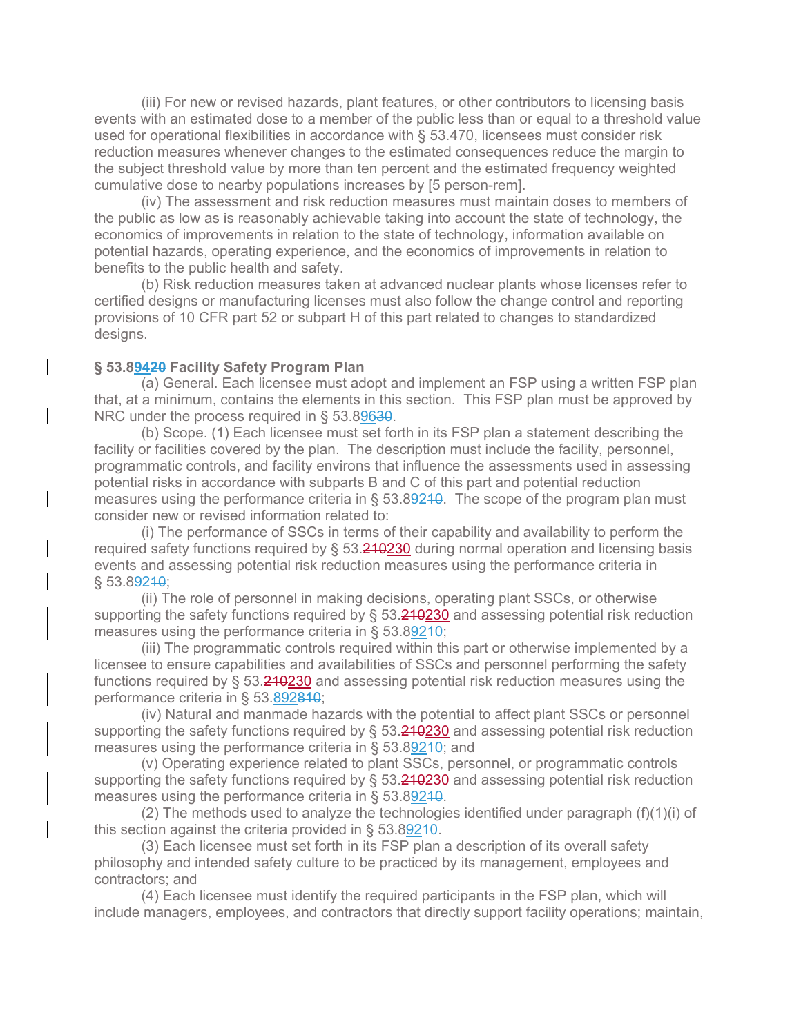(iii) For new or revised hazards, plant features, or other contributors to licensing basis events with an estimated dose to a member of the public less than or equal to a threshold value used for operational flexibilities in accordance with § 53.470, licensees must consider risk reduction measures whenever changes to the estimated consequences reduce the margin to the subject threshold value by more than ten percent and the estimated frequency weighted cumulative dose to nearby populations increases by [5 person-rem].

(iv) The assessment and risk reduction measures must maintain doses to members of the public as low as is reasonably achievable taking into account the state of technology, the economics of improvements in relation to the state of technology, information available on potential hazards, operating experience, and the economics of improvements in relation to benefits to the public health and safety.

 (b) Risk reduction measures taken at advanced nuclear plants whose licenses refer to certified designs or manufacturing licenses must also follow the change control and reporting provisions of 10 CFR part 52 or subpart H of this part related to changes to standardized designs.

### **§ 53.89420 Facility Safety Program Plan**

(a) General. Each licensee must adopt and implement an FSP using a written FSP plan that, at a minimum, contains the elements in this section. This FSP plan must be approved by NRC under the process required in § 53.89630.

(b) Scope. (1) Each licensee must set forth in its FSP plan a statement describing the facility or facilities covered by the plan. The description must include the facility, personnel, programmatic controls, and facility environs that influence the assessments used in assessing potential risks in accordance with subparts B and C of this part and potential reduction measures using the performance criteria in  $\S$  53.89240. The scope of the program plan must consider new or revised information related to:

(i) The performance of SSCs in terms of their capability and availability to perform the required safety functions required by  $\S$  53.240230 during normal operation and licensing basis events and assessing potential risk reduction measures using the performance criteria in § 53.89210;

(ii) The role of personnel in making decisions, operating plant SSCs, or otherwise supporting the safety functions required by  $\S$  53.240230 and assessing potential risk reduction measures using the performance criteria in § 53.89210;

(iii) The programmatic controls required within this part or otherwise implemented by a licensee to ensure capabilities and availabilities of SSCs and personnel performing the safety functions required by  $\S$  53.240230 and assessing potential risk reduction measures using the performance criteria in § 53.892810;

(iv) Natural and manmade hazards with the potential to affect plant SSCs or personnel supporting the safety functions required by § 53.210230 and assessing potential risk reduction measures using the performance criteria in § 53.89240; and

(v) Operating experience related to plant SSCs, personnel, or programmatic controls supporting the safety functions required by § 53.210230 and assessing potential risk reduction measures using the performance criteria in § 53.89240.

(2) The methods used to analyze the technologies identified under paragraph  $(f)(1)(i)$  of this section against the criteria provided in § 53.89240.

(3) Each licensee must set forth in its FSP plan a description of its overall safety philosophy and intended safety culture to be practiced by its management, employees and contractors; and

(4) Each licensee must identify the required participants in the FSP plan, which will include managers, employees, and contractors that directly support facility operations; maintain,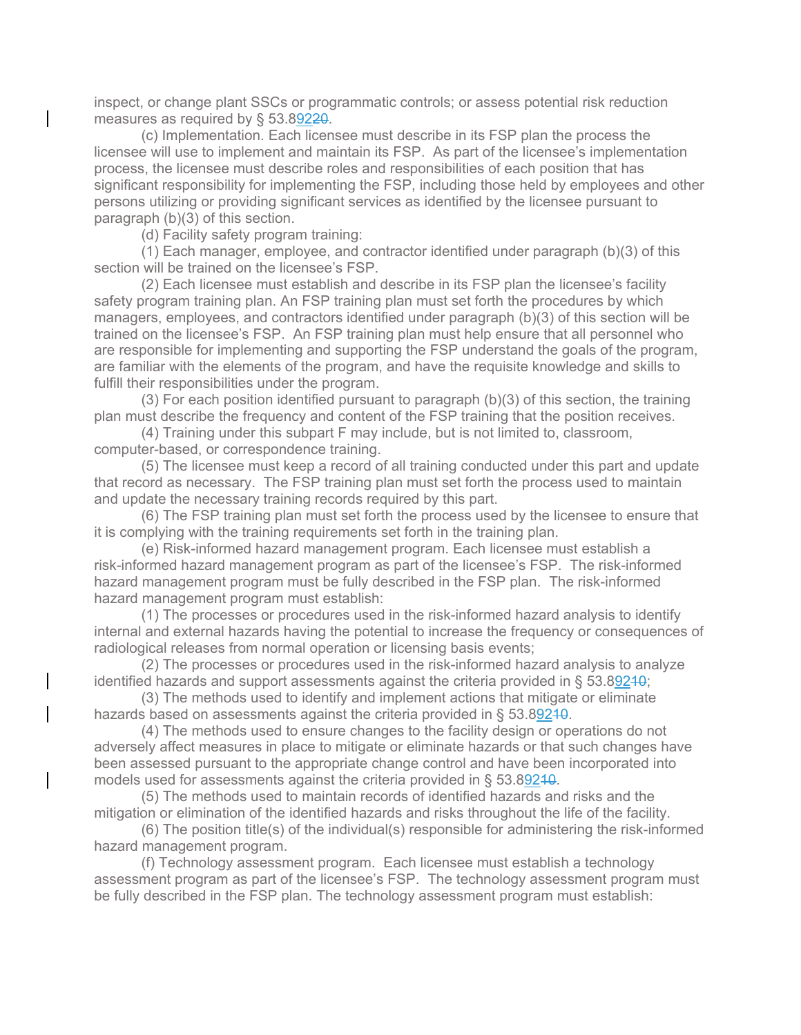inspect, or change plant SSCs or programmatic controls; or assess potential risk reduction measures as required by § 53.89220.

(c) Implementation. Each licensee must describe in its FSP plan the process the licensee will use to implement and maintain its FSP. As part of the licensee's implementation process, the licensee must describe roles and responsibilities of each position that has significant responsibility for implementing the FSP, including those held by employees and other persons utilizing or providing significant services as identified by the licensee pursuant to paragraph (b)(3) of this section.

(d) Facility safety program training:

(1) Each manager, employee, and contractor identified under paragraph (b)(3) of this section will be trained on the licensee's FSP.

(2) Each licensee must establish and describe in its FSP plan the licensee's facility safety program training plan. An FSP training plan must set forth the procedures by which managers, employees, and contractors identified under paragraph (b)(3) of this section will be trained on the licensee's FSP. An FSP training plan must help ensure that all personnel who are responsible for implementing and supporting the FSP understand the goals of the program, are familiar with the elements of the program, and have the requisite knowledge and skills to fulfill their responsibilities under the program.

 $(3)$  For each position identified pursuant to paragraph  $(b)(3)$  of this section, the training plan must describe the frequency and content of the FSP training that the position receives.

(4) Training under this subpart F may include, but is not limited to, classroom, computer-based, or correspondence training.

(5) The licensee must keep a record of all training conducted under this part and update that record as necessary. The FSP training plan must set forth the process used to maintain and update the necessary training records required by this part.

(6) The FSP training plan must set forth the process used by the licensee to ensure that it is complying with the training requirements set forth in the training plan.

(e) Risk-informed hazard management program. Each licensee must establish a risk-informed hazard management program as part of the licensee's FSP. The risk-informed hazard management program must be fully described in the FSP plan. The risk-informed hazard management program must establish:

(1) The processes or procedures used in the risk-informed hazard analysis to identify internal and external hazards having the potential to increase the frequency or consequences of radiological releases from normal operation or licensing basis events;

(2) The processes or procedures used in the risk-informed hazard analysis to analyze identified hazards and support assessments against the criteria provided in § 53.89210;

(3) The methods used to identify and implement actions that mitigate or eliminate hazards based on assessments against the criteria provided in § 53.89240.

(4) The methods used to ensure changes to the facility design or operations do not adversely affect measures in place to mitigate or eliminate hazards or that such changes have been assessed pursuant to the appropriate change control and have been incorporated into models used for assessments against the criteria provided in § 53.89240.

(5) The methods used to maintain records of identified hazards and risks and the mitigation or elimination of the identified hazards and risks throughout the life of the facility.

(6) The position title(s) of the individual(s) responsible for administering the risk-informed hazard management program.

(f) Technology assessment program. Each licensee must establish a technology assessment program as part of the licensee's FSP. The technology assessment program must be fully described in the FSP plan. The technology assessment program must establish: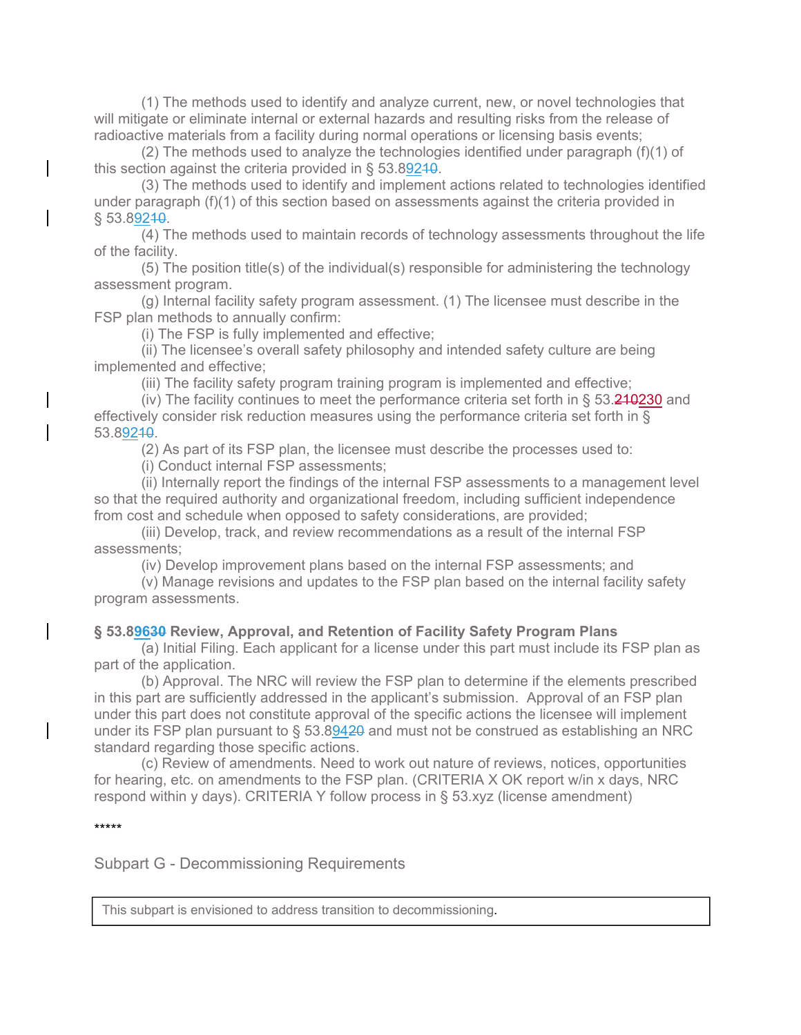(1) The methods used to identify and analyze current, new, or novel technologies that will mitigate or eliminate internal or external hazards and resulting risks from the release of radioactive materials from a facility during normal operations or licensing basis events;

(2) The methods used to analyze the technologies identified under paragraph (f)(1) of this section against the criteria provided in § 53.89240.

(3) The methods used to identify and implement actions related to technologies identified under paragraph (f)(1) of this section based on assessments against the criteria provided in § 53.89210.

(4) The methods used to maintain records of technology assessments throughout the life of the facility.

(5) The position title(s) of the individual(s) responsible for administering the technology assessment program.

(g) Internal facility safety program assessment. (1) The licensee must describe in the FSP plan methods to annually confirm:

(i) The FSP is fully implemented and effective;

(ii) The licensee's overall safety philosophy and intended safety culture are being implemented and effective;

(iii) The facility safety program training program is implemented and effective;

(iv) The facility continues to meet the performance criteria set forth in  $\S 53.240230$  and effectively consider risk reduction measures using the performance criteria set forth in § 53.89210.

(2) As part of its FSP plan, the licensee must describe the processes used to:

(i) Conduct internal FSP assessments;

(ii) Internally report the findings of the internal FSP assessments to a management level so that the required authority and organizational freedom, including sufficient independence from cost and schedule when opposed to safety considerations, are provided;

(iii) Develop, track, and review recommendations as a result of the internal FSP assessments;

(iv) Develop improvement plans based on the internal FSP assessments; and

(v) Manage revisions and updates to the FSP plan based on the internal facility safety program assessments.

## **§ 53.89630 Review, Approval, and Retention of Facility Safety Program Plans**

(a) Initial Filing. Each applicant for a license under this part must include its FSP plan as part of the application.

(b) Approval. The NRC will review the FSP plan to determine if the elements prescribed in this part are sufficiently addressed in the applicant's submission. Approval of an FSP plan under this part does not constitute approval of the specific actions the licensee will implement under its FSP plan pursuant to § 53.89420 and must not be construed as establishing an NRC standard regarding those specific actions.

(c) Review of amendments. Need to work out nature of reviews, notices, opportunities for hearing, etc. on amendments to the FSP plan. (CRITERIA X OK report w/in x days, NRC respond within y days). CRITERIA Y follow process in § 53.xyz (license amendment)

\*\*\*\*\*

Subpart G - Decommissioning Requirements

This subpart is envisioned to address transition to decommissioning.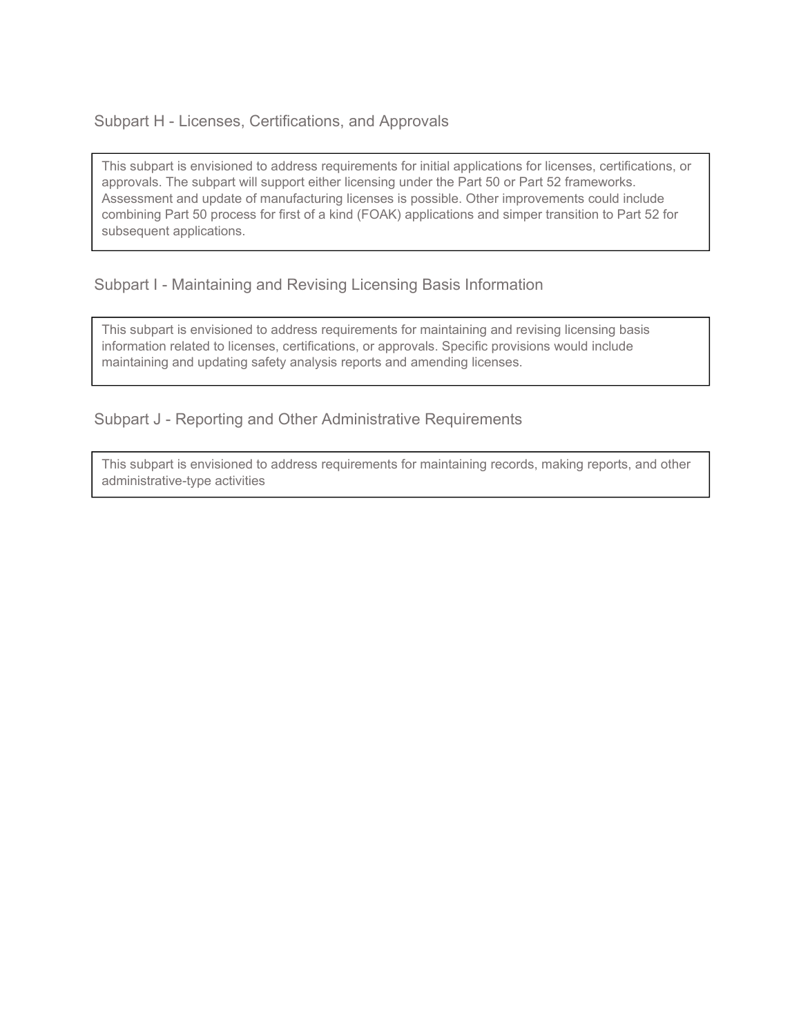# Subpart H - Licenses, Certifications, and Approvals

This subpart is envisioned to address requirements for initial applications for licenses, certifications, or approvals. The subpart will support either licensing under the Part 50 or Part 52 frameworks. Assessment and update of manufacturing licenses is possible. Other improvements could include combining Part 50 process for first of a kind (FOAK) applications and simper transition to Part 52 for subsequent applications.

# Subpart I - Maintaining and Revising Licensing Basis Information

This subpart is envisioned to address requirements for maintaining and revising licensing basis information related to licenses, certifications, or approvals. Specific provisions would include maintaining and updating safety analysis reports and amending licenses.

Subpart J - Reporting and Other Administrative Requirements

This subpart is envisioned to address requirements for maintaining records, making reports, and other administrative-type activities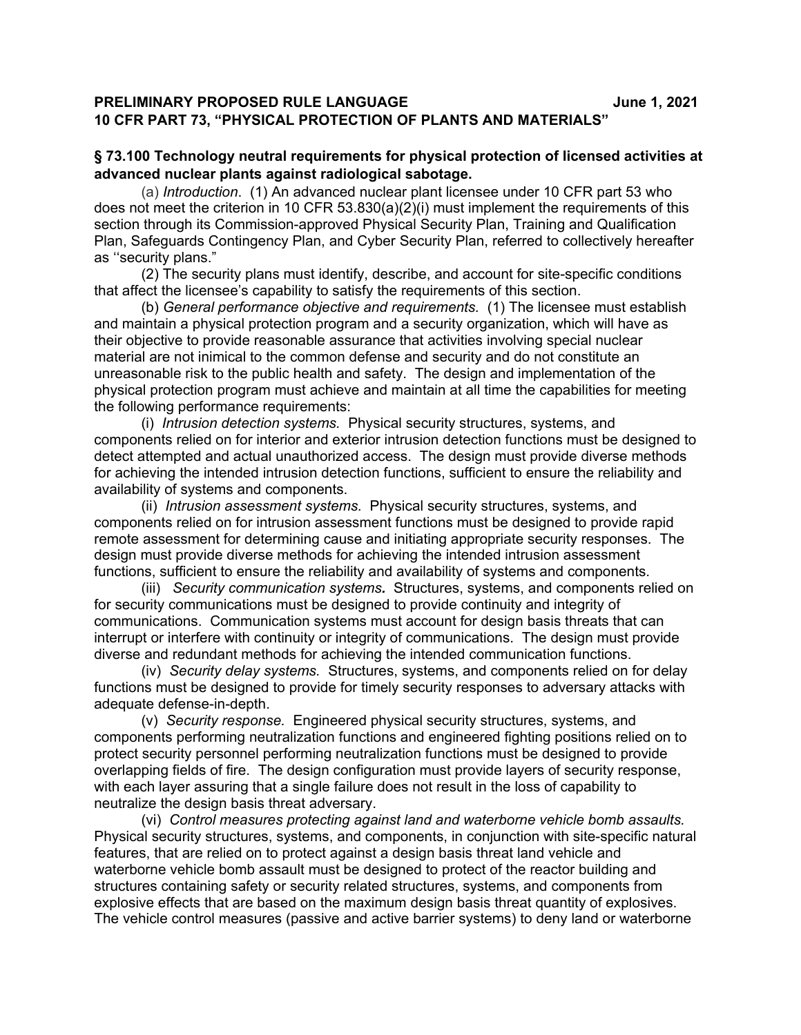### **PRELIMINARY PROPOSED RULE LANGUAGE THE SEX CONSUMING A SEX LOCAL SEXUAL PROPOSED RULE LANGUAGE 10 CFR PART 73, "PHYSICAL PROTECTION OF PLANTS AND MATERIALS"**

### **§ 73.100 Technology neutral requirements for physical protection of licensed activities at advanced nuclear plants against radiological sabotage.**

(a) *Introduction*. (1) An advanced nuclear plant licensee under 10 CFR part 53 who does not meet the criterion in 10 CFR 53.830(a)(2)(i) must implement the requirements of this section through its Commission-approved Physical Security Plan, Training and Qualification Plan, Safeguards Contingency Plan, and Cyber Security Plan, referred to collectively hereafter as ''security plans."

(2) The security plans must identify, describe, and account for site-specific conditions that affect the licensee's capability to satisfy the requirements of this section.

(b) *General performance objective and requirements.* (1) The licensee must establish and maintain a physical protection program and a security organization, which will have as their objective to provide reasonable assurance that activities involving special nuclear material are not inimical to the common defense and security and do not constitute an unreasonable risk to the public health and safety. The design and implementation of the physical protection program must achieve and maintain at all time the capabilities for meeting the following performance requirements:

(i) *Intrusion detection systems.* Physical security structures, systems, and components relied on for interior and exterior intrusion detection functions must be designed to detect attempted and actual unauthorized access. The design must provide diverse methods for achieving the intended intrusion detection functions, sufficient to ensure the reliability and availability of systems and components.

(ii) *Intrusion assessment systems.* Physical security structures, systems, and components relied on for intrusion assessment functions must be designed to provide rapid remote assessment for determining cause and initiating appropriate security responses. The design must provide diverse methods for achieving the intended intrusion assessment functions, sufficient to ensure the reliability and availability of systems and components.

(iii) *Security communication systems.* Structures, systems, and components relied on for security communications must be designed to provide continuity and integrity of communications. Communication systems must account for design basis threats that can interrupt or interfere with continuity or integrity of communications. The design must provide diverse and redundant methods for achieving the intended communication functions.

(iv) *Security delay systems.* Structures, systems, and components relied on for delay functions must be designed to provide for timely security responses to adversary attacks with adequate defense-in-depth.

(v) *Security response.* Engineered physical security structures, systems, and components performing neutralization functions and engineered fighting positions relied on to protect security personnel performing neutralization functions must be designed to provide overlapping fields of fire. The design configuration must provide layers of security response, with each layer assuring that a single failure does not result in the loss of capability to neutralize the design basis threat adversary.

(vi) *Control measures protecting against land and waterborne vehicle bomb assaults.*  Physical security structures, systems, and components, in conjunction with site-specific natural features, that are relied on to protect against a design basis threat land vehicle and waterborne vehicle bomb assault must be designed to protect of the reactor building and structures containing safety or security related structures, systems, and components from explosive effects that are based on the maximum design basis threat quantity of explosives. The vehicle control measures (passive and active barrier systems) to deny land or waterborne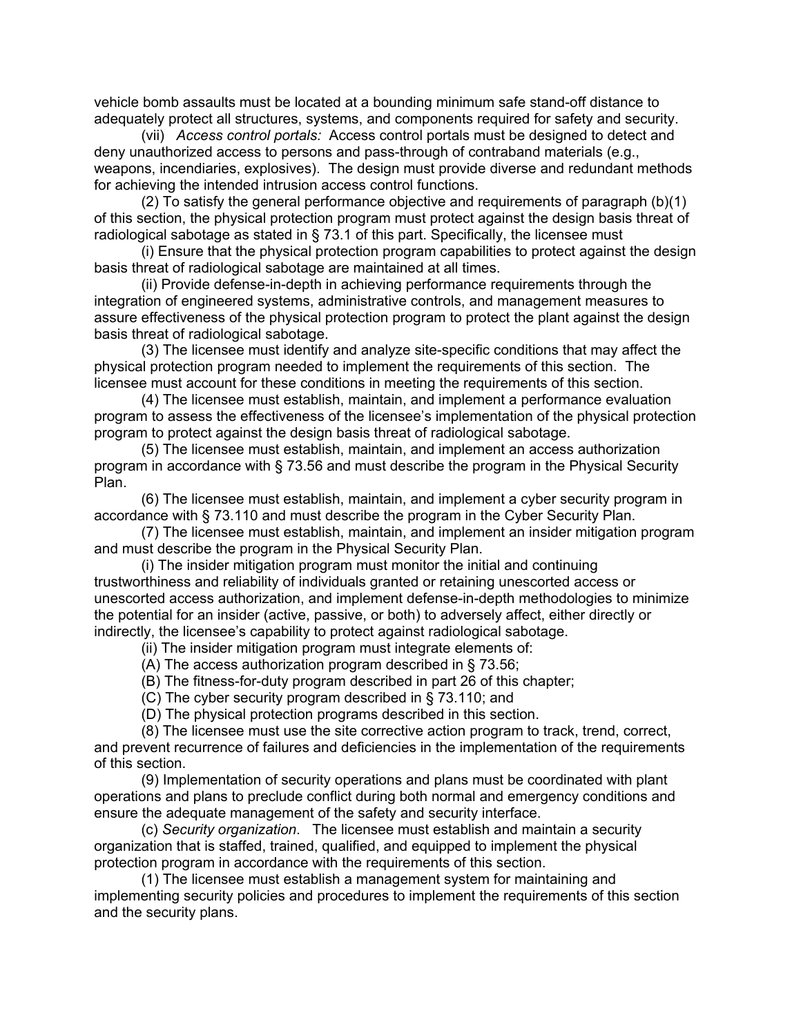vehicle bomb assaults must be located at a bounding minimum safe stand-off distance to adequately protect all structures, systems, and components required for safety and security.

(vii) *Access control portals:* Access control portals must be designed to detect and deny unauthorized access to persons and pass-through of contraband materials (e.g., weapons, incendiaries, explosives). The design must provide diverse and redundant methods for achieving the intended intrusion access control functions.

(2) To satisfy the general performance objective and requirements of paragraph (b)(1) of this section, the physical protection program must protect against the design basis threat of radiological sabotage as stated in § 73.1 of this part. Specifically, the licensee must

(i) Ensure that the physical protection program capabilities to protect against the design basis threat of radiological sabotage are maintained at all times.

(ii) Provide defense-in-depth in achieving performance requirements through the integration of engineered systems, administrative controls, and management measures to assure effectiveness of the physical protection program to protect the plant against the design basis threat of radiological sabotage.

(3) The licensee must identify and analyze site-specific conditions that may affect the physical protection program needed to implement the requirements of this section. The licensee must account for these conditions in meeting the requirements of this section.

(4) The licensee must establish, maintain, and implement a performance evaluation program to assess the effectiveness of the licensee's implementation of the physical protection program to protect against the design basis threat of radiological sabotage.

(5) The licensee must establish, maintain, and implement an access authorization program in accordance with § 73.56 and must describe the program in the Physical Security Plan.

(6) The licensee must establish, maintain, and implement a cyber security program in accordance with § 73.110 and must describe the program in the Cyber Security Plan.

(7) The licensee must establish, maintain, and implement an insider mitigation program and must describe the program in the Physical Security Plan.

(i) The insider mitigation program must monitor the initial and continuing trustworthiness and reliability of individuals granted or retaining unescorted access or unescorted access authorization, and implement defense-in-depth methodologies to minimize the potential for an insider (active, passive, or both) to adversely affect, either directly or indirectly, the licensee's capability to protect against radiological sabotage.

(ii) The insider mitigation program must integrate elements of:

(A) The access authorization program described in § 73.56;

(B) The fitness-for-duty program described in part 26 of this chapter;

(C) The cyber security program described in § 73.110; and

(D) The physical protection programs described in this section.

(8) The licensee must use the site corrective action program to track, trend, correct, and prevent recurrence of failures and deficiencies in the implementation of the requirements of this section.

(9) Implementation of security operations and plans must be coordinated with plant operations and plans to preclude conflict during both normal and emergency conditions and ensure the adequate management of the safety and security interface.

(c) *Security organization*. The licensee must establish and maintain a security organization that is staffed, trained, qualified, and equipped to implement the physical protection program in accordance with the requirements of this section.

(1) The licensee must establish a management system for maintaining and implementing security policies and procedures to implement the requirements of this section and the security plans.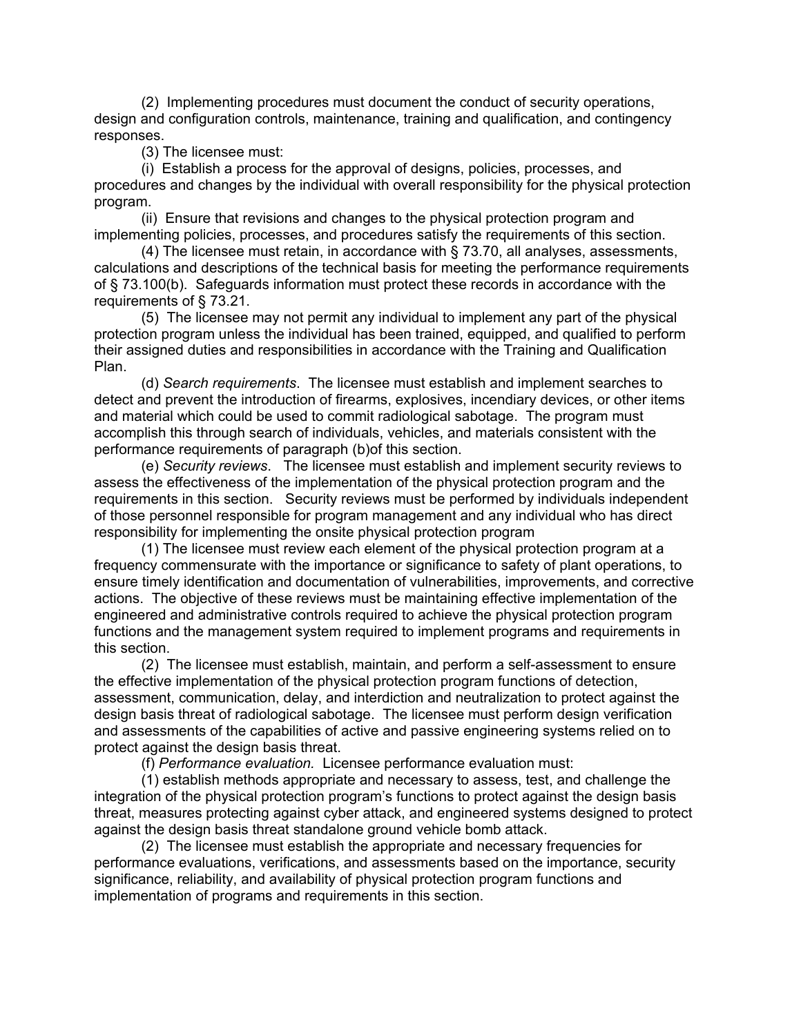(2) Implementing procedures must document the conduct of security operations, design and configuration controls, maintenance, training and qualification, and contingency responses.

(3) The licensee must:

(i) Establish a process for the approval of designs, policies, processes, and procedures and changes by the individual with overall responsibility for the physical protection program.

(ii) Ensure that revisions and changes to the physical protection program and implementing policies, processes, and procedures satisfy the requirements of this section.

(4) The licensee must retain, in accordance with § 73.70, all analyses, assessments, calculations and descriptions of the technical basis for meeting the performance requirements of § 73.100(b). Safeguards information must protect these records in accordance with the requirements of § 73.21.

(5) The licensee may not permit any individual to implement any part of the physical protection program unless the individual has been trained, equipped, and qualified to perform their assigned duties and responsibilities in accordance with the Training and Qualification Plan.

(d) *Search requirements*. The licensee must establish and implement searches to detect and prevent the introduction of firearms, explosives, incendiary devices, or other items and material which could be used to commit radiological sabotage. The program must accomplish this through search of individuals, vehicles, and materials consistent with the performance requirements of paragraph (b)of this section.

(e) *Security reviews*. The licensee must establish and implement security reviews to assess the effectiveness of the implementation of the physical protection program and the requirements in this section. Security reviews must be performed by individuals independent of those personnel responsible for program management and any individual who has direct responsibility for implementing the onsite physical protection program

(1) The licensee must review each element of the physical protection program at a frequency commensurate with the importance or significance to safety of plant operations, to ensure timely identification and documentation of vulnerabilities, improvements, and corrective actions. The objective of these reviews must be maintaining effective implementation of the engineered and administrative controls required to achieve the physical protection program functions and the management system required to implement programs and requirements in this section.

(2) The licensee must establish, maintain, and perform a self-assessment to ensure the effective implementation of the physical protection program functions of detection, assessment, communication, delay, and interdiction and neutralization to protect against the design basis threat of radiological sabotage. The licensee must perform design verification and assessments of the capabilities of active and passive engineering systems relied on to protect against the design basis threat.

(f) *Performance evaluation.* Licensee performance evaluation must:

(1) establish methods appropriate and necessary to assess, test, and challenge the integration of the physical protection program's functions to protect against the design basis threat, measures protecting against cyber attack, and engineered systems designed to protect against the design basis threat standalone ground vehicle bomb attack.

(2) The licensee must establish the appropriate and necessary frequencies for performance evaluations, verifications, and assessments based on the importance, security significance, reliability, and availability of physical protection program functions and implementation of programs and requirements in this section.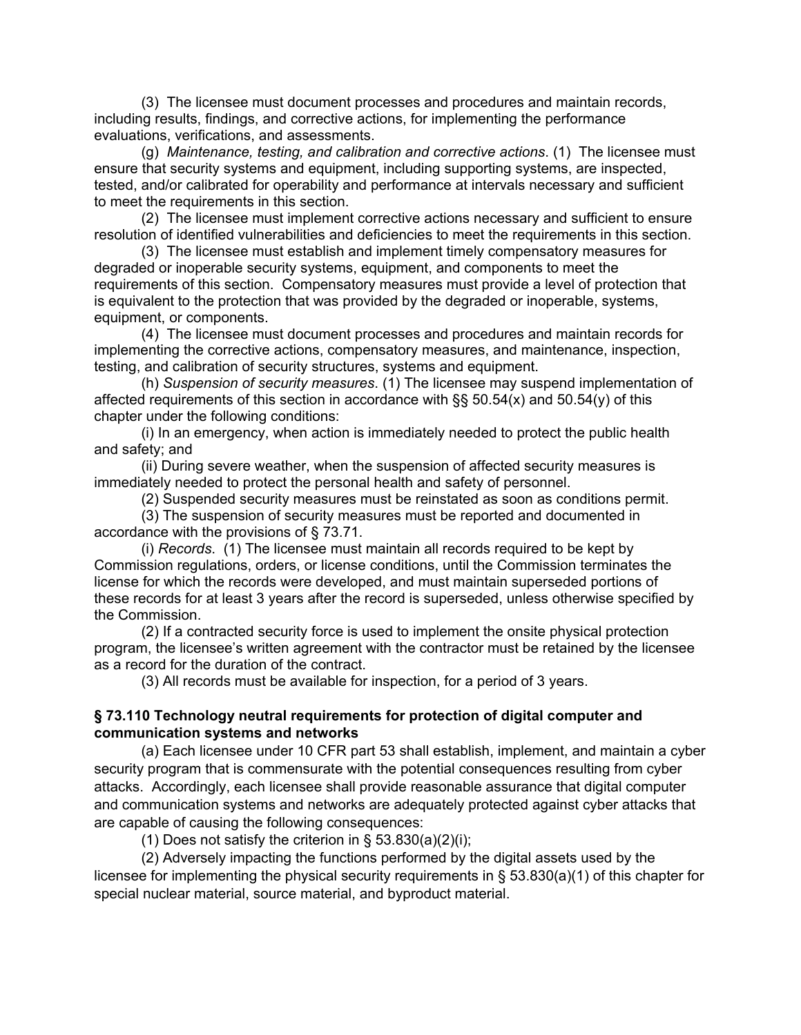(3) The licensee must document processes and procedures and maintain records, including results, findings, and corrective actions, for implementing the performance evaluations, verifications, and assessments.

(g) *Maintenance, testing, and calibration and corrective actions*. (1) The licensee must ensure that security systems and equipment, including supporting systems, are inspected, tested, and/or calibrated for operability and performance at intervals necessary and sufficient to meet the requirements in this section.

(2) The licensee must implement corrective actions necessary and sufficient to ensure resolution of identified vulnerabilities and deficiencies to meet the requirements in this section.

(3) The licensee must establish and implement timely compensatory measures for degraded or inoperable security systems, equipment, and components to meet the requirements of this section. Compensatory measures must provide a level of protection that is equivalent to the protection that was provided by the degraded or inoperable, systems, equipment, or components.

(4) The licensee must document processes and procedures and maintain records for implementing the corrective actions, compensatory measures, and maintenance, inspection, testing, and calibration of security structures, systems and equipment.

(h) *Suspension of security measures*. (1) The licensee may suspend implementation of affected requirements of this section in accordance with  $\S$ § 50.54(x) and 50.54(y) of this chapter under the following conditions:

(i) In an emergency, when action is immediately needed to protect the public health and safety; and

(ii) During severe weather, when the suspension of affected security measures is immediately needed to protect the personal health and safety of personnel.

(2) Suspended security measures must be reinstated as soon as conditions permit.

(3) The suspension of security measures must be reported and documented in accordance with the provisions of § 73.71.

(i) *Records*. (1) The licensee must maintain all records required to be kept by Commission regulations, orders, or license conditions, until the Commission terminates the license for which the records were developed, and must maintain superseded portions of these records for at least 3 years after the record is superseded, unless otherwise specified by the Commission.

(2) If a contracted security force is used to implement the onsite physical protection program, the licensee's written agreement with the contractor must be retained by the licensee as a record for the duration of the contract.

(3) All records must be available for inspection, for a period of 3 years.

## **§ 73.110 Technology neutral requirements for protection of digital computer and communication systems and networks**

(a) Each licensee under 10 CFR part 53 shall establish, implement, and maintain a cyber security program that is commensurate with the potential consequences resulting from cyber attacks. Accordingly, each licensee shall provide reasonable assurance that digital computer and communication systems and networks are adequately protected against cyber attacks that are capable of causing the following consequences:

(1) Does not satisfy the criterion in  $\S$  53.830(a)(2)(i);

(2) Adversely impacting the functions performed by the digital assets used by the licensee for implementing the physical security requirements in § 53.830(a)(1) of this chapter for special nuclear material, source material, and byproduct material.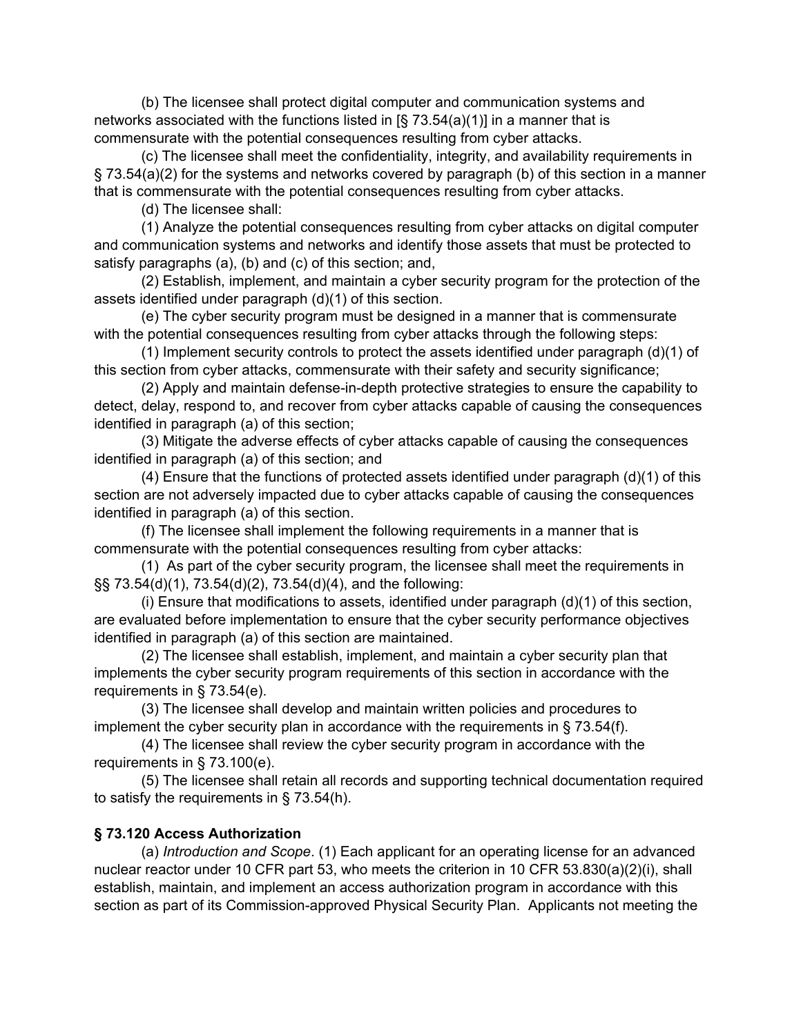(b) The licensee shall protect digital computer and communication systems and networks associated with the functions listed in [§ 73.54(a)(1)] in a manner that is commensurate with the potential consequences resulting from cyber attacks.

(c) The licensee shall meet the confidentiality, integrity, and availability requirements in § 73.54(a)(2) for the systems and networks covered by paragraph (b) of this section in a manner that is commensurate with the potential consequences resulting from cyber attacks.

(d) The licensee shall:

(1) Analyze the potential consequences resulting from cyber attacks on digital computer and communication systems and networks and identify those assets that must be protected to satisfy paragraphs (a), (b) and (c) of this section; and,

(2) Establish, implement, and maintain a cyber security program for the protection of the assets identified under paragraph (d)(1) of this section.

(e) The cyber security program must be designed in a manner that is commensurate with the potential consequences resulting from cyber attacks through the following steps:

(1) Implement security controls to protect the assets identified under paragraph (d)(1) of this section from cyber attacks, commensurate with their safety and security significance;

(2) Apply and maintain defense-in-depth protective strategies to ensure the capability to detect, delay, respond to, and recover from cyber attacks capable of causing the consequences identified in paragraph (a) of this section;

(3) Mitigate the adverse effects of cyber attacks capable of causing the consequences identified in paragraph (a) of this section; and

(4) Ensure that the functions of protected assets identified under paragraph (d)(1) of this section are not adversely impacted due to cyber attacks capable of causing the consequences identified in paragraph (a) of this section.

(f) The licensee shall implement the following requirements in a manner that is commensurate with the potential consequences resulting from cyber attacks:

(1) As part of the cyber security program, the licensee shall meet the requirements in §§ 73.54(d)(1), 73.54(d)(2), 73.54(d)(4), and the following:

(i) Ensure that modifications to assets, identified under paragraph (d)(1) of this section, are evaluated before implementation to ensure that the cyber security performance objectives identified in paragraph (a) of this section are maintained.

(2) The licensee shall establish, implement, and maintain a cyber security plan that implements the cyber security program requirements of this section in accordance with the requirements in § 73.54(e).

(3) The licensee shall develop and maintain written policies and procedures to implement the cyber security plan in accordance with the requirements in § 73.54(f).

(4) The licensee shall review the cyber security program in accordance with the requirements in § 73.100(e).

(5) The licensee shall retain all records and supporting technical documentation required to satisfy the requirements in § 73.54(h).

# **§ 73.120 Access Authorization**

(a) *Introduction and Scope*. (1) Each applicant for an operating license for an advanced nuclear reactor under 10 CFR part 53, who meets the criterion in 10 CFR 53.830(a)(2)(i), shall establish, maintain, and implement an access authorization program in accordance with this section as part of its Commission-approved Physical Security Plan. Applicants not meeting the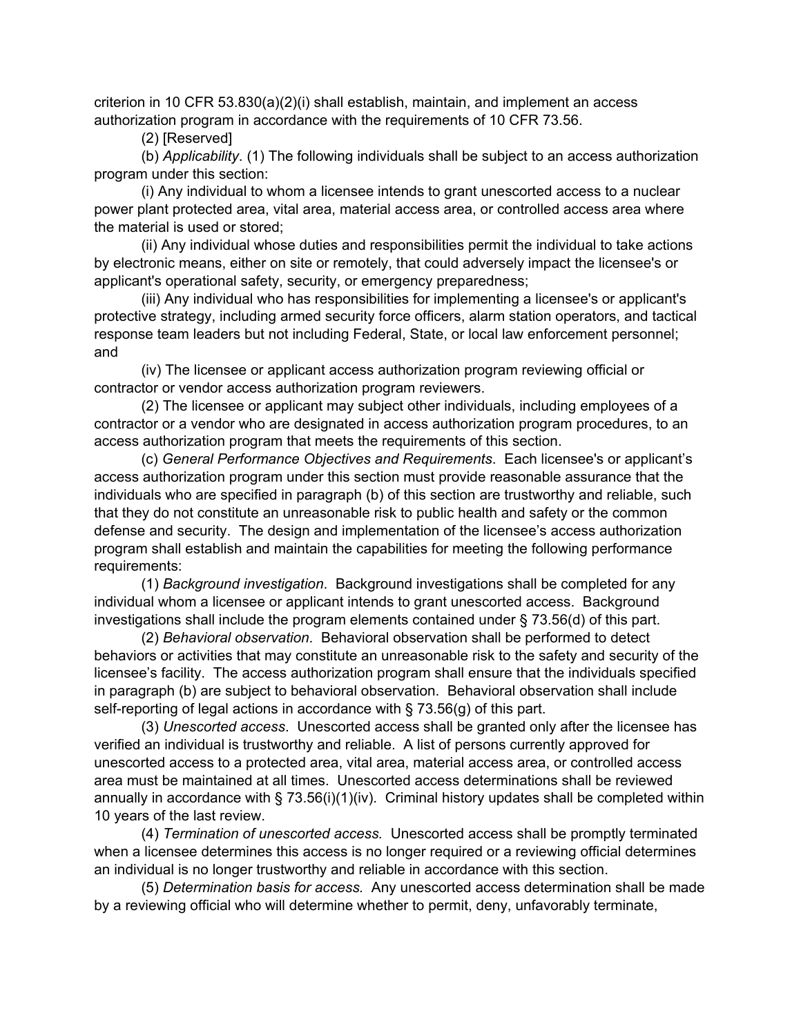criterion in 10 CFR  $53.830(a)(2)(i)$  shall establish, maintain, and implement an access authorization program in accordance with the requirements of 10 CFR 73.56.

(2) [Reserved]

(b) *Applicability*. (1) The following individuals shall be subject to an access authorization program under this section:

(i) Any individual to whom a licensee intends to grant unescorted access to a nuclear power plant protected area, vital area, material access area, or controlled access area where the material is used or stored;

(ii) Any individual whose duties and responsibilities permit the individual to take actions by electronic means, either on site or remotely, that could adversely impact the licensee's or applicant's operational safety, security, or emergency preparedness;

(iii) Any individual who has responsibilities for implementing a licensee's or applicant's protective strategy, including armed security force officers, alarm station operators, and tactical response team leaders but not including Federal, State, or local law enforcement personnel; and

(iv) The licensee or applicant access authorization program reviewing official or contractor or vendor access authorization program reviewers.

(2) The licensee or applicant may subject other individuals, including employees of a contractor or a vendor who are designated in access authorization program procedures, to an access authorization program that meets the requirements of this section.

(c) *General Performance Objectives and Requirements*. Each licensee's or applicant's access authorization program under this section must provide reasonable assurance that the individuals who are specified in paragraph (b) of this section are trustworthy and reliable, such that they do not constitute an unreasonable risk to public health and safety or the common defense and security. The design and implementation of the licensee's access authorization program shall establish and maintain the capabilities for meeting the following performance requirements:

(1) *Background investigation*. Background investigations shall be completed for any individual whom a licensee or applicant intends to grant unescorted access. Background investigations shall include the program elements contained under § 73.56(d) of this part.

(2) *Behavioral observation*. Behavioral observation shall be performed to detect behaviors or activities that may constitute an unreasonable risk to the safety and security of the licensee's facility. The access authorization program shall ensure that the individuals specified in paragraph (b) are subject to behavioral observation. Behavioral observation shall include self-reporting of legal actions in accordance with § 73.56(g) of this part.

(3) *Unescorted access*. Unescorted access shall be granted only after the licensee has verified an individual is trustworthy and reliable. A list of persons currently approved for unescorted access to a protected area, vital area, material access area, or controlled access area must be maintained at all times. Unescorted access determinations shall be reviewed annually in accordance with § 73.56(i)(1)(iv). Criminal history updates shall be completed within 10 years of the last review.

(4) *Termination of unescorted access.* Unescorted access shall be promptly terminated when a licensee determines this access is no longer required or a reviewing official determines an individual is no longer trustworthy and reliable in accordance with this section.

(5) *Determination basis for access.* Any unescorted access determination shall be made by a reviewing official who will determine whether to permit, deny, unfavorably terminate,